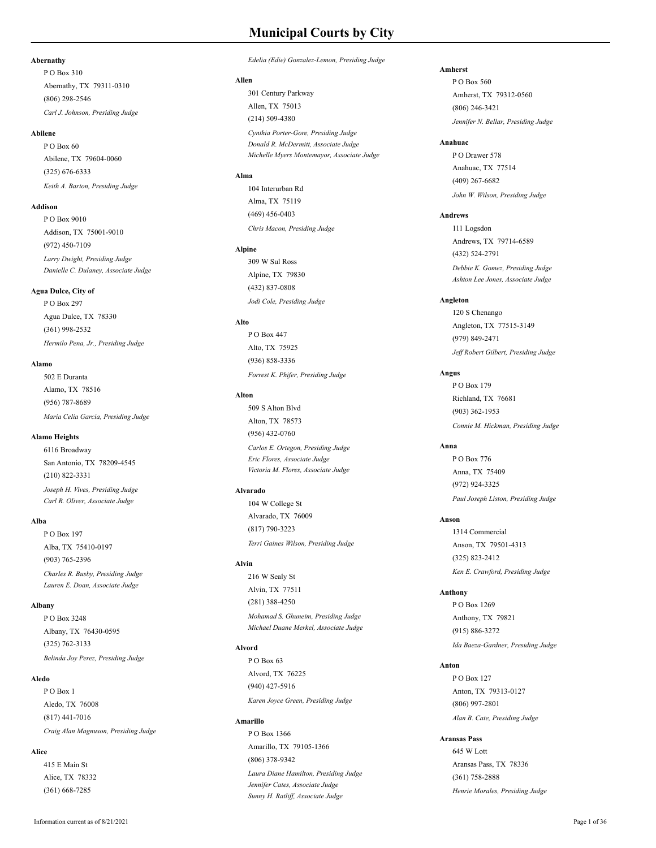## **Abernathy**

Abernathy, TX 79311-0310 P O Box 310 (806) 298-2546 *Carl J. Johnson, Presiding Judge*

#### **Abilene**

Abilene, TX 79604-0060  $P \cap R_{\alpha}$  60 (325) 676-6333 *Keith A. Barton, Presiding Judge*

#### **Addison**

Addison, TX 75001-9010 P O Box 9010 (972) 450-7109 *Larry Dwight, Presiding Judge Danielle C. Dulaney, Associate Judge*

#### **Agua Dulce, City of**

Agua Dulce, TX 78330 P O Box 297 (361) 998-2532 *Hermilo Pena, Jr., Presiding Judge*

#### **Alamo**

Alamo, TX 78516 502 E Duranta (956) 787-8689 *Maria Celia Garcia, Presiding Judge*

#### **Alamo Heights**

6116 Broadway<br>San Antonio, TX 78209-4545 (210) 822-3331 *Joseph H. Vives, Presiding Judge Carl R. Oliver, Associate Judge*

#### **Alba**

Alba, TX 75410-0197 P O Box 197 (903) 765-2396 *Charles R. Busby, Presiding Judge Lauren E. Doan, Associate Judge*

# **Albany**

Albany, TX 76430-0595 P O Box 3248 (325) 762-3133 *Belinda Joy Perez, Presiding Judge*

#### **Aledo**

Aledo, TX 76008 P O Box 1 (817) 441-7016 *Craig Alan Magnuson, Presiding Judge*

#### **Alice**

Alice, TX 78332 415 E Main St (361) 668-7285

#### *Edelia (Edie) Gonzalez-Lemon, Presiding Judge*

**Allen**

Allen, TX 75013 301 Century Parkway (214) 509-4380

*Cynthia Porter-Gore, Presiding Judge Donald R. McDermitt, Associate Judge Michelle Myers Montemayor, Associate Judge*

## **Alma**

Alma, TX 75119 104 Interurban Rd (469) 456-0403 *Chris Macon, Presiding Judge*

#### **Alpine**

Alpine, TX 79830 309 W Sul Ross (432) 837-0808 *Jodi Cole, Presiding Judge*

#### **Alto**

Alto, TX 75925 P O Box 447 (936) 858-3336 *Forrest K. Phifer, Presiding Judge*

#### **Alton**

Alton, TX 78573 509 S Alton Blvd (956) 432-0760 *Carlos E. Ortegon, Presiding Judge*

*Eric Flores, Associate Judge Victoria M. Flores, Associate Judge*

#### **Alvarado**

Alvarado, TX 76009 104 W College St (817) 790-3223 *Terri Gaines Wilson, Presiding Judge*

#### **Alvin**

Alvin, TX 77511 216 W Sealy St (281) 388-4250 *Mohamad S. Ghuneim, Presiding Judge Michael Duane Merkel, Associate Judge*

## **Alvord**

Alvord, TX 76225 P O Box 63 (940) 427-5916 *Karen Joyce Green, Presiding Judge*

# **Amarillo**

Amarillo, TX 79105-1366 P O Box 1366 (806) 378-9342 *Laura Diane Hamilton, Presiding Judge Jennifer Cates, Associate Judge Sunny H. Ratliff, Associate Judge*

#### **Amherst**

Amherst, TX 79312-0560 P O Box 560 (806) 246-3421 *Jennifer N. Bellar, Presiding Judge*

## **Anahuac**

Anahuac, TX 77514 P O Drawer 578 (409) 267-6682 *John W. Wilson, Presiding Judge*

**Andrews** Andrews, TX 79714-6589 111 Logsdon (432) 524-2791

*Debbie K. Gomez, Presiding Judge Ashton Lee Jones, Associate Judge*

# **Angleton**

Angleton, TX 77515-3149 120 S Chenango (979) 849-2471 *Jeff Robert Gilbert, Presiding Judge*

**Angus** P O Box 179

> Richland, TX 76681 (903) 362-1953 *Connie M. Hickman, Presiding Judge*

**Anna** P O Box 776

> Anna, TX 75409 (972) 924-3325 *Paul Joseph Liston, Presiding Judge*

#### **Anson**

Anson, TX 79501-4313 1314 Commercial (325) 823-2412 *Ken E. Crawford, Presiding Judge*

#### **Anthony**

Anthony, TX 79821 P O Box 1269 (915) 886-3272 *Ida Baeza-Gardner, Presiding Judge*

#### **Anton**

Anton, TX 79313-0127 P O Box 127 (806) 997-2801 *Alan B. Cate, Presiding Judge*

# **Aransas Pass**

Aransas Pass, TX 78336 645 W Lott (361) 758-2888 *Henrie Morales, Presiding Judge*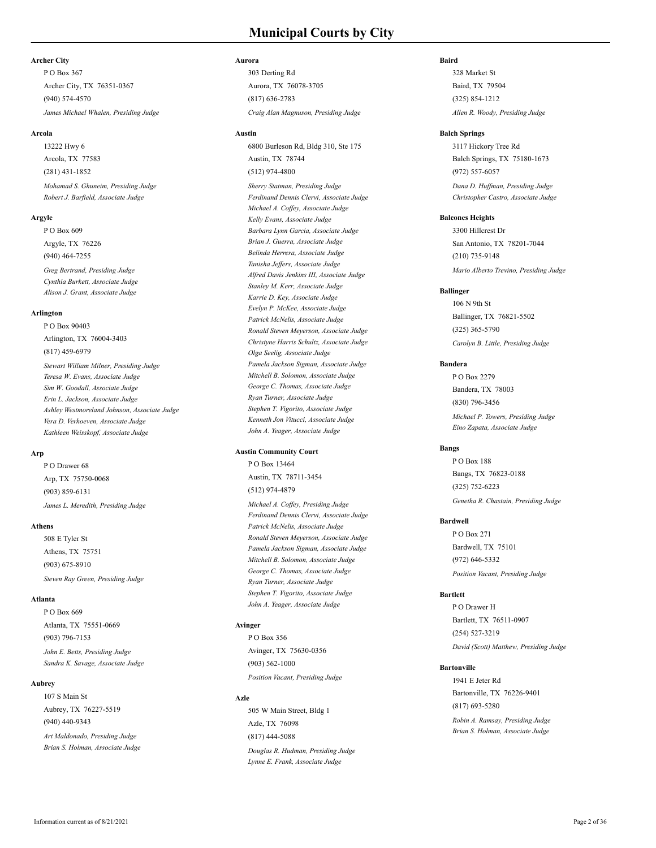## **Archer City**

Archer City, TX 76351-0367 P O Box 367 (940) 574-4570 *James Michael Whalen, Presiding Judge*

#### **Arcola**

Arcola, TX 77583 13222 Hwy 6 (281) 431-1852 *Mohamad S. Ghuneim, Presiding Judge Robert J. Barfield, Associate Judge*

#### **Argyle**

Argyle, TX 76226 P O Box 609 (940) 464-7255

*Greg Bertrand, Presiding Judge Cynthia Burkett, Associate Judge Alison J. Grant, Associate Judge*

#### **Arlington**

Arlington, TX 76004-3403 P O Box 90403 (817) 459-6979 *Stewart William Milner, Presiding Judge Teresa W. Evans, Associate Judge Sim W. Goodall, Associate Judge Erin L. Jackson, Associate Judge Ashley Westmoreland Johnson, Associate Judge Vera D. Verhoeven, Associate Judge Kathleen Weisskopf, Associate Judge*

#### **Arp**

Arp, TX 75750-0068 P O Drawer 68 (903) 859-6131 *James L. Meredith, Presiding Judge*

#### **Athens**

Athens, TX 75751 508 E Tyler St (903) 675-8910 *Steven Ray Green, Presiding Judge*

## **Atlanta**

Atlanta, TX 75551-0669 P O Box 669 (903) 796-7153 *John E. Betts, Presiding Judge Sandra K. Savage, Associate Judge*

#### **Aubrey**

Aubrey, TX 76227-5519 107 S Main St (940) 440-9343

*Art Maldonado, Presiding Judge Brian S. Holman, Associate Judge*

#### **Aurora**

Aurora, TX 76078-3705 303 Derting Rd (817) 636-2783 *Craig Alan Magnuson, Presiding Judge*

#### **Austin**

Austin, TX 78744 6800 Burleson Rd, Bldg 310, Ste 175 (512) 974-4800

*Sherry Statman, Presiding Judge Ferdinand Dennis Clervi, Associate Judge Michael A. Coffey, Associate Judge Kelly Evans, Associate Judge Barbara Lynn Garcia, Associate Judge Brian J. Guerra, Associate Judge Belinda Herrera, Associate Judge Tanisha Jeffers, Associate Judge Alfred Davis Jenkins III, Associate Judge Stanley M. Kerr, Associate Judge Karrie D. Key, Associate Judge Evelyn P. McKee, Associate Judge Patrick McNelis, Associate Judge Ronald Steven Meyerson, Associate Judge Christyne Harris Schultz, Associate Judge Olga Seelig, Associate Judge Pamela Jackson Sigman, Associate Judge Mitchell B. Solomon, Associate Judge George C. Thomas, Associate Judge Ryan Turner, Associate Judge Stephen T. Vigorito, Associate Judge Kenneth Jon Vitucci, Associate Judge John A. Yeager, Associate Judge*

### **Austin Community Court**

Austin, TX 78711-3454 P O Box 13464 (512) 974-4879

*Michael A. Coffey, Presiding Judge Ferdinand Dennis Clervi, Associate Judge Patrick McNelis, Associate Judge Ronald Steven Meyerson, Associate Judge Pamela Jackson Sigman, Associate Judge Mitchell B. Solomon, Associate Judge George C. Thomas, Associate Judge Ryan Turner, Associate Judge Stephen T. Vigorito, Associate Judge John A. Yeager, Associate Judge*

### **Avinger**

Avinger, TX 75630-0356 P O Box 356 (903) 562-1000 *Position Vacant, Presiding Judge*

#### **Azle**

Azle, TX 76098 505 W Main Street, Bldg 1 (817) 444-5088 *Douglas R. Hudman, Presiding Judge Lynne E. Frank, Associate Judge*

#### **Baird**

Baird, TX 79504 328 Market St (325) 854-1212 *Allen R. Woody, Presiding Judge*

#### **Balch Springs**

Balch Springs, TX 75180-1673 3117 Hickory Tree Rd (972) 557-6057 *Dana D. Huffman, Presiding Judge*

*Christopher Castro, Associate Judge*

# **Balcones Heights**

San Antonio, TX 78201-7044 3300 Hillcrest Dr (210) 735-9148 *Mario Alberto Trevino, Presiding Judge*

#### **Ballinger**

Ballinger, TX 76821-5502 106 N 9th St (325) 365-5790 *Carolyn B. Little, Presiding Judge*

## **Bandera**

Bandera, TX 78003 P O Box 2279 (830) 796-3456 *Michael P. Towers, Presiding Judge Eino Zapata, Associate Judge*

#### **Bangs**

Bangs, TX 76823-0188 P O Box 188 (325) 752-6223 *Genetha R. Chastain, Presiding Judge*

#### **Bardwell**

Bardwell, TX 75101 P O Box 271 (972) 646-5332 *Position Vacant, Presiding Judge*

# **Bartlett**

Bartlett, TX 76511-0907 P O Drawer H (254) 527-3219 *David (Scott) Matthew, Presiding Judge*

## **Bartonville**

Bartonville, TX 76226-9401 1941 E Jeter Rd (817) 693-5280 *Robin A. Ramsay, Presiding Judge Brian S. Holman, Associate Judge*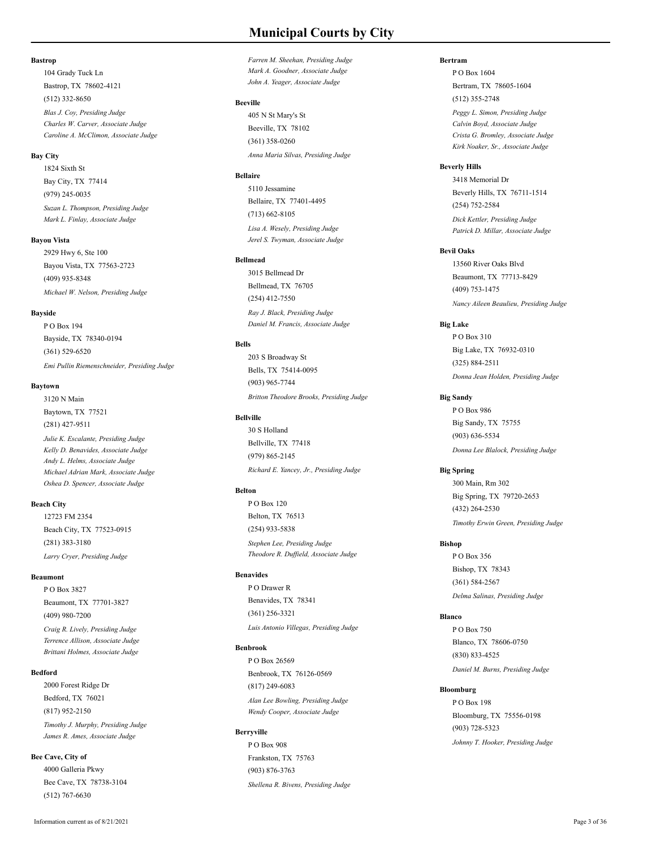## **Bastrop**

Bastrop, TX 78602-4121 104 Grady Tuck Ln (512) 332-8650

*Blas J. Coy, Presiding Judge Charles W. Carver, Associate Judge Caroline A. McClimon, Associate Judge*

#### **Bay City**

Bay City, TX 77414 1824 Sixth St (979) 245-0035

*Suzan L. Thompson, Presiding Judge Mark L. Finlay, Associate Judge*

## **Bayou Vista**

Bayou Vista, TX 77563-2723 2929 Hwy 6, Ste 100 (409) 935-8348 *Michael W. Nelson, Presiding Judge*

#### **Bayside**

Bayside, TX 78340-0194 P O Box 194 (361) 529-6520 *Emi Pullin Riemenschneider, Presiding Judge*

#### **Baytown**

Baytown, TX 77521 3120 N Main (281) 427-9511 *Julie K. Escalante, Presiding Judge Kelly D. Benavides, Associate Judge Andy L. Helms, Associate Judge Michael Adrian Mark, Associate Judge Oshea D. Spencer, Associate Judge*

#### **Beach City**

Beach City, TX 77523-0915 12723 FM 2354 (281) 383-3180 *Larry Cryer, Presiding Judge*

#### **Beaumont**

Beaumont, TX 77701-3827 P O Box 3827 (409) 980-7200 *Craig R. Lively, Presiding Judge Terrence Allison, Associate Judge Brittani Holmes, Associate Judge*

## **Bedford**

Bedford, TX 76021 2000 Forest Ridge Dr (817) 952-2150 *Timothy J. Murphy, Presiding Judge James R. Ames, Associate Judge*

# **Bee Cave, City of**

Bee Cave, TX 78738-3104 4000 Galleria Pkwy (512) 767-6630

*Farren M. Sheehan, Presiding Judge Mark A. Goodner, Associate Judge John A. Yeager, Associate Judge*

## **Beeville**

Beeville, TX 78102 405 N St Mary's St (361) 358-0260 *Anna Maria Silvas, Presiding Judge*

## **Bellaire**

Bellaire, TX 77401-4495 5110 Jessamine (713) 662-8105 *Lisa A. Wesely, Presiding Judge Jerel S. Twyman, Associate Judge*

## **Bellmead**

Bellmead, TX 76705 3015 Bellmead Dr (254) 412-7550 *Ray J. Black, Presiding Judge Daniel M. Francis, Associate Judge*

#### **Bells**

Bells, TX 75414-0095 203 S Broadway St (903) 965-7744 *Britton Theodore Brooks, Presiding Judge*

### **Bellville**

Bellville, TX 77418 30 S Holland (979) 865-2145 *Richard E. Yancey, Jr., Presiding Judge*

#### **Belton**

Belton, TX 76513 P O Box 120 (254) 933-5838 *Stephen Lee, Presiding Judge Theodore R. Duffield, Associate Judge*

## **Benavides**

Benavides, TX 78341 P O Drawer R (361) 256-3321 *Luis Antonio Villegas, Presiding Judge*

## **Benbrook**

Benbrook, TX 76126-0569 P O Box 26569 (817) 249-6083 *Alan Lee Bowling, Presiding Judge Wendy Cooper, Associate Judge*

## **Berryville**

Frankston, TX 75763 P O Box 908 (903) 876-3763 *Shellena R. Bivens, Presiding Judge*

## **Bertram**

Bertram, TX 78605-1604 P O Box 1604 (512) 355-2748

*Peggy L. Simon, Presiding Judge Calvin Boyd, Associate Judge Crista G. Bromley, Associate Judge Kirk Noaker, Sr., Associate Judge*

## **Beverly Hills**

Beverly Hills, TX 76711-1514 3418 Memorial Dr (254) 752-2584 *Dick Kettler, Presiding Judge Patrick D. Millar, Associate Judge*

### **Bevil Oaks**

Beaumont, TX 77713-8429 13560 River Oaks Blvd (409) 753-1475 *Nancy Aileen Beaulieu, Presiding Judge*

# **Big Lake**

Big Lake, TX 76932-0310 P O Box 310 (325) 884-2511 *Donna Jean Holden, Presiding Judge*

# **Big Sandy**

Big Sandy, TX 75755 P O Box 986 (903) 636-5534 *Donna Lee Blalock, Presiding Judge*

## **Big Spring**

Big Spring, TX 79720-2653 300 Main, Rm 302 (432) 264-2530 *Timothy Erwin Green, Presiding Judge*

## **Bishop**

Bishop, TX 78343 P O Box 356 (361) 584-2567 *Delma Salinas, Presiding Judge*

## **Blanco**

Blanco, TX 78606-0750 P O Box 750 (830) 833-4525 *Daniel M. Burns, Presiding Judge*

## **Bloomburg**

Bloomburg, TX 75556-0198 P O Box 198 (903) 728-5323 *Johnny T. Hooker, Presiding Judge*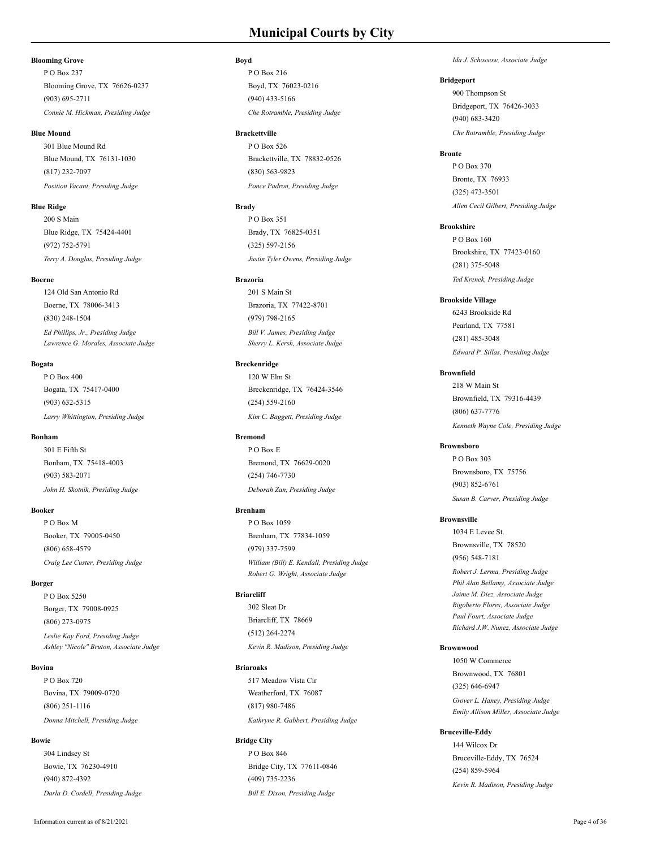# **Blooming Grove**

Blooming Grove, TX 76626-0237 P O Box 237 (903) 695-2711 *Connie M. Hickman, Presiding Judge*

#### **Blue Mound**

Blue Mound, TX 76131-1030 301 Blue Mound Rd (817) 232-7097 *Position Vacant, Presiding Judge*

## **Blue Ridge**

Blue Ridge, TX 75424-4401 200 S Main (972) 752-5791 *Terry A. Douglas, Presiding Judge*

#### **Boerne**

Boerne, TX 78006-3413 124 Old San Antonio Rd (830) 248-1504 *Ed Phillips, Jr., Presiding Judge Lawrence G. Morales, Associate Judge*

#### **Bogata**

Bogata, TX 75417-0400 P O Box 400 (903) 632-5315 *Larry Whittington, Presiding Judge*

#### **Bonham**

Bonham, TX 75418-4003 301 E Fifth St (903) 583-2071 *John H. Skotnik, Presiding Judge*

#### **Booker**

Booker, TX 79005-0450 P O Box M (806) 658-4579 *Craig Lee Custer, Presiding Judge*

## **Borger**

Borger, TX 79008-0925 P O Box 5250 (806) 273-0975 *Leslie Kay Ford, Presiding Judge Ashley "Nicole" Bruton, Associate Judge*

## **Bovina**

Bovina, TX 79009-0720 P O Box 720 (806) 251-1116 *Donna Mitchell, Presiding Judge*

#### **Bowie**

Bowie, TX 76230-4910 304 Lindsey St (940) 872-4392 *Darla D. Cordell, Presiding Judge*

## **Boyd**

Boyd, TX 76023-0216 P O Box 216 (940) 433-5166 *Che Rotramble, Presiding Judge*

**Brackettville** Brackettville, TX 78832-0526  $P \cap R_{\alpha x}$  526 (830) 563-9823 *Ponce Padron, Presiding Judge*

#### **Brady**

Brady, TX 76825-0351 P O Box 351 (325) 597-2156 *Justin Tyler Owens, Presiding Judge*

### **Brazoria**

Brazoria, TX 77422-8701 201 S Main St (979) 798-2165 *Bill V. James, Presiding Judge Sherry L. Kersh, Associate Judge*

# **Breckenridge**

Breckenridge, TX 76424-3546 120 W Elm St (254) 559-2160 *Kim C. Baggett, Presiding Judge*

#### **Bremond**

Bremond, TX 76629-0020 P O Box E (254) 746-7730 *Deborah Zan, Presiding Judge*

# **Brenham**

Brenham, TX 77834-1059 P O Box 1059 (979) 337-7599 *William (Bill) E. Kendall, Presiding Judge Robert G. Wright, Associate Judge*

# **Briarcliff**

Briarcliff, TX 78669 302 Sleat Dr (512) 264-2274 *Kevin R. Madison, Presiding Judge*

#### **Briaroaks**

Weatherford, TX 76087 517 Meadow Vista Cir (817) 980-7486 *Kathryne R. Gabbert, Presiding Judge*

## **Bridge City**

Bridge City, TX 77611-0846 P O Box 846 (409) 735-2236 *Bill E. Dixon, Presiding Judge*

*Ida J. Schossow, Associate Judge*

## **Bridgeport**

Bridgeport, TX 76426-3033 900 Thompson St (940) 683-3420 *Che Rotramble, Presiding Judge*

## **Bronte**

Bronte, TX 76933 P O Box 370 (325) 473-3501 *Allen Cecil Gilbert, Presiding Judge*

**Brookshire** Brookshire, TX 77423-0160 P O Box 160

(281) 375-5048 *Ted Krenek, Presiding Judge*

# **Brookside Village**

Pearland, TX 77581 6243 Brookside Rd (281) 485-3048 *Edward P. Sillas, Presiding Judge*

# **Brownfield**

Brownfield, TX 79316-4439 218 W Main St (806) 637-7776 *Kenneth Wayne Cole, Presiding Judge*

## **Brownsboro**

Brownsboro, TX 75756 P O Box 303 (903) 852-6761 *Susan B. Carver, Presiding Judge*

#### **Brownsville**

Brownsville, TX 78520 1034 E Levee St. (956) 548-7181 *Robert J. Lerma, Presiding Judge Phil Alan Bellamy, Associate Judge Jaime M. Diez, Associate Judge Rigoberto Flores, Associate Judge Paul Fourt, Associate Judge Richard J.W. Nunez, Associate Judge*

## **Brownwood**

Brownwood, TX 76801 1050 W Commerce (325) 646-6947 *Grover L. Haney, Presiding Judge Emily Allison Miller, Associate Judge*

## **Bruceville-Eddy**

Bruceville-Eddy, TX 76524 144 Wilcox Dr (254) 859-5964 *Kevin R. Madison, Presiding Judge*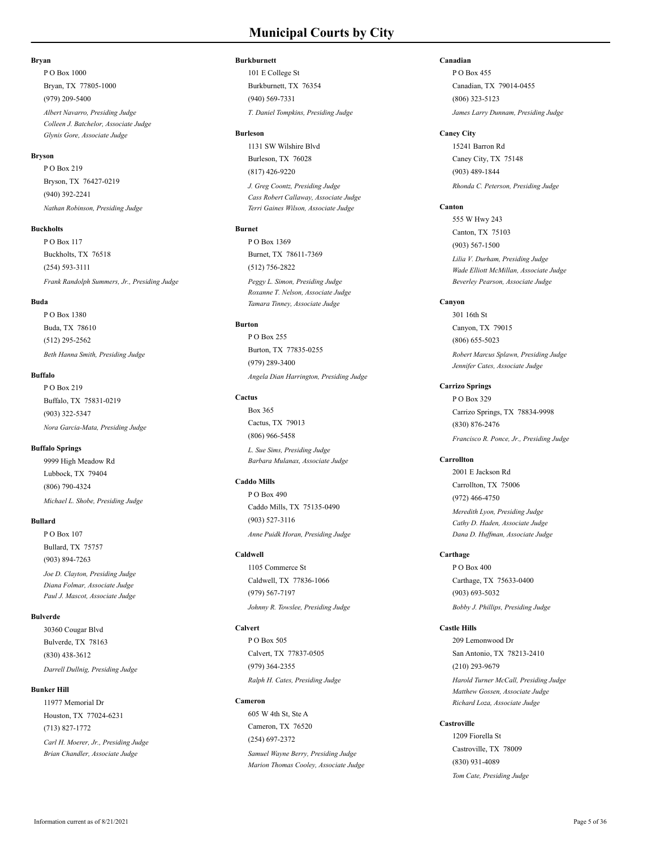## **Bryan**

Bryan, TX 77805-1000 P O Box 1000 (979) 209-5400

*Albert Navarro, Presiding Judge Colleen J. Batchelor, Associate Judge Glynis Gore, Associate Judge*

#### **Bryson**

Bryson, TX 76427-0219 P O Box 219 (940) 392-2241 *Nathan Robinson, Presiding Judge*

## **Buckholts**

Buckholts, TX 76518 P O Box 117 (254) 593-3111 *Frank Randolph Summers, Jr., Presiding Judge*

#### **Buda**

Buda, TX 78610 P O Box 1380 (512) 295-2562 *Beth Hanna Smith, Presiding Judge*

#### **Buffalo**

Buffalo, TX 75831-0219 P O Box 219 (903) 322-5347 *Nora Garcia-Mata, Presiding Judge*

#### **Buffalo Springs**

Lubbock, TX 79404 9999 High Meadow Rd (806) 790-4324 *Michael L. Shobe, Presiding Judge*

#### **Bullard**

Bullard, TX 75757 P O Box 107 (903) 894-7263 *Joe D. Clayton, Presiding Judge*

*Diana Folmar, Associate Judge Paul J. Mascot, Associate Judge*

# **Bulverde**

Bulverde, TX 78163 30360 Cougar Blvd (830) 438-3612 *Darrell Dullnig, Presiding Judge*

## **Bunker Hill**

Houston, TX 77024-6231 11977 Memorial Dr (713) 827-1772

*Carl H. Moerer, Jr., Presiding Judge Brian Chandler, Associate Judge*

#### **Burkburnett**

Burkburnett, TX 76354 101 E College St (940) 569-7331 *T. Daniel Tompkins, Presiding Judge*

#### **Burleson**

Burleson, TX 76028 1131 SW Wilshire Blvd (817) 426-9220

*J. Greg Coontz, Presiding Judge Cass Robert Callaway, Associate Judge Terri Gaines Wilson, Associate Judge*

# **Burnet**

Burnet, TX 78611-7369 P O Box 1369 (512) 756-2822 *Peggy L. Simon, Presiding Judge Roxanne T. Nelson, Associate Judge Tamara Tinney, Associate Judge*

# **Burton**

Burton, TX 77835-0255 P O Box 255 (979) 289-3400 *Angela Dian Harrington, Presiding Judge*

### **Cactus**

Cactus, TX 79013 Box 365 (806) 966-5458 *L. Sue Sims, Presiding Judge Barbara Mulanax, Associate Judge*

#### **Caddo Mills**

Caddo Mills, TX 75135-0490 P O Box 490 (903) 527-3116 *Anne Puidk Horan, Presiding Judge*

## **Caldwell**

Caldwell, TX 77836-1066 1105 Commerce St (979) 567-7197 *Johnny R. Towslee, Presiding Judge*

#### **Calvert**

Calvert, TX 77837-0505 P O Box 505 (979) 364-2355 *Ralph H. Cates, Presiding Judge*

## **Cameron**

Cameron, TX 76520 605 W 4th St, Ste A (254) 697-2372 *Samuel Wayne Berry, Presiding Judge Marion Thomas Cooley, Associate Judge*

## **Canadian**

Canadian, TX 79014-0455 P O Box 455 (806) 323-5123 *James Larry Dunnam, Presiding Judge*

#### **Caney City**

Caney City, TX 75148 15241 Barron Rd (903) 489-1844 *Rhonda C. Peterson, Presiding Judge*

# **Canton**

Canton, TX 75103 555 W Hwy 243 (903) 567-1500

*Lilia V. Durham, Presiding Judge Wade Elliott McMillan, Associate Judge Beverley Pearson, Associate Judge*

## **Canyon**

Canyon, TX 79015 301 16th St (806) 655-5023

*Robert Marcus Splawn, Presiding Judge Jennifer Cates, Associate Judge*

## **Carrizo Springs**

Carrizo Springs, TX 78834-9998 P O Box 329 (830) 876-2476 *Francisco R. Ponce, Jr., Presiding Judge*

# **Carrollton**

Carrollton, TX 75006 2001 E Jackson Rd (972) 466-4750 *Meredith Lyon, Presiding Judge*

*Cathy D. Haden, Associate Judge Dana D. Huffman, Associate Judge*

# **Carthage**

Carthage, TX 75633-0400 P O Box 400 (903) 693-5032 *Bobby J. Phillips, Presiding Judge*

## **Castle Hills**

San Antonio, TX 78213-2410 209 Lemonwood Dr (210) 293-9679 *Harold Turner McCall, Presiding Judge Matthew Gossen, Associate Judge Richard Loza, Associate Judge*

#### **Castroville**

Castroville, TX 78009 1209 Fiorella St (830) 931-4089 *Tom Cate, Presiding Judge*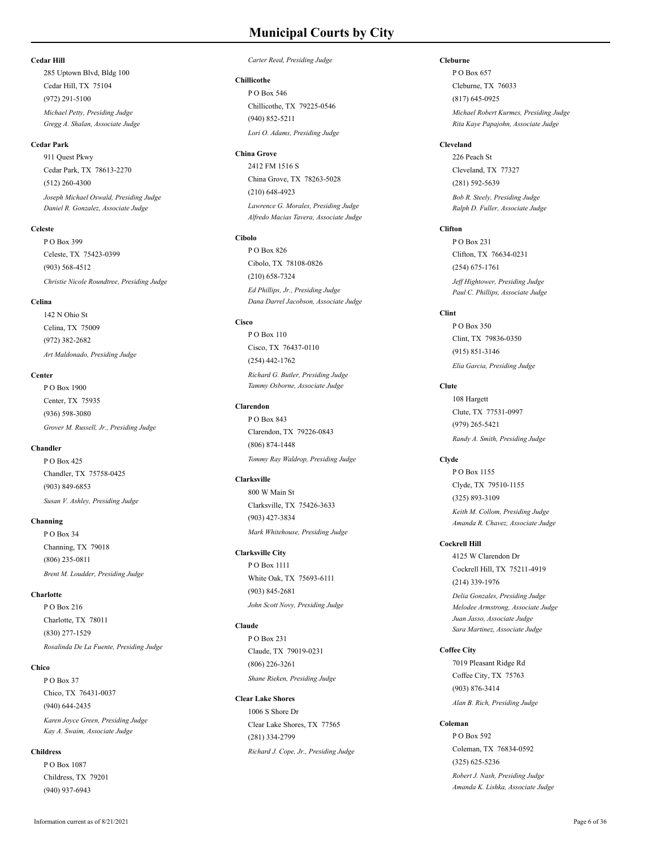## **Cedar Hill**

Cedar Hill, TX 75104 285 Uptown Blvd, Bldg 100 (972) 291-5100

*Michael Petty, Presiding Judge Gregg A. Shalan, Associate Judge*

# **Cedar Park**

Cedar Park, TX 78613-2270 911 Quest Pkwy (512) 260-4300 *Joseph Michael Oswald, Presiding Judge Daniel R. Gonzalez, Associate Judge*

#### **Celeste**

Celeste, TX 75423-0399 P O Box 399 (903) 568-4512 *Christie Nicole Roundtree, Presiding Judge*

#### **Celina**

Celina, TX 75009 142 N Ohio St (972) 382-2682 *Art Maldonado, Presiding Judge*

#### **Center**

Center, TX 75935 P O Box 1900 (936) 598-3080 *Grover M. Russell, Jr., Presiding Judge*

#### **Chandler**

Chandler, TX 75758-0425 P O Box 425 (903) 849-6853 *Susan V. Ashley, Presiding Judge*

#### **Channing**

Channing, TX 79018 PO Box 34 (806) 235-0811 *Brent M. Loudder, Presiding Judge*

#### **Charlotte**

Charlotte, TX 78011 P O Box 216 (830) 277-1529 *Rosalinda De La Fuente, Presiding Judge*

#### **Chico**

Chico, TX 76431-0037 P O Box 37 (940) 644-2435 *Karen Joyce Green, Presiding Judge Kay A. Swaim, Associate Judge*

#### **Childress**

Childress, TX 79201 P O Box 1087 (940) 937-6943

## *Carter Reed, Presiding Judge*

**Chillicothe** Chillicothe, TX 79225-0546 P O Box 546 (940) 852-5211 *Lori O. Adams, Presiding Judge*

#### **China Grove**

China Grove, TX 78263-5028 2412 FM 1516 S (210) 648-4923 *Lawrence G. Morales, Presiding Judge Alfredo Macias Tavera, Associate Judge*

## **Cibolo**

Cibolo, TX 78108-0826 P O Box 826 (210) 658-7324 *Ed Phillips, Jr., Presiding Judge Dana Darrel Jacobson, Associate Judge*

# **Cisco**

Cisco, TX 76437-0110 P O Box 110 (254) 442-1762 *Richard G. Butler, Presiding Judge Tammy Osborne, Associate Judge*

#### **Clarendon**

Clarendon, TX 79226-0843 P O Box 843 (806) 874-1448 *Tommy Ray Waldrop, Presiding Judge*

### **Clarksville**

Clarksville, TX 75426-3633 800 W Main St (903) 427-3834 *Mark Whitehouse, Presiding Judge*

#### **Clarksville City**

White Oak, TX 75693-6111 P O Box 1111 (903) 845-2681 *John Scott Novy, Presiding Judge*

#### **Claude**

Claude, TX 79019-0231 P O Box 231 (806) 226-3261 *Shane Rieken, Presiding Judge*

#### **Clear Lake Shores**

Clear Lake Shores, TX 77565 1006 S Shore Dr (281) 334-2799 *Richard J. Cope, Jr., Presiding Judge*

## **Cleburne**

Cleburne, TX 76033 P O Box 657 (817) 645-0925 *Michael Robert Kurmes, Presiding Judge*

*Rita Kaye Papajohn, Associate Judge*

#### **Cleveland**

Cleveland, TX 77327 226 Peach St (281) 592-5639 *Bob R. Steely, Presiding Judge Ralph D. Fuller, Associate Judge*

## **Clifton**

Clifton, TX 76634-0231 P O Box 231 (254) 675-1761 *Jeff Hightower, Presiding Judge Paul C. Phillips, Associate Judge*

# **Clint**

Clint, TX 79836-0350 P O Box 350 (915) 851-3146 *Elia Garcia, Presiding Judge*

## **Clute**

Clute, TX 77531-0997 108 Hargett (979) 265-5421 *Randy A. Smith, Presiding Judge*

# **Clyde**

Clyde, TX 79510-1155 P O Box 1155 (325) 893-3109 *Keith M. Collom, Presiding Judge Amanda R. Chavez, Associate Judge*

### **Cockrell Hill**

Cockrell Hill, TX 75211-4919 4125 W Clarendon Dr (214) 339-1976

*Delia Gonzales, Presiding Judge Melodee Armstrong, Associate Judge Juan Jasso, Associate Judge Sara Martinez, Associate Judge*

## **Coffee City**

Coffee City, TX 75763 7019 Pleasant Ridge Rd (903) 876-3414 *Alan B. Rich, Presiding Judge*

## **Coleman**

Coleman, TX 76834-0592 P O Box 592 (325) 625-5236 *Robert J. Nash, Presiding Judge Amanda K. Lishka, Associate Judge*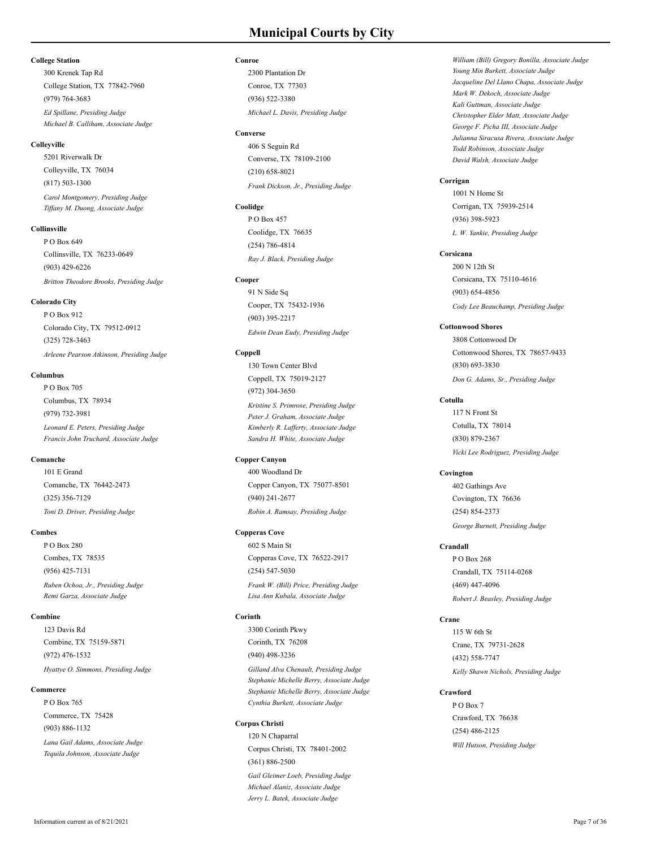## **College Station**

College Station, TX 77842-7960 300 Krenek Tap Rd (979) 764-3683

*Ed Spillane, Presiding Judge Michael B. Calliham, Associate Judge*

## **Colleyville**

Colleyville, TX 76034 5201 Riverwalk Dr (817) 503-1300 *Carol Montgomery, Presiding Judge Tiffany M. Duong, Associate Judge*

#### **Collinsville**

Collinsville, TX 76233-0649 P O Box 649 (903) 429-6226 *Britton Theodore Brooks, Presiding Judge*

#### **Colorado City**

Colorado City, TX 79512-0912 P O Box 912 (325) 728-3463 *Arleene Pearson Atkinson, Presiding Judge*

# **Columbus**

Columbus, TX 78934 P O Box 705 (979) 732-3981 *Leonard E. Peters, Presiding Judge Francis John Truchard, Associate Judge*

## **Comanche**

Comanche, TX 76442-2473 101 E Grand (325) 356-7129 *Toni D. Driver, Presiding Judge*

## **Combes**

Combes, TX 78535 P O Box 280 (956) 425-7131 *Ruben Ochoa, Jr., Presiding Judge*

*Remi Garza, Associate Judge*

# **Combine**

Combine, TX 75159-5871 123 Davis Rd (972) 476-1532 *Hyattye O. Simmons, Presiding Judge*

#### **Commerce**

Commerce, TX 75428 P O Box 765 (903) 886-1132

*Lana Gail Adams, Associate Judge Tequila Johnson, Associate Judge*

## **Conroe**

Conroe, TX 77303 2300 Plantation Dr (936) 522-3380 *Michael L. Davis, Presiding Judge*

#### **Converse**

Converse, TX 78109-2100 406 S Seguin Rd (210) 658-8021 *Frank Dickson, Jr., Presiding Judge*

## **Coolidge**

Coolidge, TX 76635 P O Box 457 (254) 786-4814 *Ray J. Black, Presiding Judge*

#### **Cooper**

Cooper, TX 75432-1936 91 N Side Sq (903) 395-2217 *Edwin Dean Eudy, Presiding Judge*

## **Coppell**

Coppell, TX 75019-2127 130 Town Center Blvd (972) 304-3650

*Kristine S. Primrose, Presiding Judge Peter J. Graham, Associate Judge Kimberly R. Lafferty, Associate Judge Sandra H. White, Associate Judge*

# **Copper Canyon**

Copper Canyon, TX 75077-8501 400 Woodland Dr (940) 241-2677 *Robin A. Ramsay, Presiding Judge*

# **Copperas Cove**

Copperas Cove, TX 76522-2917 602 S Main St (254) 547-5030

*Frank W. (Bill) Price, Presiding Judge Lisa Ann Kubala, Associate Judge*

# **Corinth**

Corinth, TX 76208 3300 Corinth Pkwy (940) 498-3236

*Gilland Alva Chenault, Presiding Judge Stephanie Michelle Berry, Associate Judge Stephanie Michelle Berry, Associate Judge Cynthia Burkett, Associate Judge*

## **Corpus Christi**

Corpus Christi, TX 78401-2002 120 N Chaparral (361) 886-2500 *Gail Gleimer Loeb, Presiding Judge Michael Alaniz, Associate Judge Jerry L. Batek, Associate Judge*

*William (Bill) Gregory Bonilla, Associate Judge Young Min Burkett, Associate Judge Jacqueline Del Llano Chapa, Associate Judge Mark W. Dekoch, Associate Judge Kali Guttman, Associate Judge Christopher Elder Matt, Associate Judge George F. Picha III, Associate Judge Julianna Siracusa Rivera, Associate Judge Todd Robinson, Associate Judge David Walsh, Associate Judge*

## **Corrigan**

Corrigan, TX 75939-2514 1001 N Home St (936) 398-5923 *L. W. Yankie, Presiding Judge*

**Corsicana** 200 N 12th St

Corsicana, TX 75110-4616 (903) 654-4856 *Cody Lee Beauchamp, Presiding Judge*

## **Cottonwood Shores**

Cottonwood Shores, TX 78657-9433 3808 Cottonwood Dr (830) 693-3830 *Don G. Adams, Sr., Presiding Judge*

### **Cotulla**

Cotulla, TX 78014 117 N Front St (830) 879-2367 *Vicki Lee Rodriguez, Presiding Judge*

## **Covington**

Covington, TX 76636 402 Gathings Ave (254) 854-2373 *George Burnett, Presiding Judge*

## **Crandall**

Crandall, TX 75114-0268 P O Box 268 (469) 447-4096 *Robert J. Beasley, Presiding Judge*

#### **Crane**

Crane, TX 79731-2628 115 W 6th St (432) 558-7747 *Kelly Shawn Nichols, Presiding Judge*

#### **Crawford**

Crawford, TX 76638 P O Box 7 (254) 486-2125 *Will Hutson, Presiding Judge*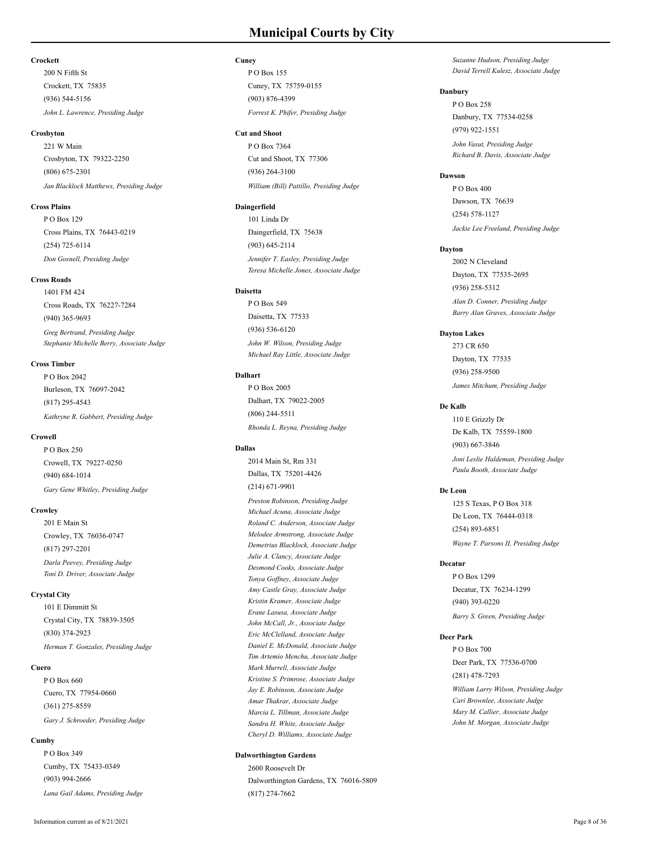## **Crockett**

Crockett, TX 75835 200 N Fifth St (936) 544-5156 *John L. Lawrence, Presiding Judge*

#### **Crosbyton**

Crosbyton, TX 79322-2250 221 W Main (806) 675-2301 *Jan Blacklock Matthews, Presiding Judge*

## **Cross Plains**

Cross Plains, TX 76443-0219 P O Box 129 (254) 725-6114 *Don Gosnell, Presiding Judge*

### **Cross Roads**

Cross Roads, TX 76227-7284 1401 FM 424 (940) 365-9693

*Greg Bertrand, Presiding Judge Stephanie Michelle Berry, Associate Judge*

### **Cross Timber**

Burleson, TX 76097-2042 P O Box 2042 (817) 295-4543 *Kathryne R. Gabbert, Presiding Judge*

#### **Crowell**

Crowell, TX 79227-0250 P O Box 250 (940) 684-1014 *Gary Gene Whitley, Presiding Judge*

#### **Crowley**

Crowley, TX 76036-0747 201 E Main St (817) 297-2201 *Darla Peevey, Presiding Judge Toni D. Driver, Associate Judge*

## **Crystal City**

Crystal City, TX 78839-3505 101 E Dimmitt St (830) 374-2923 *Herman T. Gonzales, Presiding Judge*

#### **Cuero**

Cuero, TX 77954-0660 P O Box 660 (361) 275-8559 *Gary J. Schroeder, Presiding Judge*

## **Cumby**

Cumby, TX 75433-0349 P O Box 349 (903) 994-2666 *Lana Gail Adams, Presiding Judge*

## **Cuney**

Cuney, TX 75759-0155 P O Box 155 (903) 876-4399 *Forrest K. Phifer, Presiding Judge*

#### **Cut and Shoot**

Cut and Shoot, TX 77306 P O Box 7364 (936) 264-3100 *William (Bill) Pattillo, Presiding Judge*

## **Daingerfield**

Daingerfield, TX 75638 101 Linda Dr (903) 645-2114 *Jennifer T. Easley, Presiding Judge Teresa Michelle Jones, Associate Judge*

#### **Daisetta**

Daisetta, TX 77533 P O Box 549 (936) 536-6120 *John W. Wilson, Presiding Judge Michael Ray Little, Associate Judge*

## **Dalhart**

Dalhart, TX 79022-2005 P O Box 2005 (806) 244-5511 *Rhonda L. Reyna, Presiding Judge*

#### **Dallas**

Dallas, TX 75201-4426 2014 Main St, Rm 331 (214) 671-9901

*Preston Robinson, Presiding Judge Michael Acuna, Associate Judge Roland C. Anderson, Associate Judge Melodee Armstrong, Associate Judge Demetrius Blacklock, Associate Judge Julie A. Clancy, Associate Judge Desmond Cooks, Associate Judge Tonya Goffney, Associate Judge Amy Castle Gray, Associate Judge Kristin Kramer, Associate Judge Erane Lasusa, Associate Judge John McCall, Jr., Associate Judge Eric McClelland, Associate Judge Daniel E. McDonald, Associate Judge Tim Artemio Menchu, Associate Judge Mark Murrell, Associate Judge Kristine S. Primrose, Associate Judge Jay E. Robinson, Associate Judge Amar Thakrar, Associate Judge Marcia L. Tillman, Associate Judge Sandra H. White, Associate Judge Cheryl D. Williams, Associate Judge*

## **Dalworthington Gardens**

Dalworthington Gardens, TX 76016-5809 2600 Roosevelt Dr (817) 274-7662

*Suzanne Hudson, Presiding Judge David Terrell Kulesz, Associate Judge*

#### **Danbury**

Danbury, TX 77534-0258 P O Box 258 (979) 922-1551 *John Vasut, Presiding Judge Richard B. Davis, Associate Judge*

# **Dawson**

Dawson, TX 76639 P O Box 400 (254) 578-1127 *Jackie Lee Freeland, Presiding Judge*

## **Dayton**

Dayton, TX 77535-2695 2002 N Cleveland (936) 258-5312 *Alan D. Conner, Presiding Judge*

*Barry Alan Graves, Associate Judge*

# **Dayton Lakes**

Dayton, TX 77535 273 CR 650 (936) 258-9500 *James Mitchum, Presiding Judge*

### **De Kalb**

De Kalb, TX 75559-1800 110 E Grizzly Dr (903) 667-3846

*Joni Leslie Haldeman, Presiding Judge Paula Booth, Associate Judge*

# **De Leon**

De Leon, TX 76444-0318 125 S Texas, P O Box 318 (254) 893-6851 *Wayne T. Parsons II, Presiding Judge*

# **Decatur**

Decatur, TX 76234-1299 P O Box 1299 (940) 393-0220 *Barry S. Green, Presiding Judge*

## **Deer Park**

Deer Park, TX 77536-0700 P O Box 700 (281) 478-7293 *William Larry Wilson, Presiding Judge Cari Brownlee, Associate Judge*

*Mary M. Callier, Associate Judge John M. Morgan, Associate Judge*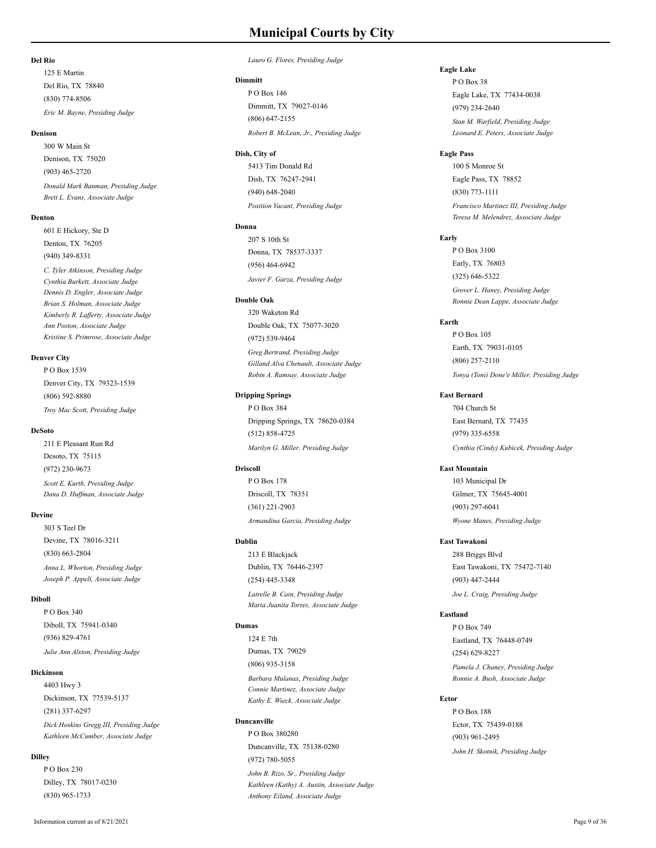## **Del Rio**

Del Rio, TX 78840 125 E Martin (830) 774-8506 *Eric M. Bayne, Presiding Judge*

#### **Denison**

Denison, TX 75020 300 W Main St (903) 465-2720 *Donald Mark Banman, Presiding Judge Brett L. Evans, Associate Judge*

#### **Denton**

Denton, TX 76205 601 E Hickory, Ste D (940) 349-8331

*C. Tyler Atkinson, Presiding Judge Cynthia Burkett, Associate Judge Dennis D. Engler, Associate Judge Brian S. Holman, Associate Judge Kimberly R. Lafferty, Associate Judge Ann Poston, Associate Judge Kristine S. Primrose, Associate Judge*

## **Denver City**

Denver City, TX 79323-1539 P O Box 1539 (806) 592-8880 *Troy Mac Scott, Presiding Judge*

#### **DeSoto**

Desoto, TX 75115 211 E Pleasant Run Rd (972) 230-9673 *Scott E. Kurth, Presiding Judge Dana D. Huffman, Associate Judge*

#### **Devine**

Devine, TX 78016-3211 303 S Teel Dr (830) 663-2804 *Anna L. Whorton, Presiding Judge Joseph P. Appelt, Associate Judge*

## **Diboll**

Diboll, TX 75941-0340 P O Box 340 (936) 829-4761 *Julie Ann Alston, Presiding Judge*

## **Dickinson**

Dickinson, TX 77539-5137 4403 Hwy 3 (281) 337-6297 *Dick Hoskins Gregg III, Presiding Judge Kathleen McCumber, Associate Judge*

#### **Dilley**

Dilley, TX 78017-0230 P O Box 230 (830) 965-1733

#### *Lauro G. Flores, Presiding Judge*

#### **Dimmitt**

Dimmitt, TX 79027-0146 P O Box 146 (806) 647-2155 *Robert B. McLean, Jr., Presiding Judge*

#### **Dish, City of**

Dish, TX 76247-2941 5413 Tim Donald Rd (940) 648-2040 *Position Vacant, Presiding Judge*

#### **Donna**

Donna, TX 78537-3337 207 S 10th St (956) 464-6942 *Javier F. Garza, Presiding Judge*

## **Double Oak**

Double Oak, TX 75077-3020 320 Waketon Rd (972) 539-9464 *Greg Bertrand, Presiding Judge Gilland Alva Chenault, Associate Judge Robin A. Ramsay, Associate Judge*

## **Dripping Springs**

Dripping Springs, TX 78620-0384 P O Box 384 (512) 858-4725 *Marilyn G. Miller, Presiding Judge*

#### **Driscoll**

Driscoll, TX 78351 P O Box 178 (361) 221-2903 *Armandina Garcia, Presiding Judge*

#### **Dublin**

Dublin, TX 76446-2397 213 E Blackjack (254) 445-3348 *Latrelle B. Cain, Presiding Judge*

*Maria Juanita Torres, Associate Judge*

# **Dumas**

Dumas, TX 79029 124 E 7th (806) 935-3158

*Barbara Mulanax, Presiding Judge Connie Martinez, Associate Judge Kathy E. Wieck, Associate Judge*

## **Duncanville**

Duncanville, TX 75138-0280 P O Box 380280 (972) 780-5055

*John B. Rizo, Sr., Presiding Judge Kathleen (Kathy) A. Austin, Associate Judge Anthony Eiland, Associate Judge*

# **Eagle Lake**

Eagle Lake, TX 77434-0038 PO Box 38 (979) 234-2640 *Stan M. Warfield, Presiding Judge Leonard E. Peters, Associate Judge*

## **Eagle Pass**

Eagle Pass, TX 78852 100 S Monroe St (830) 773-1111 *Francisco Martinez III, Presiding Judge Teresa M. Melendrez, Associate Judge*

## **Early**

Early, TX 76803 P O Box 3100 (325) 646-5322 *Grover L. Haney, Presiding Judge Ronnie Dean Lappe, Associate Judge*

#### **Earth**

Earth, TX 79031-0105 P O Box 105 (806) 257-2110 *Tonya (Toni) Done'e Miller, Presiding Judge*

## **East Bernard**

East Bernard, TX 77435 704 Church St (979) 335-6558 *Cynthia (Cindy) Kubicek, Presiding Judge*

# **East Mountain**

Gilmer, TX 75645-4001 103 Municipal Dr (903) 297-6041 *Wyone Manes, Presiding Judge*

#### **East Tawakoni**

East Tawakoni, TX 75472-7140 288 Briggs Blvd (903) 447-2444 *Joe L. Craig, Presiding Judge*

## **Eastland**

Eastland, TX 76448-0749 P O Box 749 (254) 629-8227 *Pamela J. Chaney, Presiding Judge*

*Ronnie A. Bush, Associate Judge*

## **Ector**

Ector, TX 75439-0188 P O Box 188 (903) 961-2495 *John H. Skotnik, Presiding Judge*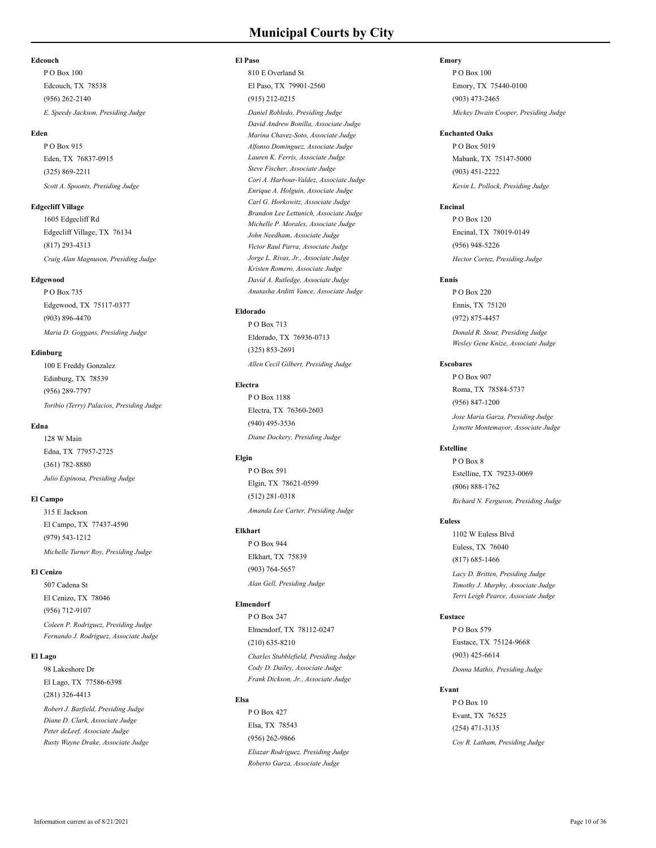## **Edcouch**

Edcouch, TX 78538 P O Box 100 (956) 262-2140 *E. Speedy Jackson, Presiding Judge*

#### **Eden**

Eden, TX 76837-0915  $P \cap R_{\alpha v} 015$ (325) 869-2211 *Scott A. Spoonts, Presiding Judge*

## **Edgecliff Village**

Edgecliff Village, TX 76134 1605 Edgecliff Rd (817) 293-4313 *Craig Alan Magnuson, Presiding Judge*

#### **Edgewood**

Edgewood, TX 75117-0377 P O Box 735 (903) 896-4470 *Maria D. Goggans, Presiding Judge*

## **Edinburg**

Edinburg, TX 78539 100 E Freddy Gonzalez (956) 289-7797 *Toribio (Terry) Palacios, Presiding Judge*

## **Edna**

Edna, TX 77957-2725 128 W Main (361) 782-8880 *Julio Espinosa, Presiding Judge*

## **El Campo**

El Campo, TX 77437-4590 315 E Jackson (979) 543-1212 *Michelle Turner Roy, Presiding Judge*

## **El Cenizo**

El Cenizo, TX 78046 507 Cadena St (956) 712-9107 *Coleen P. Rodriguez, Presiding Judge Fernando J. Rodriguez, Associate Judge*

## **El Lago**

El Lago, TX 77586-6398 98 Lakeshore Dr (281) 326-4413 *Robert J. Barfield, Presiding Judge Diane D. Clark, Associate Judge Peter deLeef, Associate Judge Rusty Wayne Drake, Associate Judge*

#### **El Paso**

El Paso, TX 79901-2560 810 E Overland St (915) 212-0215

*Daniel Robledo, Presiding Judge David Andrew Bonilla, Associate Judge Marina Chavez-Soto, Associate Judge Alfonso Dominguez, Associate Judge Lauren K. Ferris, Associate Judge Steve Fischer, Associate Judge Cori A. Harbour-Valdez, Associate Judge Enrique A. Holguin, Associate Judge Carl G. Horkowitz, Associate Judge Brandon Lee Lettunich, Associate Judge Michelle P. Morales, Associate Judge John Needham, Associate Judge Victor Raul Parra, Associate Judge Jorge L. Rivas, Jr., Associate Judge Kristen Romero, Associate Judge David A. Rutledge, Associate Judge Anatasha Arditti Vance, Associate Judge*

### **Eldorado**

Eldorado, TX 76936-0713 P O Box 713 (325) 853-2691 *Allen Cecil Gilbert, Presiding Judge*

#### **Electra**

Electra, TX 76360-2603 P O Box 1188 (940) 495-3536 *Diane Dockery, Presiding Judge*

## **Elgin**

Elgin, TX 78621-0599 P O Box 591 (512) 281-0318 *Amanda Lee Carter, Presiding Judge*

### **Elkhart**

Elkhart, TX 75839 P O Box 944 (903) 764-5657 *Alan Gell, Presiding Judge*

## **Elmendorf**

Elmendorf, TX 78112-0247 P O Box 247 (210) 635-8210 *Charles Stubblefield, Presiding Judge Cody D. Dailey, Associate Judge Frank Dickson, Jr., Associate Judge*

# **Elsa**

Elsa, TX 78543 P O Box 427 (956) 262-9866

*Eliazar Rodriguez, Presiding Judge Roberto Garza, Associate Judge*

## **Emory**

Emory, TX 75440-0100 P O Box 100 (903) 473-2465 *Mickey Dwain Cooper, Presiding Judge*

### **Enchanted Oaks**

Mabank, TX 75147-5000 P O Box 5019 (903) 451-2222 *Kevin L. Pollock, Presiding Judge*

# **Encinal**

Encinal, TX 78019-0149 P O Box 120 (956) 948-5226 *Hector Cortez, Presiding Judge*

# **Ennis**

Ennis, TX 75120 P O Box 220 (972) 875-4457

*Donald R. Stout, Presiding Judge Wesley Gene Knize, Associate Judge*

# **Escobares**

Roma, TX 78584-5737 P O Box 907 (956) 847-1200 *Jose Maria Garza, Presiding Judge Lynette Montemayor, Associate Judge*

# **Estelline**

Estelline, TX 79233-0069 P O Box 8 (806) 888-1762 *Richard N. Ferguson, Presiding Judge*

#### **Euless**

Euless, TX 76040 1102 W Euless Blvd (817) 685-1466

*Lacy D. Britten, Presiding Judge Timothy J. Murphy, Associate Judge Terri Leigh Pearce, Associate Judge*

# **Eustace**

Eustace, TX 75124-9668 P O Box 579 (903) 425-6614 *Donna Mathis, Presiding Judge*

### **Evant**

Evant, TX 76525 P O Box 10 (254) 471-3135 *Coy R. Latham, Presiding Judge*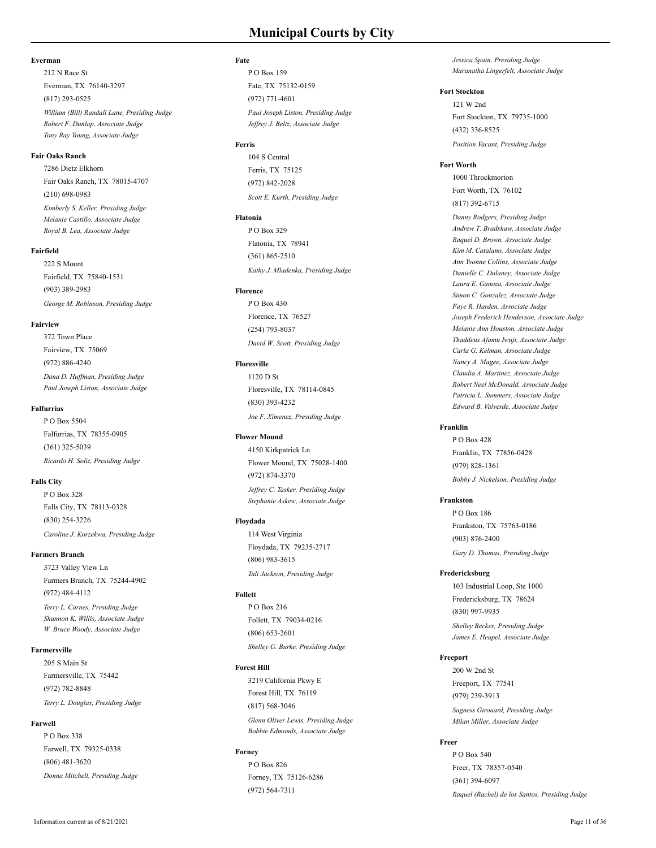## **Everman**

Everman, TX 76140-3297 212 N Race St (817) 293-0525 *William (Bill) Randall Lane, Presiding Judge Robert F. Dunlap, Associate Judge Tony Ray Young, Associate Judge*

## **Fair Oaks Ranch**

Fair Oaks Ranch, TX 78015-4707 7286 Dietz Elkhorn (210) 698-0983

*Kimberly S. Keller, Presiding Judge Melanie Castillo, Associate Judge Royal B. Lea, Associate Judge*

### **Fairfield**

Fairfield, TX 75840-1531 222 S Mount (903) 389-2983 *George M. Robinson, Presiding Judge*

#### **Fairview**

Fairview, TX 75069 372 Town Place (972) 886-4240 *Dana D. Huffman, Presiding Judge Paul Joseph Liston, Associate Judge*

## **Falfurrias**

Falfurrias, TX 78355-0905 P O Box 5504 (361) 325-5039 *Ricardo H. Soliz, Presiding Judge*

## **Falls City**

Falls City, TX 78113-0328 P O Box 328 (830) 254-3226 *Caroline J. Korzekwa, Presiding Judge*

#### **Farmers Branch**

Farmers Branch, TX 75244-4902 3723 Valley View Ln (972) 484-4112 *Terry L. Carnes, Presiding Judge Shannon K. Willis, Associate Judge W. Bruce Woody, Associate Judge*

#### **Farmersville**

Farmersville, TX 75442 205 S Main St (972) 782-8848 *Terry L. Douglas, Presiding Judge*

#### **Farwell**

Farwell, TX 79325-0338 P O Box 338 (806) 481-3620 *Donna Mitchell, Presiding Judge*

## **Fate**

Fate, TX 75132-0159 P O Box 159 (972) 771-4601 *Paul Joseph Liston, Presiding Judge Jeffrey J. Beltz, Associate Judge*

# **Ferris**

Ferris, TX 75125 104 S Central (972) 842-2028 *Scott E. Kurth, Presiding Judge*

#### **Flatonia**

Flatonia, TX 78941 P O Box 329 (361) 865-2510 *Kathy J. Mladenka, Presiding Judge*

#### **Florence**

Florence, TX 76527 P O Box 430 (254) 793-8037 *David W. Scott, Presiding Judge*

#### **Floresville**

Floresville, TX 78114-0845 1120 D St (830) 393-4232 *Joe F. Ximenez, Presiding Judge*

#### **Flower Mound**

Flower Mound, TX 75028-1400 4150 Kirkpatrick Ln (972) 874-3370 *Jeffrey C. Tasker, Presiding Judge Stephanie Askew, Associate Judge*

#### **Floydada**

Floydada, TX 79235-2717 114 West Virginia (806) 983-3615 *Tali Jackson, Presiding Judge*

## **Follett**

Follett, TX 79034-0216 P O Box 216 (806) 653-2601 *Shelley G. Burke, Presiding Judge*

#### **Forest Hill**

Forest Hill, TX 76119 3219 California Pkwy E (817) 568-3046 *Glenn Oliver Lewis, Presiding Judge Bobbie Edmonds, Associate Judge*

#### **Forney**

Forney, TX 75126-6286 P O Box 826 (972) 564-7311

*Jessica Spain, Presiding Judge Maranatha Lingerfelt, Associate Judge*

## **Fort Stockton**

Fort Stockton, TX 79735-1000 121 W 2nd (432) 336-8525 *Position Vacant, Presiding Judge*

#### **Fort Worth**

Fort Worth, TX 76102 1000 Throckmorton (817) 392-6715

*Danny Rodgers, Presiding Judge Andrew T. Bradshaw, Associate Judge Raquel D. Brown, Associate Judge Kim M. Catalano, Associate Judge Ann Yvonne Collins, Associate Judge Danielle C. Dulaney, Associate Judge Laura E. Ganoza, Associate Judge Simon C. Gonzalez, Associate Judge Faye R. Harden, Associate Judge Joseph Frederick Henderson, Associate Judge Melanie Ann Houston, Associate Judge Thaddeus Afamu Iwuji, Associate Judge Carla G. Kelman, Associate Judge Nancy A. Magee, Associate Judge Claudia A. Martinez, Associate Judge Robert Neel McDonald, Associate Judge Patricia L. Summers, Associate Judge Edward B. Valverde, Associate Judge*

## **Franklin**

Franklin, TX 77856-0428 P O Box 428 (979) 828-1361 *Bobby J. Nickelson, Presiding Judge*

#### **Frankston**

Frankston, TX 75763-0186 P O Box 186 (903) 876-2400 *Gary D. Thomas, Presiding Judge*

#### **Fredericksburg**

Fredericksburg, TX 78624 103 Industrial Loop, Ste 1000 (830) 997-9935

*Shelley Becker, Presiding Judge James E. Heupel, Associate Judge*

#### **Freeport**

Freeport, TX 77541 200 W 2nd St (979) 239-3913 *Sagness Girouard, Presiding Judge Milan Miller, Associate Judge*

# **Freer**

Freer, TX 78357-0540 P O Box 540 (361) 394-6097 *Raquel (Rachel) de los Santos, Presiding Judge*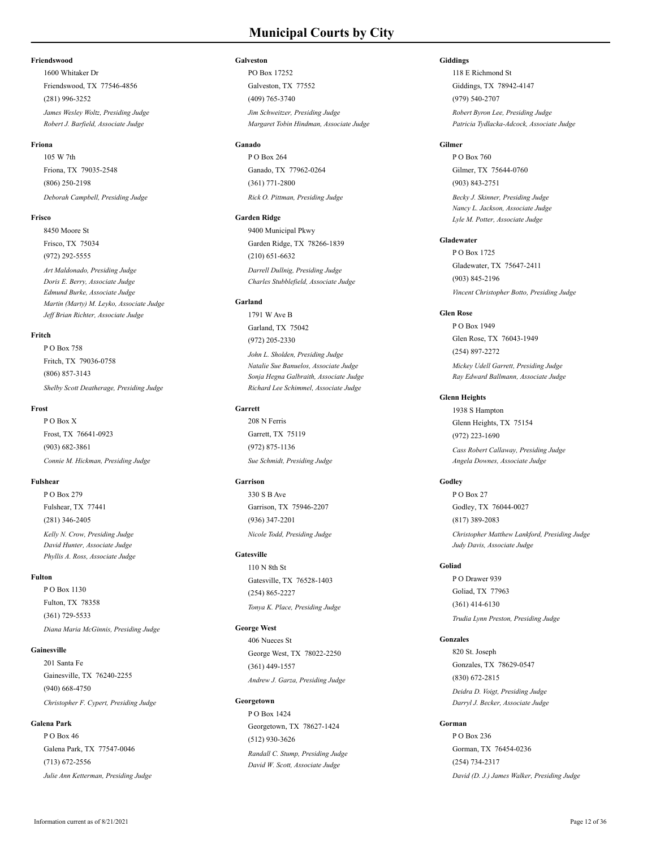## **Friendswood**

Friendswood, TX 77546-4856 1600 Whitaker Dr (281) 996-3252

*James Wesley Woltz, Presiding Judge Robert J. Barfield, Associate Judge*

# **Friona**

Friona, TX 79035-2548 105 W 7th (806) 250-2198 *Deborah Campbell, Presiding Judge*

## **Frisco**

Frisco, TX 75034 8450 Moore St (972) 292-5555

*Art Maldonado, Presiding Judge Doris E. Berry, Associate Judge Edmund Burke, Associate Judge Martin (Marty) M. Leyko, Associate Judge Jeff Brian Richter, Associate Judge*

## **Fritch**

Fritch, TX 79036-0758 P O Box 758 (806) 857-3143 *Shelby Scott Deatherage, Presiding Judge*

#### **Frost**

Frost, TX 76641-0923 P O Box X (903) 682-3861 *Connie M. Hickman, Presiding Judge*

## **Fulshear**

Fulshear, TX 77441 P O Box 279 (281) 346-2405 *Kelly N. Crow, Presiding Judge David Hunter, Associate Judge Phyllis A. Ross, Associate Judge*

## **Fulton**

Fulton, TX 78358 P O Box 1130 (361) 729-5533 *Diana Maria McGinnis, Presiding Judge*

#### **Gainesville**

Gainesville, TX 76240-2255 201 Santa Fe (940) 668-4750 *Christopher F. Cypert, Presiding Judge*

## **Galena Park**

Galena Park, TX 77547-0046 P O Box 46 (713) 672-2556 *Julie Ann Ketterman, Presiding Judge*

#### **Galveston**

Galveston, TX 77552 PO Box 17252 (409) 765-3740 *Jim Schweitzer, Presiding Judge Margaret Tobin Hindman, Associate Judge*

## **Ganado**

Ganado, TX 77962-0264 P O Box 264 (361) 771-2800 *Rick O. Pittman, Presiding Judge*

#### **Garden Ridge**

Garden Ridge, TX 78266-1839 9400 Municipal Pkwy (210) 651-6632

*Darrell Dullnig, Presiding Judge Charles Stubblefield, Associate Judge*

## **Garland**

Garland, TX 75042 1791 W Ave B (972) 205-2330

*John L. Sholden, Presiding Judge Natalie Sue Banuelos, Associate Judge Sonja Hegna Galbraith, Associate Judge Richard Lee Schimmel, Associate Judge*

# **Garrett**

Garrett, TX 75119 208 N Ferris (972) 875-1136 *Sue Schmidt, Presiding Judge*

## **Garrison**

Garrison, TX 75946-2207 330 S B Ave (936) 347-2201 *Nicole Todd, Presiding Judge*

## **Gatesville**

Gatesville, TX 76528-1403 110 N 8th St (254) 865-2227 *Tonya K. Place, Presiding Judge*

#### **George West**

George West, TX 78022-2250 406 Nueces St (361) 449-1557 *Andrew J. Garza, Presiding Judge*

### **Georgetown**

Georgetown, TX 78627-1424 P O Box 1424 (512) 930-3626 *Randall C. Stump, Presiding Judge David W. Scott, Associate Judge*

## **Giddings**

Giddings, TX 78942-4147 118 E Richmond St (979) 540-2707

*Robert Byron Lee, Presiding Judge Patricia Tydlacka-Adcock, Associate Judge*

## **Gilmer**

Gilmer, TX 75644-0760 P O Box 760 (903) 843-2751

*Becky J. Skinner, Presiding Judge Nancy L. Jackson, Associate Judge Lyle M. Potter, Associate Judge*

# **Gladewater**

Gladewater, TX 75647-2411 P O Box 1725 (903) 845-2196 *Vincent Christopher Botto, Presiding Judge*

### **Glen Rose**

Glen Rose, TX 76043-1949 P O Box 1949 (254) 897-2272 *Mickey Udell Garrett, Presiding Judge Ray Edward Ballmann, Associate Judge*

#### **Glenn Heights**

Glenn Heights, TX 75154 1938 S Hampton (972) 223-1690 *Cass Robert Callaway, Presiding Judge Angela Downes, Associate Judge*

## **Godley**

Godley, TX 76044-0027 P O Box 27 (817) 389-2083 *Christopher Matthew Lankford, Presiding Judge Judy Davis, Associate Judge*

## **Goliad**

Goliad, TX 77963 P O Drawer 939 (361) 414-6130 *Trudia Lynn Preston, Presiding Judge*

#### **Gonzales**

Gonzales, TX 78629-0547 820 St. Joseph (830) 672-2815 *Deidra D. Voigt, Presiding Judge Darryl J. Becker, Associate Judge*

#### **Gorman**

Gorman, TX 76454-0236 P O Box 236 (254) 734-2317 *David (D. J.) James Walker, Presiding Judge*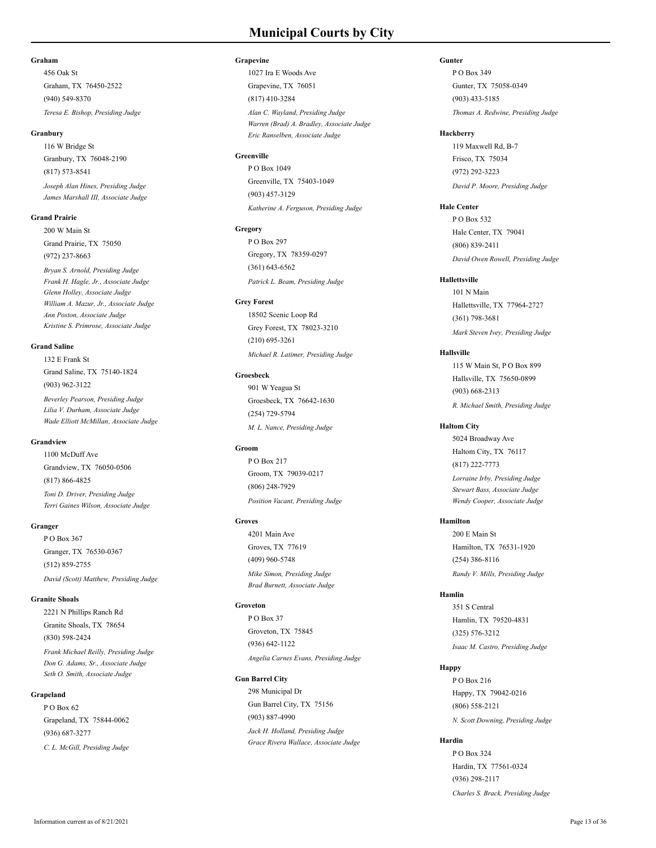## **Graham**

Graham, TX 76450-2522 456 Oak St (940) 549-8370 *Teresa E. Bishop, Presiding Judge*

#### **Granbury**

Granbury, TX 76048-2190 116 W Bridge St (817) 573-8541 *Joseph Alan Hines, Presiding Judge James Marshall III, Associate Judge*

#### **Grand Prairie**

Grand Prairie, TX 75050 200 W Main St (972) 237-8663

*Bryan S. Arnold, Presiding Judge Frank H. Hagle, Jr., Associate Judge Glenn Holley, Associate Judge William A. Mazur, Jr., Associate Judge Ann Poston, Associate Judge Kristine S. Primrose, Associate Judge*

## **Grand Saline**

Grand Saline, TX 75140-1824 132 E Frank St (903) 962-3122 *Beverley Pearson, Presiding Judge Lilia V. Durham, Associate Judge Wade Elliott McMillan, Associate Judge*

## **Grandview**

Grandview, TX 76050-0506 1100 McDuff Ave (817) 866-4825 *Toni D. Driver, Presiding Judge*

*Terri Gaines Wilson, Associate Judge*

#### **Granger**

Granger, TX 76530-0367 P O Box 367 (512) 859-2755 *David (Scott) Matthew, Presiding Judge*

#### **Granite Shoals**

Granite Shoals, TX 78654 2221 N Phillips Ranch Rd (830) 598-2424 *Frank Michael Reilly, Presiding Judge Don G. Adams, Sr., Associate Judge Seth O. Smith, Associate Judge*

#### **Grapeland**

Grapeland, TX 75844-0062 P O Box 62 (936) 687-3277 *C. L. McGill, Presiding Judge*

## **Grapevine**

Grapevine, TX 76051 1027 Ira E Woods Ave (817) 410-3284 *Alan C. Wayland, Presiding Judge*

*Warren (Brad) A. Bradley, Associate Judge Eric Ranselben, Associate Judge*

# **Greenville**

Greenville, TX 75403-1049 P O Box 1049 (903) 457-3129 *Katherine A. Ferguson, Presiding Judge*

#### **Gregory**

Gregory, TX 78359-0297 P O Box 297 (361) 643-6562 *Patrick L. Beam, Presiding Judge*

#### **Grey Forest**

Grey Forest, TX 78023-3210 18502 Scenic Loop Rd (210) 695-3261 *Michael R. Latimer, Presiding Judge*

#### **Groesbeck**

Groesbeck, TX 76642-1630 901 W Yeagua St (254) 729-5794 *M. L. Nance, Presiding Judge*

#### **Groom**

Groom, TX 79039-0217 P O Box 217 (806) 248-7929 *Position Vacant, Presiding Judge*

#### **Groves**

Groves, TX 77619 4201 Main Ave (409) 960-5748 *Mike Simon, Presiding Judge Brad Burnett, Associate Judge*

# **Groveton**

Groveton, TX 75845  $P \cap \text{Box } 37$ (936) 642-1122 *Angelia Carnes Evans, Presiding Judge*

## **Gun Barrel City**

Gun Barrel City, TX 75156 298 Municipal Dr (903) 887-4990 *Jack H. Holland, Presiding Judge Grace Rivera Wallace, Associate Judge*

## **Gunter**

Gunter, TX 75058-0349 P O Box 349 (903) 433-5185 *Thomas A. Redwine, Presiding Judge*

## **Hackberry**

Frisco, TX 75034 119 Maxwell Rd, B-7 (972) 292-3223 *David P. Moore, Presiding Judge*

# **Hale Center**

Hale Center, TX 79041 P O Box 532 (806) 839-2411 *David Owen Rowell, Presiding Judge*

## **Hallettsville**

Hallettsville, TX 77964-2727 101 N Main (361) 798-3681 *Mark Steven Ivey, Presiding Judge*

## **Hallsville**

Hallsville, TX 75650-0899 115 W Main St, P O Box 899 (903) 668-2313 *R. Michael Smith, Presiding Judge*

#### **Haltom City**

Haltom City, TX 76117 5024 Broadway Ave (817) 222-7773 *Lorraine Irby, Presiding Judge Stewart Bass, Associate Judge Wendy Cooper, Associate Judge*

## **Hamilton**

Hamilton, TX 76531-1920 200 E Main St (254) 386-8116 *Randy V. Mills, Presiding Judge*

# **Hamlin**

Hamlin, TX 79520-4831 351 S Central (325) 576-3212 *Isaac M. Castro, Presiding Judge*

#### **Happy**

Happy, TX 79042-0216 P O Box 216 (806) 558-2121 *N. Scott Downing, Presiding Judge*

# **Hardin**

Hardin, TX 77561-0324 P O Box 324 (936) 298-2117 *Charles S. Brack, Presiding Judge*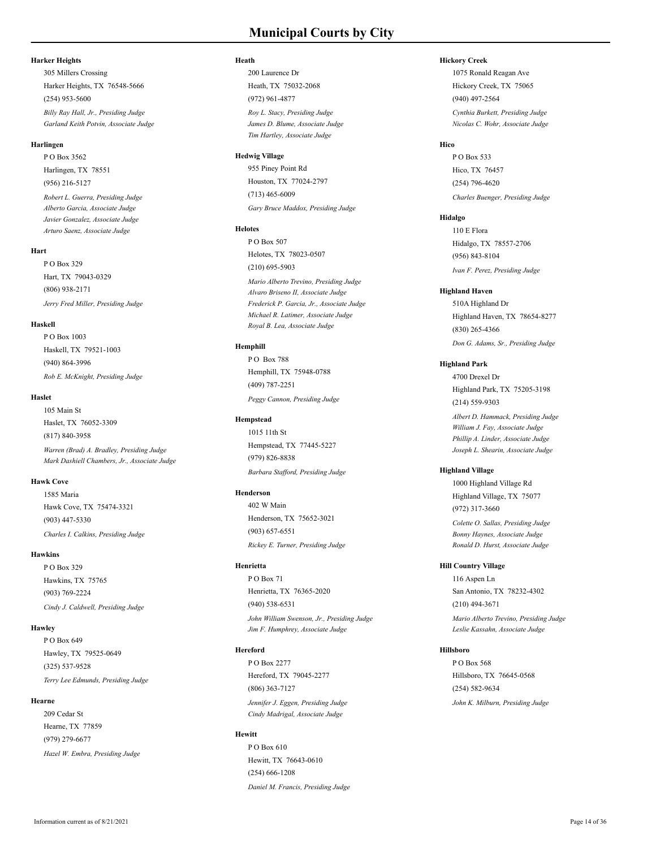## **Harker Heights**

Harker Heights, TX 76548-5666 305 Millers Crossing (254) 953-5600

*Billy Ray Hall, Jr., Presiding Judge Garland Keith Potvin, Associate Judge*

## **Harlingen**

Harlingen, TX 78551 P O Box 3562 (956) 216-5127

*Robert L. Guerra, Presiding Judge Alberto Garcia, Associate Judge Javier Gonzalez, Associate Judge Arturo Saenz, Associate Judge*

## **Hart**

Hart, TX 79043-0329 P O Box 329 (806) 938-2171 *Jerry Fred Miller, Presiding Judge*

#### **Haskell**

Haskell, TX 79521-1003 P O Box 1003 (940) 864-3996 *Rob E. McKnight, Presiding Judge*

# **Haslet**

Haslet, TX 76052-3309 105 Main St (817) 840-3958 *Warren (Brad) A. Bradley, Presiding Judge Mark Dashiell Chambers, Jr., Associate Judge*

## **Hawk Cove**

Hawk Cove, TX 75474-3321 1585 Maria (903) 447-5330 *Charles I. Calkins, Presiding Judge*

## **Hawkins**

Hawkins, TX 75765 P O Box 329 (903) 769-2224 *Cindy J. Caldwell, Presiding Judge*

#### **Hawley**

Hawley, TX 79525-0649 P O Box 649 (325) 537-9528 *Terry Lee Edmunds, Presiding Judge*

#### **Hearne**

Hearne, TX 77859 209 Cedar St (979) 279-6677 *Hazel W. Embra, Presiding Judge*

## **Heath**

Heath, TX 75032-2068 200 Laurence Dr (972) 961-4877

*Roy L. Stacy, Presiding Judge James D. Blume, Associate Judge Tim Hartley, Associate Judge*

# **Hedwig Village**

Houston, TX 77024-2797 955 Piney Point Rd (713) 465-6009 *Gary Bruce Maddox, Presiding Judge*

## **Helotes**

Helotes, TX 78023-0507 P O Box 507 (210) 695-5903 *Mario Alberto Trevino, Presiding Judge Alvaro Briseno II, Associate Judge Frederick P. Garcia, Jr., Associate Judge Michael R. Latimer, Associate Judge Royal B. Lea, Associate Judge*

# **Hemphill**

Hemphill, TX 75948-0788 P O Box 788 (409) 787-2251 *Peggy Cannon, Presiding Judge*

#### **Hempstead**

Hempstead, TX 77445-5227 1015 11th St (979) 826-8838 *Barbara Stafford, Presiding Judge*

#### **Henderson**

Henderson, TX 75652-3021 402 W Main (903) 657-6551 *Rickey E. Turner, Presiding Judge*

# **Henrietta**

Henrietta, TX 76365-2020 P O Box 71 (940) 538-6531 *John William Swenson, Jr., Presiding Judge Jim F. Humphrey, Associate Judge*

# **Hereford**

Hereford, TX 79045-2277 P O Box 2277 (806) 363-7127 *Jennifer J. Eggen, Presiding Judge Cindy Madrigal, Associate Judge*

# **Hewitt**

Hewitt, TX 76643-0610 P O Box 610 (254) 666-1208 *Daniel M. Francis, Presiding Judge*

## **Hickory Creek**

Hickory Creek, TX 75065 1075 Ronald Reagan Ave (940) 497-2564

*Cynthia Burkett, Presiding Judge Nicolas C. Wohr, Associate Judge*

## **Hico**

Hico, TX 76457 P O Box 533 (254) 796-4620 *Charles Buenger, Presiding Judge*

# **Hidalgo**

Hidalgo, TX 78557-2706 110 E Flora (956) 843-8104 *Ivan F. Perez, Presiding Judge*

#### **Highland Haven**

Highland Haven, TX 78654-8277 510A Highland Dr (830) 265-4366 *Don G. Adams, Sr., Presiding Judge*

## **Highland Park**

Highland Park, TX 75205-3198 4700 Drexel Dr (214) 559-9303

*Albert D. Hammack, Presiding Judge William J. Fay, Associate Judge Phillip A. Linder, Associate Judge Joseph L. Shearin, Associate Judge*

# **Highland Village**

Highland Village, TX 75077 1000 Highland Village Rd (972) 317-3660 *Colette O. Sallas, Presiding Judge Bonny Haynes, Associate Judge Ronald D. Hurst, Associate Judge*

## **Hill Country Village**

San Antonio, TX 78232-4302 116 Aspen Ln (210) 494-3671 *Mario Alberto Trevino, Presiding Judge Leslie Kassahn, Associate Judge*

# **Hillsboro**

Hillsboro, TX 76645-0568 P O Box 568 (254) 582-9634 *John K. Milburn, Presiding Judge*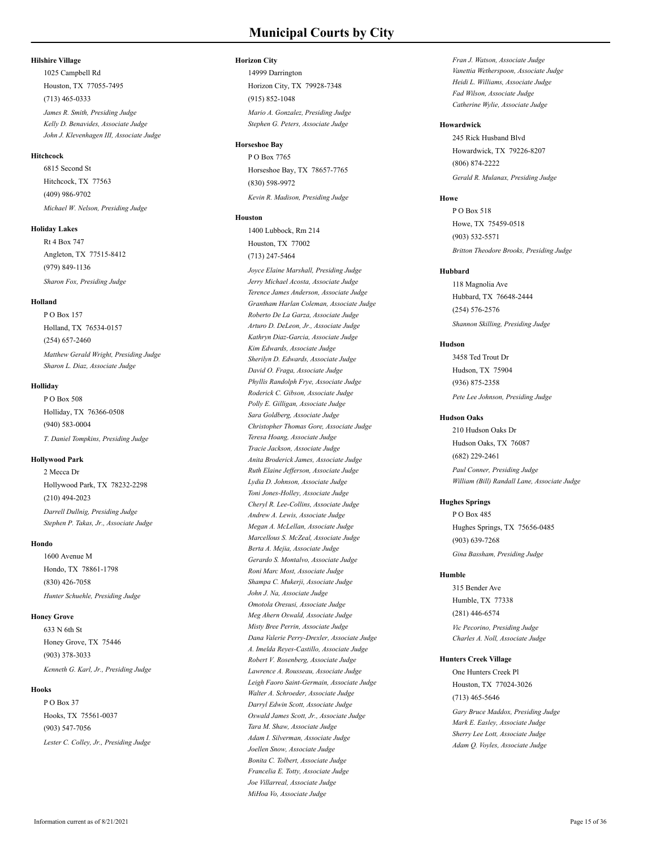## **Hilshire Village**

Houston, TX 77055-7495 1025 Campbell Rd (713) 465-0333

*James R. Smith, Presiding Judge Kelly D. Benavides, Associate Judge John J. Klevenhagen III, Associate Judge*

#### **Hitchcock**

Hitchcock, TX 77563 6815 Second St (409) 986-9702 *Michael W. Nelson, Presiding Judge*

#### **Holiday Lakes**

Angleton, TX 77515-8412 Rt 4 Box 747 (979) 849-1136 *Sharon Fox, Presiding Judge*

#### **Holland**

Holland, TX 76534-0157 P O Box 157 (254) 657-2460 *Matthew Gerald Wright, Presiding Judge Sharon L. Diaz, Associate Judge*

#### **Holliday**

Holliday, TX 76366-0508 P O Box 508 (940) 583-0004 *T. Daniel Tompkins, Presiding Judge*

#### **Hollywood Park**

Hollywood Park, TX 78232-2298 2 Mecca Dr (210) 494-2023 *Darrell Dullnig, Presiding Judge Stephen P. Takas, Jr., Associate Judge*

## **Hondo**

Hondo, TX 78861-1798 1600 Avenue M (830) 426-7058 *Hunter Schuehle, Presiding Judge*

#### **Honey Grove**

Honey Grove, TX 75446 633 N 6th St (903) 378-3033 *Kenneth G. Karl, Jr., Presiding Judge*

#### **Hooks**

Hooks, TX 75561-0037 P O Box 37 (903) 547-7056 *Lester C. Colley, Jr., Presiding Judge*

#### **Horizon City**

Horizon City, TX 79928-7348 14999 Darrington (915) 852-1048

*Mario A. Gonzalez, Presiding Judge Stephen G. Peters, Associate Judge*

# **Horseshoe Bay**

Horseshoe Bay, TX 78657-7765 P O Box 7765 (830) 598-9972 *Kevin R. Madison, Presiding Judge*

#### **Houston**

Houston, TX 77002 1400 Lubbock, Rm 214 (713) 247-5464

*Joyce Elaine Marshall, Presiding Judge Jerry Michael Acosta, Associate Judge Terence James Anderson, Associate Judge Grantham Harlan Coleman, Associate Judge Roberto De La Garza, Associate Judge Arturo D. DeLeon, Jr., Associate Judge Kathryn Diaz-Garcia, Associate Judge Kim Edwards, Associate Judge Sherilyn D. Edwards, Associate Judge David O. Fraga, Associate Judge Phyllis Randolph Frye, Associate Judge Roderick C. Gibson, Associate Judge Polly E. Gilligan, Associate Judge Sara Goldberg, Associate Judge Christopher Thomas Gore, Associate Judge Teresa Hoang, Associate Judge Tracie Jackson, Associate Judge Anita Broderick James, Associate Judge Ruth Elaine Jefferson, Associate Judge Lydia D. Johnson, Associate Judge Toni Jones-Holley, Associate Judge Cheryl R. Lee-Collins, Associate Judge Andrew A. Lewis, Associate Judge Megan A. McLellan, Associate Judge Marcellous S. McZeal, Associate Judge Berta A. Mejia, Associate Judge Gerardo S. Montalvo, Associate Judge Roni Marc Most, Associate Judge Shampa C. Mukerji, Associate Judge John J. Na, Associate Judge Omotola Oresusi, Associate Judge Meg Ahern Oswald, Associate Judge Misty Bree Perrin, Associate Judge Dana Valerie Perry - Drexler, Associate Judge A. Imelda Reyes-Castillo, Associate Judge Robert V. Rosenberg, Associate Judge Lawrence A. Rousseau, Associate Judge Leigh Faoro Saint-Germain, Associate Judge Walter A. Schroeder, Associate Judge Darryl Edwin Scott, Associate Judge Oswald James Scott, Jr., Associate Judge Tara M. Shaw, Associate Judge Adam I. Silverman, Associate Judge Joellen Snow, Associate Judge Bonita C. Tolbert, Associate Judge Francelia E. Totty, Associate Judge Joe Villarreal, Associate Judge MiHoa Vo, Associate Judge*

*Fran J. Watson, Associate Judge Vanettia Wetherspoon, Associate Judge Heidi L. Williams, Associate Judge Fad Wilson, Associate Judge Catherine Wylie, Associate Judge*

## **Howardwick**

Howardwick, TX 79226-8207 245 Rick Husband Blvd (806) 874-2222 *Gerald R. Mulanax, Presiding Judge*

#### **Howe**

Howe, TX 75459-0518 P O Box 518 (903) 532-5571 *Britton Theodore Brooks, Presiding Judge*

## **Hubbard**

Hubbard, TX 76648-2444 118 Magnolia Ave (254) 576-2576 *Shannon Skilling, Presiding Judge*

### **Hudson**

Hudson, TX 75904 3458 Ted Trout Dr (936) 875-2358 *Pete Lee Johnson, Presiding Judge*

## **Hudson Oaks**

Hudson Oaks, TX 76087 210 Hudson Oaks Dr (682) 229-2461 *Paul Conner, Presiding Judge William (Bill) Randall Lane, Associate Judge*

#### **Hughes Springs**

Hughes Springs, TX 75656-0485 P O Box 485 (903) 639-7268 *Gina Bassham, Presiding Judge*

#### **Humble**

Humble, TX 77338 315 Bender Ave (281) 446-6574 *Vic Pecorino, Presiding Judge Charles A. Noll, Associate Judge*

#### **Hunters Creek Village**

Houston, TX 77024-3026 One Hunters Creek Pl (713) 465-5646 *Gary Bruce Maddox, Presiding Judge Mark E. Easley, Associate Judge Sherry Lee Lott, Associate Judge*

*Adam Q. Voyles, Associate Judge*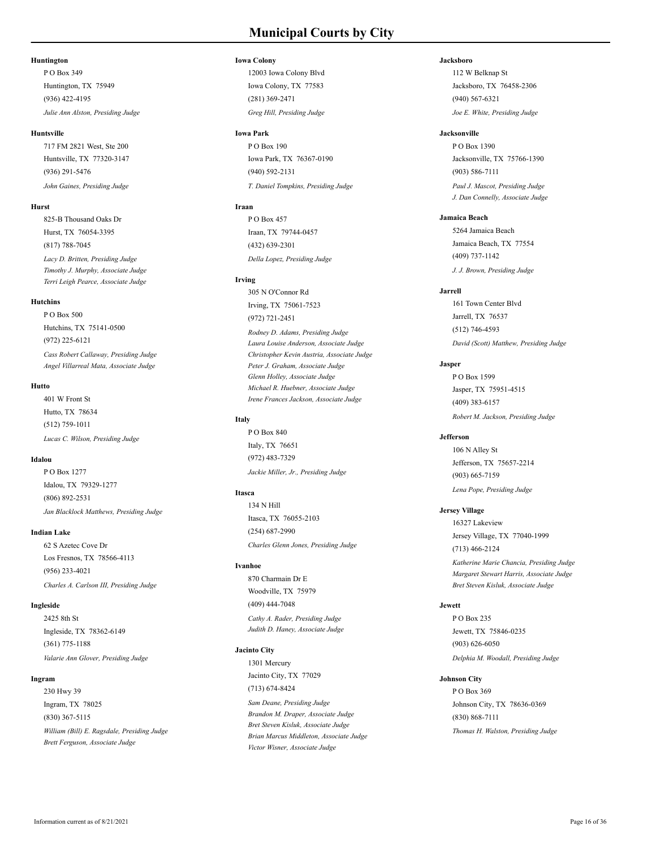## **Huntington**

Huntington, TX 75949 P O Box 349 (936) 422-4195 *Julie Ann Alston, Presiding Judge*

#### **Huntsville**

Huntsville, TX 77320-3147 717 FM 2821 West, Ste 200 (936) 291-5476 *John Gaines, Presiding Judge*

#### **Hurst**

Hurst, TX 76054-3395 825-B Thousand Oaks Dr (817) 788-7045

*Lacy D. Britten, Presiding Judge Timothy J. Murphy, Associate Judge Terri Leigh Pearce, Associate Judge*

#### **Hutchins**

Hutchins, TX 75141-0500 P O Box 500 (972) 225-6121

*Cass Robert Callaway, Presiding Judge Angel Villarreal Mata, Associate Judge*

#### **Hutto**

Hutto, TX 78634 401 W Front St (512) 759-1011 *Lucas C. Wilson, Presiding Judge*

# **Idalou**

Idalou, TX 79329-1277 P O Box 1277 (806) 892-2531 *Jan Blacklock Matthews, Presiding Judge*

### **Indian Lake**

Los Fresnos, TX 78566-4113 62 S Azetec Cove Dr (956) 233-4021 *Charles A. Carlson III, Presiding Judge*

#### **Ingleside**

Ingleside, TX 78362-6149 2425 8th St (361) 775-1188 *Valarie Ann Glover, Presiding Judge*

#### **Ingram**

Ingram, TX 78025 230 Hwy 39 (830) 367-5115 *William (Bill) E. Ragsdale, Presiding Judge Brett Ferguson, Associate Judge*

## **Iowa Colony**

Iowa Colony, TX 77583 12003 Iowa Colony Blvd (281) 369-2471 *Greg Hill, Presiding Judge*

## **Iowa Park**

Iowa Park, TX 76367-0190  $P \cap R_{\text{ov}}$  100 (940) 592-2131 *T. Daniel Tompkins, Presiding Judge*

# **Iraan**

Iraan, TX 79744-0457 P O Box 457 (432) 639-2301 *Della Lopez, Presiding Judge*

#### **Irving**

Irving, TX 75061-7523 305 N O'Connor Rd (972) 721-2451

*Rodney D. Adams, Presiding Judge Laura Louise Anderson, Associate Judge Christopher Kevin Austria, Associate Judge Peter J. Graham, Associate Judge Glenn Holley, Associate Judge Michael R. Huebner, Associate Judge Irene Frances Jackson, Associate Judge*

#### **Italy**

Italy, TX 76651 P O Box 840 (972) 483-7329 *Jackie Miller, Jr., Presiding Judge*

#### **Itasca**

Itasca, TX 76055-2103 134 N Hill (254) 687-2990 *Charles Glenn Jones, Presiding Judge*

# **Ivanhoe**

Woodville, TX 75979 870 Charmain Dr E (409) 444-7048 *Cathy A. Rader, Presiding Judge Judith D. Haney, Associate Judge*

## **Jacinto City**

Jacinto City, TX 77029 1301 Mercury (713) 674-8424

*Sam Deane, Presiding Judge Brandon M. Draper, Associate Judge Bret Steven Kisluk, Associate Judge Brian Marcus Middleton, Associate Judge Victor Wisner, Associate Judge*

## **Jacksboro**

Jacksboro, TX 76458-2306 112 W Belknap St (940) 567-6321 *Joe E. White, Presiding Judge*

#### **Jacksonville**

Jacksonville, TX 75766-1390  $P \cap R_{\alpha v}$  1300 (903) 586-7111 *Paul J. Mascot, Presiding Judge J. Dan Connelly, Associate Judge*

# **Jamaica Beach**

Jamaica Beach, TX 77554 5264 Jamaica Beach (409) 737-1142 *J. J. Brown, Presiding Judge*

#### **Jarrell**

Jarrell, TX 76537 161 Town Center Blvd (512) 746-4593 *David (Scott) Matthew, Presiding Judge*

#### **Jasper**

Jasper, TX 75951-4515 P O Box 1599 (409) 383-6157 *Robert M. Jackson, Presiding Judge*

# **Jefferson**

Jefferson, TX 75657-2214 106 N Alley St (903) 665-7159 *Lena Pope, Presiding Judge*

## **Jersey Village**

Jersey Village, TX 77040-1999 16327 Lakeview (713) 466-2124 *Katherine Marie Chancia, Presiding Judge Margaret Stewart Harris, Associate Judge Bret Steven Kisluk, Associate Judge*

#### **Jewett**

Jewett, TX 75846-0235 P O Box 235 (903) 626-6050 *Delphia M. Woodall, Presiding Judge*

#### **Johnson City**

Johnson City, TX 78636-0369 P O Box 369 (830) 868-7111 *Thomas H. Walston, Presiding Judge*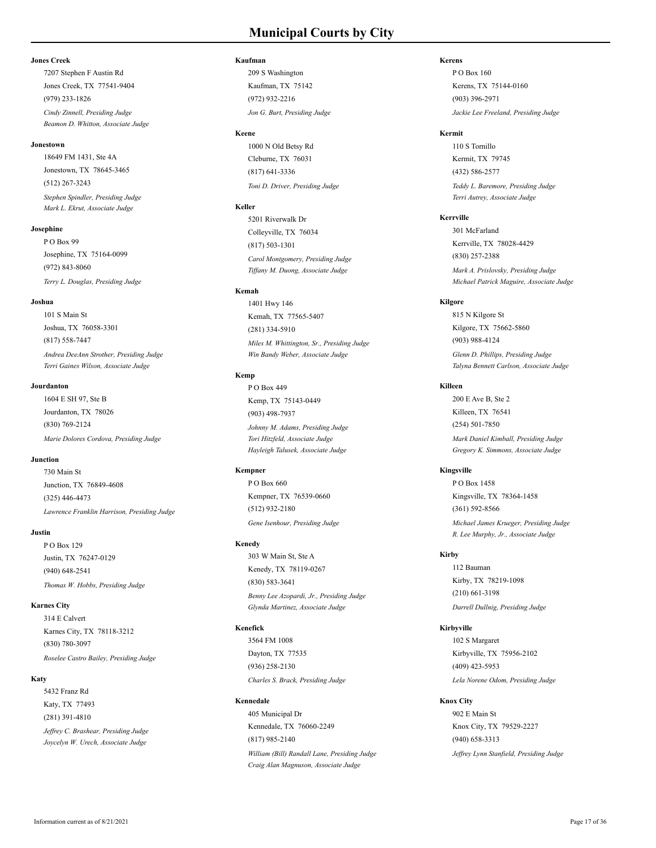## **Jones Creek**

Jones Creek, TX 77541-9404 7207 Stephen F Austin Rd (979) 233-1826

*Cindy Zinnell, Presiding Judge Beamon D. Whitton, Associate Judge*

#### **Jonestown**

Jonestown, TX 78645-3465 18649 FM 1431, Ste 4A (512) 267-3243

*Stephen Spindler, Presiding Judge Mark L. Ekrut, Associate Judge*

## **Josephine**

Josephine, TX 75164-0099 P O Box 99 (972) 843-8060 *Terry L. Douglas, Presiding Judge*

#### **Joshua**

Joshua, TX 76058-3301 101 S Main St (817) 558-7447 *Andrea DeeAnn Strother, Presiding Judge*

*Terri Gaines Wilson, Associate Judge*

#### **Jourdanton**

Jourdanton, TX 78026 1604 E SH 97, Ste B (830) 769-2124 *Marie Dolores Cordova, Presiding Judge*

## **Junction**

Junction, TX 76849-4608 730 Main St (325) 446-4473 *Lawrence Franklin Harrison, Presiding Judge*

#### **Justin**

Justin, TX 76247-0129 P O Box 129 (940) 648-2541 *Thomas W. Hobbs, Presiding Judge*

#### **Karnes City**

Karnes City, TX 78118-3212 314 E Calvert (830) 780-3097 *Roselee Castro Bailey, Presiding Judge*

#### **Katy**

Katy, TX 77493 5432 Franz Rd (281) 391-4810 *Jeffrey C. Brashear, Presiding Judge Joycelyn W. Urech, Associate Judge*

#### **Kaufman**

Kaufman, TX 75142 209 S Washington (972) 932-2216 *Jon G. Burt, Presiding Judge*

#### **Keene**

Cleburne, TX 76031 1000 N Old Betsy Rd (817) 641-3336 *Toni D. Driver, Presiding Judge*

## **Keller**

Colleyville, TX 76034 5201 Riverwalk Dr (817) 503-1301 *Carol Montgomery, Presiding Judge Tiffany M. Duong, Associate Judge*

## **Kemah**

Kemah, TX 77565-5407 1401 Hwy 146 (281) 334-5910 *Miles M. Whittington, Sr., Presiding Judge Win Bandy Weber, Associate Judge*

# **Kemp**

Kemp, TX 75143-0449 P O Box 449 (903) 498-7937 *Johnny M. Adams, Presiding Judge Tori Hitzfeld, Associate Judge Hayleigh Talusek, Associate Judge*

#### **Kempner**

Kempner, TX 76539-0660 P O Box 660 (512) 932-2180 *Gene Isenhour, Presiding Judge*

#### **Kenedy**

Kenedy, TX 78119-0267 303 W Main St, Ste A (830) 583-3641 *Benny Lee Azopardi, Jr., Presiding Judge Glynda Martinez, Associate Judge*

#### **Kenefick**

Dayton, TX 77535 3564 FM 1008 (936) 258-2130 *Charles S. Brack, Presiding Judge*

## **Kennedale**

Kennedale, TX 76060-2249 405 Municipal Dr (817) 985-2140 *William (Bill) Randall Lane, Presiding Judge Craig Alan Magnuson, Associate Judge*

## **Kerens**

Kerens, TX 75144-0160 P O Box 160 (903) 396-2971 *Jackie Lee Freeland, Presiding Judge*

## **Kermit**

Kermit, TX 79745 110 S Tornillo (432) 586-2577 *Teddy L. Baremore, Presiding Judge Terri Autrey, Associate Judge*

## **Kerrville**

Kerrville, TX 78028-4429 301 McFarland (830) 257-2388

*Mark A. Prislovsky, Presiding Judge Michael Patrick Maguire, Associate Judge*

## **Kilgore**

Kilgore, TX 75662-5860 815 N Kilgore St (903) 988-4124

*Glenn D. Phillips, Presiding Judge Talyna Bennett Carlson, Associate Judge*

# **Killeen**

Killeen, TX 76541 200 E Ave B, Ste 2 (254) 501-7850 *Mark Daniel Kimball, Presiding Judge Gregory K. Simmons, Associate Judge*

# **Kingsville**

Kingsville, TX 78364-1458 P O Box 1458 (361) 592-8566 *Michael James Krueger, Presiding Judge R. Lee Murphy, Jr., Associate Judge*

## **Kirby**

Kirby, TX 78219-1098 112 Bauman (210) 661-3198 *Darrell Dullnig, Presiding Judge*

#### **Kirbyville**

Kirbyville, TX 75956-2102 102 S Margaret (409) 423-5953 *Lela Norene Odom, Presiding Judge*

## **Knox City**

Knox City, TX 79529-2227 902 E Main St (940) 658-3313 *Jeffrey Lynn Stanfield, Presiding Judge*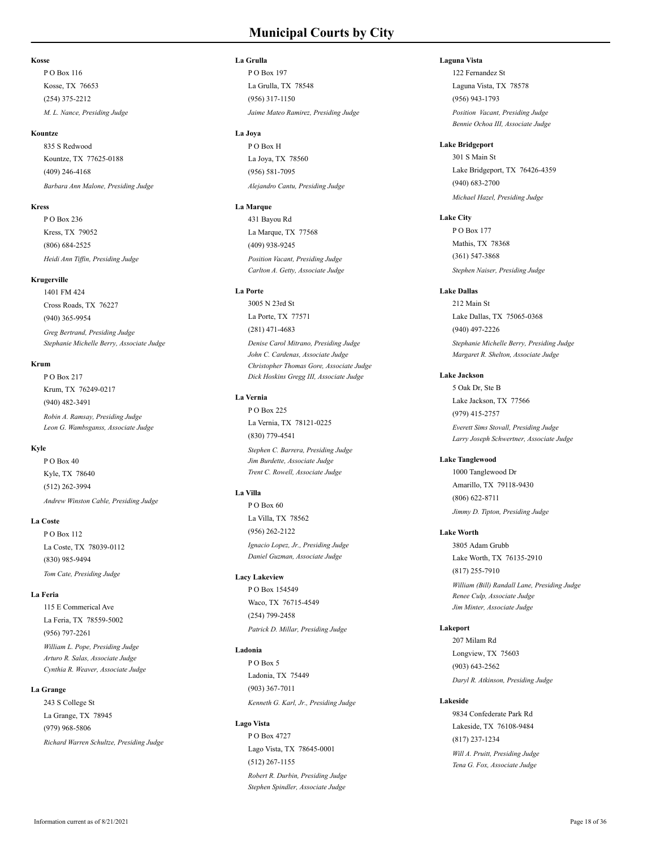#### **Kosse**

Kosse, TX 76653 P O Box 116 (254) 375-2212 *M. L. Nance, Presiding Judge*

#### **Kountze**

Kountze, TX 77625-0188 835 S Redwood (409) 246-4168 *Barbara Ann Malone, Presiding Judge*

#### **Kress**

Kress, TX 79052 P O Box 236 (806) 684-2525 *Heidi Ann Tiffin, Presiding Judge*

#### **Krugerville**

Cross Roads, TX 76227 1401 FM 424 (940) 365-9954

*Greg Bertrand, Presiding Judge Stephanie Michelle Berry, Associate Judge*

## **Krum**

Krum, TX 76249-0217 P O Box 217 (940) 482-3491

*Robin A. Ramsay, Presiding Judge Leon G. Wambsganss, Associate Judge*

## **Kyle**

Kyle, TX 78640 P O Box 40 (512) 262-3994 *Andrew Winston Cable, Presiding Judge*

#### **La Coste**

La Coste, TX 78039-0112 P O Box 112 (830) 985-9494 *Tom Cate, Presiding Judge*

#### **La Feria**

La Feria, TX 78559-5002 115 E Commerical Ave (956) 797-2261

*William L. Pope, Presiding Judge Arturo R. Salas, Associate Judge Cynthia R. Weaver, Associate Judge*

## **La Grange**

La Grange, TX 78945 243 S College St (979) 968-5806 *Richard Warren Schultze, Presiding Judge* **La Grulla**

La Grulla, TX 78548 P O Box 197 (956) 317-1150 *Jaime Mateo Ramirez, Presiding Judge*

#### **La Joya**

La Joya, TX 78560 P O Box H (956) 581-7095 *Alejandro Cantu, Presiding Judge*

## **La Marque**

La Marque, TX 77568 431 Bayou Rd (409) 938-9245 *Position Vacant, Presiding Judge*

*Carlton A. Getty, Associate Judge*

## **La Porte**

La Porte, TX 77571 3005 N 23rd St (281) 471-4683

*Denise Carol Mitrano, Presiding Judge John C. Cardenas, Associate Judge Christopher Thomas Gore, Associate Judge Dick Hoskins Gregg III, Associate Judge*

# **La Vernia**

La Vernia, TX 78121-0225 P O Box 225 (830) 779-4541 *Stephen C. Barrera, Presiding Judge Jim Burdette, Associate Judge Trent C. Rowell, Associate Judge*

## **La Villa**

La Villa, TX 78562 P O Box 60 (956) 262-2122 *Ignacio Lopez, Jr., Presiding Judge Daniel Guzman, Associate Judge*

## **Lacy Lakeview**

Waco, TX 76715-4549 P O Box 154549 (254) 799-2458 *Patrick D. Millar, Presiding Judge*

# **Ladonia**

Ladonia, TX 75449 P O Box 5 (903) 367-7011 *Kenneth G. Karl, Jr., Presiding Judge*

#### **Lago Vista**

Lago Vista, TX 78645-0001 P O Box 4727 (512) 267-1155 *Robert R. Durbin, Presiding Judge Stephen Spindler, Associate Judge*

## **Laguna Vista**

Laguna Vista, TX 78578 122 Fernandez St (956) 943-1793 *Position Vacant, Presiding Judge Bennie Ochoa III, Associate Judge*

#### **Lake Bridgeport**

Lake Bridgeport, TX 76426-4359 301 S Main St (940) 683-2700 *Michael Hazel, Presiding Judge*

**Lake City** Mathis, TX 78368 P O Box 177 (361) 547-3868 *Stephen Naiser, Presiding Judge*

#### **Lake Dallas**

Lake Dallas, TX 75065-0368 212 Main St (940) 497-2226 *Stephanie Michelle Berry, Presiding Judge Margaret R. Shelton, Associate Judge*

#### **Lake Jackson**

Lake Jackson, TX 77566 5 Oak Dr, Ste B (979) 415-2757

*Everett Sims Stovall, Presiding Judge Larry Joseph Schwertner, Associate Judge*

# **Lake Tanglewood**

Amarillo, TX 79118-9430 1000 Tanglewood Dr (806) 622-8711 *Jimmy D. Tipton, Presiding Judge*

## **Lake Worth**

Lake Worth, TX 76135-2910 3805 Adam Grubb (817) 255-7910

*William (Bill) Randall Lane, Presiding Judge Renee Culp, Associate Judge Jim Minter, Associate Judge*

#### **Lakeport**

Longview, TX 75603 207 Milam Rd (903) 643-2562 *Daryl R. Atkinson, Presiding Judge*

# **Lakeside**

Lakeside, TX 76108-9484 9834 Confederate Park Rd (817) 237-1234 *Will A. Pruitt, Presiding Judge Tena G. Fox, Associate Judge*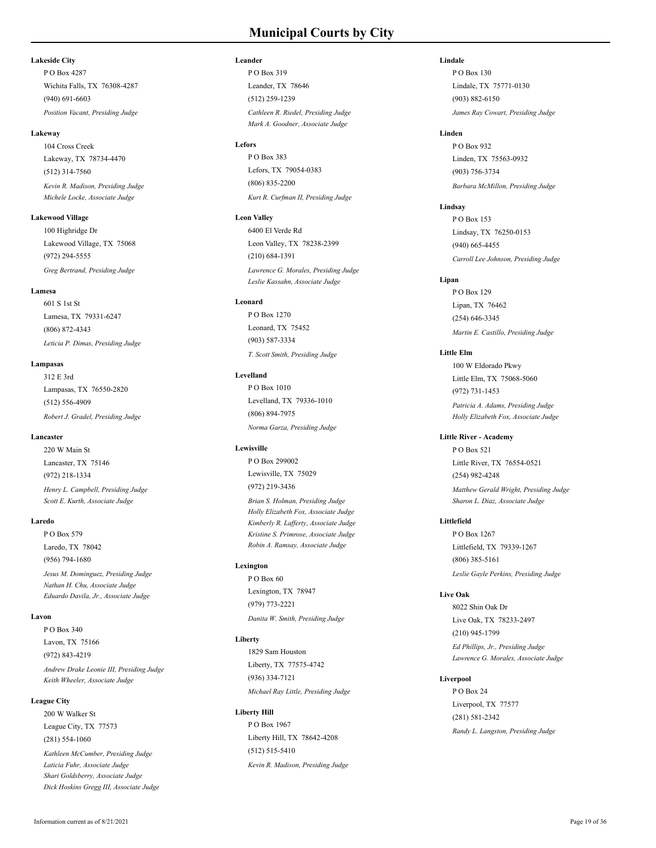## **Lakeside City**

Wichita Falls, TX 76308-4287 P O Box 4287 (940) 691-6603 *Position Vacant, Presiding Judge*

#### **Lakeway**

Lakeway, TX 78734-4470 104 Cross Creek (512) 314-7560 *Kevin R. Madison, Presiding Judge Michele Locke, Associate Judge*

## **Lakewood Village**

Lakewood Village, TX 75068 100 Highridge Dr (972) 294-5555 *Greg Bertrand, Presiding Judge*

#### **Lamesa**

Lamesa, TX 79331-6247 601 S 1st St (806) 872-4343 *Leticia P. Dimas, Presiding Judge*

#### **Lampasas**

Lampasas, TX 76550-2820 312 E 3rd (512) 556-4909 *Robert J. Gradel, Presiding Judge*

#### **Lancaster**

Lancaster, TX 75146 220 W Main St (972) 218-1334 *Henry L. Campbell, Presiding Judge Scott E. Kurth, Associate Judge*

#### **Laredo**

Laredo, TX 78042 P O Box 579 (956) 794-1680 *Jesus M. Dominguez, Presiding Judge Nathan H. Chu, Associate Judge Eduardo Davila, Jr., Associate Judge*

#### **Lavon**

Lavon, TX 75166 P O Box 340 (972) 843-4219 *Andrew Drake Leonie III, Presiding Judge Keith Wheeler, Associate Judge*

## **League City**

League City, TX 77573 200 W Walker St (281) 554-1060 *Kathleen McCumber, Presiding Judge Laticia Fuhr, Associate Judge Shari Goldsberry, Associate Judge Dick Hoskins Gregg III, Associate Judge*

## **Leander**

Leander, TX 78646 P O Box 319 (512) 259-1239 *Cathleen R. Riedel, Presiding Judge Mark A. Goodner, Associate Judge*

# **Lefors**

Lefors, TX 79054-0383 P O Box 383 (806) 835-2200 *Kurt R. Curfman II, Presiding Judge*

#### **Leon Valley**

Leon Valley, TX 78238-2399 6400 El Verde Rd (210) 684-1391 *Lawrence G. Morales, Presiding Judge*

*Leslie Kassahn, Associate Judge*

#### **Leonard**

Leonard, TX 75452 P O Box 1270 (903) 587-3334 *T. Scott Smith, Presiding Judge*

#### **Levelland**

Levelland, TX 79336-1010 P O Box 1010 (806) 894-7975 *Norma Garza, Presiding Judge*

#### **Lewisville**

Lewisville, TX 75029 P O Box 299002 (972) 219-3436

*Brian S. Holman, Presiding Judge Holly Elizabeth Fox, Associate Judge Kimberly R. Lafferty, Associate Judge Kristine S. Primrose, Associate Judge Robin A. Ramsay, Associate Judge*

# **Lexington**

Lexington, TX 78947 P O Box 60 (979) 773-2221 *Danita W. Smith, Presiding Judge*

## **Liberty**

Liberty, TX 77575-4742 1829 Sam Houston (936) 334-7121 *Michael Ray Little, Presiding Judge*

## **Liberty Hill**

Liberty Hill, TX 78642-4208 P O Box 1967 (512) 515-5410 *Kevin R. Madison, Presiding Judge*

## **Lindale**

Lindale, TX 75771-0130 P O Box 130 (903) 882-6150 *James Ray Cowart, Presiding Judge*

# **Linden**

Linden, TX 75563-0932  $P \cap R_{\alpha}$  032 (903) 756-3734 *Barbara McMillon, Presiding Judge*

# **Lindsay**

Lindsay, TX 76250-0153 P O Box 153 (940) 665-4455 *Carroll Lee Johnson, Presiding Judge*

# **Lipan**

Lipan, TX 76462 P O Box 129 (254) 646-3345 *Martin E. Castillo, Presiding Judge*

# **Little Elm**

Little Elm, TX 75068-5060 100 W Eldorado Pkwy (972) 731-1453 *Patricia A. Adams, Presiding Judge Holly Elizabeth Fox, Associate Judge*

## **Little River - Academy**

Little River, TX 76554-0521 P O Box 521 (254) 982-4248

*Matthew Gerald Wright, Presiding Judge Sharon L. Diaz, Associate Judge*

## **Littlefield**

Littlefield, TX 79339-1267 P O Box 1267 (806) 385-5161 *Leslie Gayle Perkins, Presiding Judge*

# **Live Oak**

Live Oak, TX 78233-2497 8022 Shin Oak Dr (210) 945-1799 *Ed Phillips, Jr., Presiding Judge*

*Lawrence G. Morales, Associate Judge*

# **Liverpool**

Liverpool, TX 77577 P O Box 24 (281) 581-2342 *Randy L. Langston, Presiding Judge*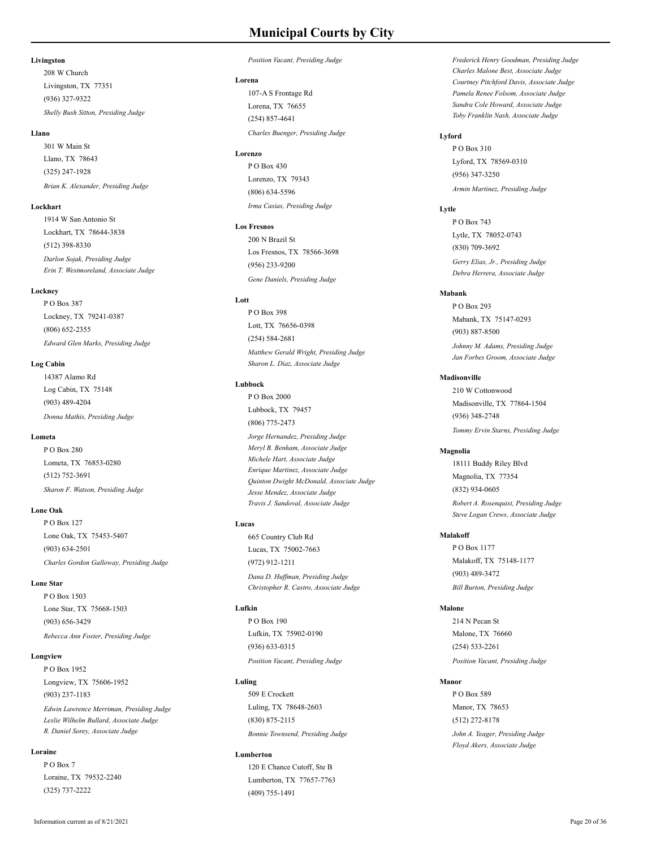## **Livingston**

Livingston, TX 77351 208 W Church (936) 327-9322 *Shelly Bush Sitton, Presiding Judge*

#### **Llano**

Llano, TX 78643 301 W Main St (325) 247-1928 *Brian K. Alexander, Presiding Judge*

## **Lockhart**

Lockhart, TX 78644-3838 1914 W San Antonio St (512) 398-8330 *Darlon Sojak, Presiding Judge Erin T. Westmoreland, Associate Judge*

#### **Lockney**

Lockney, TX 79241-0387 P O Box 387 (806) 652-2355 *Edward Glen Marks, Presiding Judge*

#### **Log Cabin**

Log Cabin, TX 75148 14387 Alamo Rd (903) 489-4204 *Donna Mathis, Presiding Judge*

#### **Lometa**

Lometa, TX 76853-0280 P O Box 280 (512) 752-3691 *Sharon F. Watson, Presiding Judge*

## **Lone Oak**

Lone Oak, TX 75453-5407 P O Box 127 (903) 634-2501 *Charles Gordon Galloway, Presiding Judge*

### **Lone Star**

Lone Star, TX 75668-1503 P O Box 1503 (903) 656-3429 *Rebecca Ann Foster, Presiding Judge*

#### **Longview**

Longview, TX 75606-1952 P O Box 1952 (903) 237-1183 *Edwin Lawrence Merriman, Presiding Judge Leslie Wilhelm Bullard, Associate Judge R. Daniel Sorey, Associate Judge*

## **Loraine**

Loraine, TX 79532-2240 P O Box 7 (325) 737-2222

#### *Position Vacant, Presiding Judge*

**Lorena** Lorena, TX 76655 107-A S Frontage Rd (254) 857-4641 *Charles Buenger, Presiding Judge*

#### **Lorenzo**

Lorenzo, TX 79343 P O Box 430 (806) 634-5596 *Irma Casias, Presiding Judge*

**Los Fresnos** 200 N Brazil St

> Los Fresnos, TX 78566-3698 (956) 233-9200 *Gene Daniels, Presiding Judge*

# **Lott**

Lott, TX 76656-0398 P O Box 398 (254) 584-2681 *Matthew Gerald Wright, Presiding Judge Sharon L. Diaz, Associate Judge*

## **Lubbock**

Lubbock, TX 79457 P O Box 2000 (806) 775-2473 *Jorge Hernandez, Presiding Judge Meryl B. Benham, Associate Judge Michele Hart, Associate Judge Enrique Martinez, Associate Judge Quinton Dwight McDonald, Associate Judge Jesse Mendez, Associate Judge Travis J. Sandoval, Associate Judge*

#### **Lucas**

Lucas, TX 75002-7663 665 Country Club Rd (972) 912-1211 *Dana D. Huffman, Presiding Judge Christopher R. Castro, Associate Judge*

# **Lufkin**

Lufkin, TX 75902-0190 P O Box 190 (936) 633-0315 *Position Vacant, Presiding Judge*

# **Luling**

Luling, TX 78648-2603 509 E Crockett (830) 875-2115 *Bonnie Townsend, Presiding Judge*

## **Lumberton**

Lumberton, TX 77657-7763 120 E Chance Cutoff, Ste B (409) 755-1491

*Frederick Henry Goodman, Presiding Judge Charles Malone Best, Associate Judge Courtney Pitchford Davis, Associate Judge Pamela Renee Folsom, Associate Judge Sandra Cole Howard, Associate Judge Toby Franklin Nash, Associate Judge*

## **Lyford**

Lyford, TX 78569-0310 P O Box 310 (956) 347-3250 *Armin Martinez, Presiding Judge*

# **Lytle**

Lytle, TX 78052-0743 P O Box 743 (830) 709-3692 *Gerry Elias, Jr., Presiding Judge Debra Herrera, Associate Judge*

# **Mabank**

Mabank, TX 75147-0293 P O Box 293 (903) 887-8500 *Johnny M. Adams, Presiding Judge Jan Forbes Groom, Associate Judge*

#### **Madisonville**

Madisonville, TX 77864-1504 210 W Cottonwood (936) 348-2748 *Tommy Ervin Starns, Presiding Judge*

## **Magnolia**

Magnolia, TX 77354 18111 Buddy Riley Blvd (832) 934-0605 *Robert A. Rosenquist, Presiding Judge Steve Logan Crews, Associate Judge*

#### **Malakoff**

Malakoff, TX 75148-1177 P O Box 1177 (903) 489-3472 *Bill Burton, Presiding Judge*

#### **Malone**

Malone, TX 76660 214 N Pecan St (254) 533-2261 *Position Vacant, Presiding Judge*

## **Manor**

Manor, TX 78653 P O Box 589 (512) 272-8178 *John A. Yeager, Presiding Judge Floyd Akers, Associate Judge*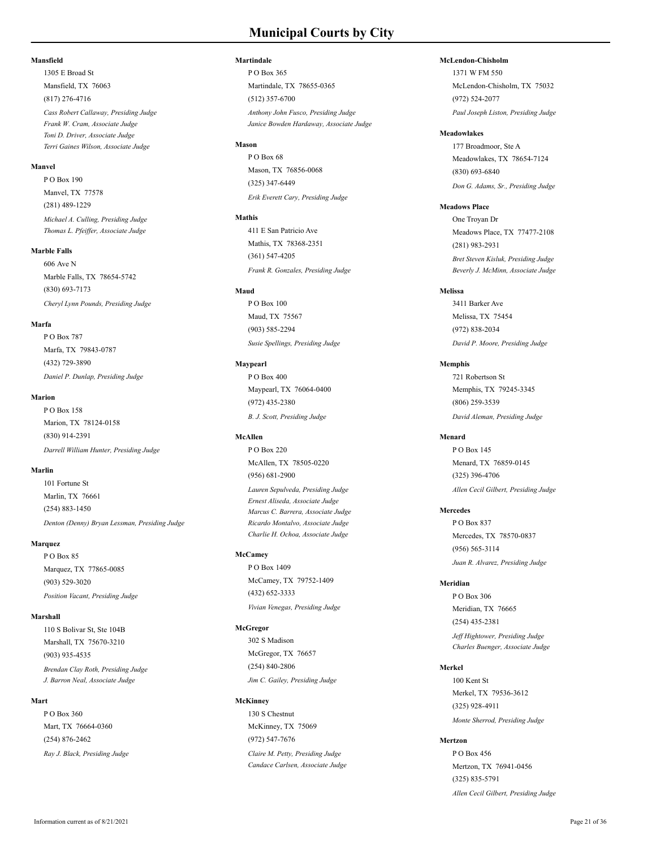## **Mansfield**

Mansfield, TX 76063 1305 E Broad St (817) 276-4716

*Cass Robert Callaway, Presiding Judge Frank W. Cram, Associate Judge Toni D. Driver, Associate Judge Terri Gaines Wilson, Associate Judge*

## **Manvel**

Manvel, TX 77578 P O Box 190 (281) 489-1229 *Michael A. Culling, Presiding Judge Thomas L. Pfeiffer, Associate Judge*

#### **Marble Falls**

Marble Falls, TX 78654-5742 606 Ave N (830) 693-7173 *Cheryl Lynn Pounds, Presiding Judge*

#### **Marfa**

Marfa, TX 79843-0787 P O Box 787 (432) 729-3890 *Daniel P. Dunlap, Presiding Judge*

#### **Marion**

Marion, TX 78124-0158 P O Box 158 (830) 914-2391 *Darrell William Hunter, Presiding Judge*

#### **Marlin**

Marlin, TX 76661 101 Fortune St (254) 883-1450 *Denton (Denny) Bryan Lessman, Presiding Judge*

#### **Marquez**

Marquez, TX 77865-0085 PO Box 85 (903) 529-3020 *Position Vacant, Presiding Judge*

## **Marshall**

Marshall, TX 75670-3210 110 S Bolivar St, Ste 104B (903) 935-4535 *Brendan Clay Roth, Presiding Judge J. Barron Neal, Associate Judge*

#### **Mart**

Mart, TX 76664-0360 P O Box 360 (254) 876-2462 *Ray J. Black, Presiding Judge*

#### **Martindale**

Martindale, TX 78655-0365 P O Box 365 (512) 357-6700 *Anthony John Fusco, Presiding Judge Janice Bowden Hardaway, Associate Judge*

## **Mason**

Mason, TX 76856-0068 P O Box 68 (325) 347-6449 *Erik Everett Cary, Presiding Judge*

## **Mathis**

Mathis, TX 78368-2351 411 E San Patricio Ave (361) 547-4205 *Frank R. Gonzales, Presiding Judge*

#### **Maud**

Maud, TX 75567 P O Box 100 (903) 585-2294 *Susie Spellings, Presiding Judge*

## **Maypearl**

Maypearl, TX 76064-0400 P O Box 400 (972) 435-2380 *B. J. Scott, Presiding Judge*

#### **McAllen**

McAllen, TX 78505-0220 P O Box 220 (956) 681-2900 *Lauren Sepulveda, Presiding Judge Ernest Aliseda, Associate Judge*

*Marcus C. Barrera, Associate Judge Ricardo Montalvo, Associate Judge Charlie H. Ochoa, Associate Judge*

# **McCamey**

McCamey, TX 79752-1409 P O Box 1409 (432) 652-3333 *Vivian Venegas, Presiding Judge*

#### **McGregor**

McGregor, TX 76657 302 S Madison (254) 840-2806 *Jim C. Gailey, Presiding Judge*

# **McKinney**

McKinney, TX 75069 130 S Chestnut (972) 547-7676 *Claire M. Petty, Presiding Judge Candace Carlsen, Associate Judge*

## **McLendon-Chisholm**

McLendon-Chisholm, TX 75032 1371 W FM 550 (972) 524-2077 *Paul Joseph Liston, Presiding Judge*

#### **Meadowlakes**

Meadowlakes, TX 78654-7124 177 Broadmoor, Ste A (830) 693-6840 *Don G. Adams, Sr., Presiding Judge*

## **Meadows Place**

Meadows Place, TX 77477-2108 One Troyan Dr (281) 983-2931 *Bret Steven Kisluk, Presiding Judge Beverly J. McMinn, Associate Judge*

### **Melissa**

Melissa, TX 75454 3411 Barker Ave (972) 838-2034 *David P. Moore, Presiding Judge*

# **Memphis**

Memphis, TX 79245-3345 721 Robertson St (806) 259-3539 *David Aleman, Presiding Judge*

## **Menard**

Menard, TX 76859-0145 P O Box 145 (325) 396-4706 *Allen Cecil Gilbert, Presiding Judge*

## **Mercedes**

Mercedes, TX 78570-0837 P O Box 837 (956) 565-3114 *Juan R. Alvarez, Presiding Judge*

## **Meridian**

Meridian, TX 76665 P O Box 306 (254) 435-2381 *Jeff Hightower, Presiding Judge Charles Buenger, Associate Judge*

# **Merkel**

Merkel, TX 79536-3612 100 Kent St (325) 928-4911 *Monte Sherrod, Presiding Judge*

# **Mertzon**

Mertzon, TX 76941-0456 P O Box 456 (325) 835-5791 *Allen Cecil Gilbert, Presiding Judge*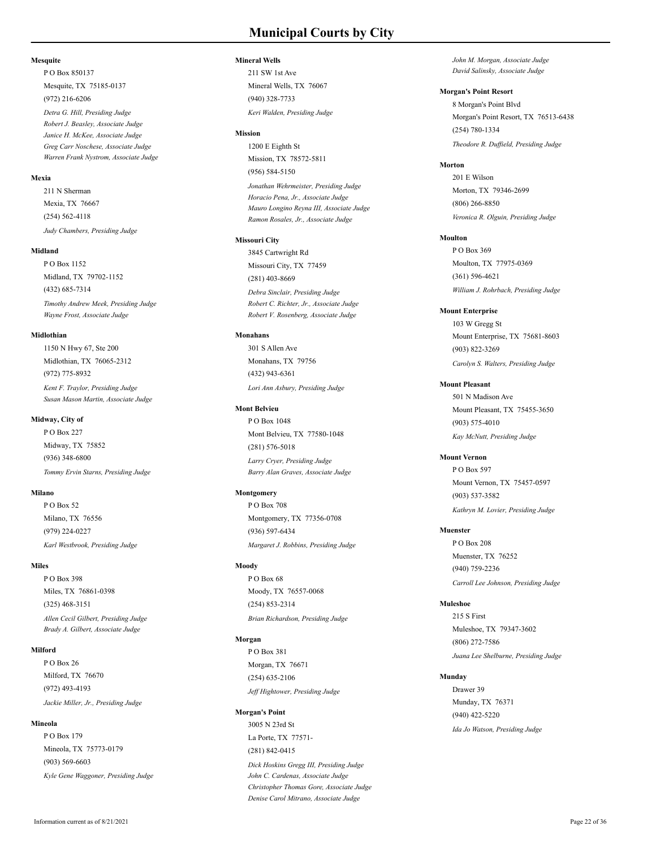#### **Mesquite**

Mesquite, TX 75185-0137 P O Box 850137 (972) 216-6206

*Detra G. Hill, Presiding Judge Robert J. Beasley, Associate Judge Janice H. McKee, Associate Judge Greg Carr Noschese, Associate Judge Warren Frank Nystrom, Associate Judge*

# **Mexia**

Mexia, TX 76667 211 N Sherman (254) 562-4118 *Judy Chambers, Presiding Judge*

### **Midland**

Midland, TX 79702-1152 P O Box 1152 (432) 685-7314 *Timothy Andrew Meek, Presiding Judge Wayne Frost, Associate Judge*

#### **Midlothian**

Midlothian, TX 76065-2312 1150 N Hwy 67, Ste 200 (972) 775-8932 *Kent F. Traylor, Presiding Judge Susan Mason Martin, Associate Judge*

## **Midway, City of**

Midway, TX 75852 P O Box 227 (936) 348-6800 *Tommy Ervin Starns, Presiding Judge*

## **Milano**

Milano, TX 76556 PO Box 52 (979) 224-0227 *Karl Westbrook, Presiding Judge*

# **Miles**

Miles, TX 76861-0398 P O Box 398 (325) 468-3151 *Allen Cecil Gilbert, Presiding Judge Brady A. Gilbert, Associate Judge*

#### **Milford**

Milford, TX 76670 P O Box 26 (972) 493-4193 *Jackie Miller, Jr., Presiding Judge*

#### **Mineola**

Mineola, TX 75773-0179 P O Box 179 (903) 569-6603 *Kyle Gene Waggoner, Presiding Judge*

#### **Mineral Wells**

Mineral Wells, TX 76067 211 SW 1st Ave (940) 328-7733 *Keri Walden, Presiding Judge*

#### **Mission**

Mission, TX 78572-5811 1200 E Eighth St (956) 584-5150

*Jonathan Wehrmeister, Presiding Judge Horacio Pena, Jr., Associate Judge Mauro Longino Reyna III, Associate Judge Ramon Rosales, Jr., Associate Judge*

### **Missouri City**

Missouri City, TX 77459 3845 Cartwright Rd (281) 403-8669 *Debra Sinclair, Presiding Judge Robert C. Richter, Jr., Associate Judge Robert V. Rosenberg, Associate Judge*

#### **Monahans**

Monahans, TX 79756 301 S Allen Ave (432) 943-6361 *Lori Ann Asbury, Presiding Judge*

## **Mont Belvieu**

Mont Belvieu, TX 77580-1048 P O Box 1048 (281) 576-5018 *Larry Cryer, Presiding Judge Barry Alan Graves, Associate Judge*

## **Montgomery**

Montgomery, TX 77356-0708 P O Box 708 (936) 597-6434 *Margaret J. Robbins, Presiding Judge*

# **Moody**

Moody, TX 76557-0068 PO Box 68 (254) 853-2314 *Brian Richardson, Presiding Judge*

## **Morgan**

Morgan, TX 76671 P O Box 381 (254) 635-2106 *Jeff Hightower, Presiding Judge*

# **Morgan's Point**

La Porte, TX 77571- 3005 N 23rd St (281) 842-0415 *Dick Hoskins Gregg III, Presiding Judge John C. Cardenas, Associate Judge Christopher Thomas Gore, Associate Judge Denise Carol Mitrano, Associate Judge*

*John M. Morgan, Associate Judge David Salinsky, Associate Judge*

# **Morgan's Point Resort**

Morgan's Point Resort, TX 76513-6438 8 Morgan's Point Blvd (254) 780-1334 *Theodore R. Duffield, Presiding Judge*

#### **Morton**

Morton, TX 79346-2699 201 E Wilson (806) 266-8850 *Veronica R. Olguin, Presiding Judge*

**Moulton**

Moulton, TX 77975-0369 P O Box 369 (361) 596-4621 *William J. Rohrbach, Presiding Judge*

## **Mount Enterprise**

Mount Enterprise, TX 75681-8603 103 W Gregg St (903) 822-3269 *Carolyn S. Walters, Presiding Judge*

## **Mount Pleasant**

Mount Pleasant, TX 75455-3650 501 N Madison Ave (903) 575-4010 *Kay McNutt, Presiding Judge*

**Mount Vernon** Mount Vernon, TX 75457-0597 P O Box 597 (903) 537-3582 *Kathryn M. Lovier, Presiding Judge*

**Muenster** Muenster, TX 76252 P O Box 208 (940) 759-2236 *Carroll Lee Johnson, Presiding Judge*

**Muleshoe** Muleshoe, TX 79347-3602 215 S First (806) 272-7586 *Juana Lee Shelburne, Presiding Judge*

### **Munday**

Munday, TX 76371 Drawer 39 (940) 422-5220 *Ida Jo Watson, Presiding Judge*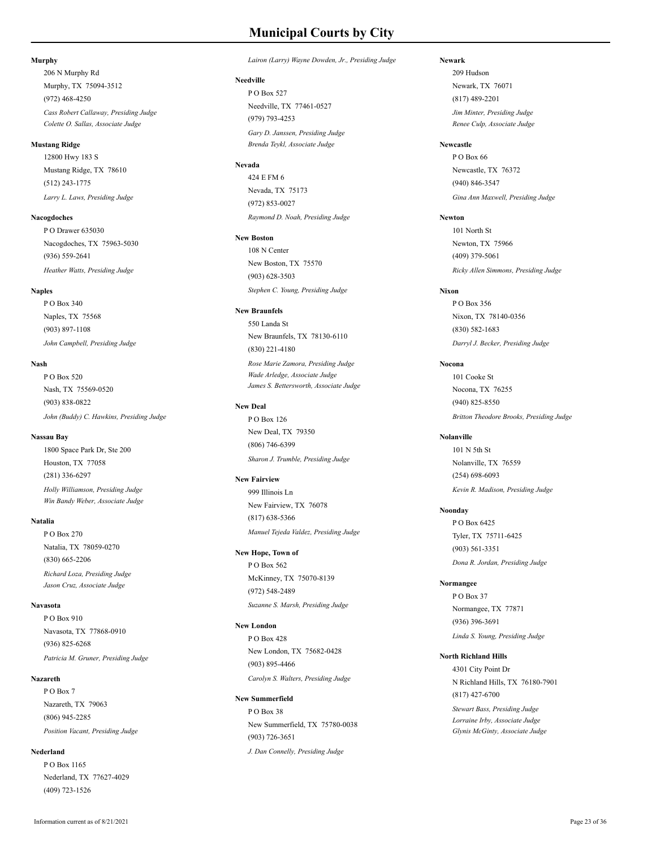### **Murphy**

Murphy, TX 75094-3512 206 N Murphy Rd (972) 468-4250 *Cass Robert Callaway, Presiding Judge Colette O. Sallas, Associate Judge*

#### **Mustang Ridge**

Mustang Ridge, TX 78610 12800 Hwy 183 S (512) 243-1775 *Larry L. Laws, Presiding Judge*

#### **Nacogdoches**

Nacogdoches, TX 75963-5030 P O Drawer 635030 (936) 559-2641 *Heather Watts, Presiding Judge*

#### **Naples**

Naples, TX 75568 P O Box 340 (903) 897-1108 *John Campbell, Presiding Judge*

#### **Nash**

Nash, TX 75569-0520 P O Box 520 (903) 838-0822 *John (Buddy) C. Hawkins, Presiding Judge*

#### **Nassau Bay**

Houston, TX 77058 1800 Space Park Dr, Ste 200 (281) 336-6297 *Holly Williamson, Presiding Judge Win Bandy Weber, Associate Judge*

#### **Natalia**

Natalia, TX 78059-0270 P O Box 270 (830) 665-2206 *Richard Loza, Presiding Judge Jason Cruz, Associate Judge*

## **Navasota**

Navasota, TX 77868-0910 P O Box 910 (936) 825-6268 *Patricia M. Gruner, Presiding Judge*

#### **Nazareth**

Nazareth, TX 79063 P O Box 7 (806) 945-2285 *Position Vacant, Presiding Judge*

#### **Nederland**

Nederland, TX 77627-4029 P O Box 1165 (409) 723-1526

#### *Lairon (Larry) Wayne Dowden, Jr., Presiding Judge*

**Needville** Needville, TX 77461-0527 P O Box 527

(979) 793-4253

*Gary D. Janssen, Presiding Judge Brenda Teykl, Associate Judge*

#### **Nevada**

Nevada, TX 75173 424 E FM 6 (972) 853-0027 *Raymond D. Noah, Presiding Judge*

#### **New Boston**

New Boston, TX 75570 108 N Center (903) 628-3503 *Stephen C. Young, Presiding Judge*

## **New Braunfels**

New Braunfels, TX 78130-6110 550 Landa St (830) 221-4180

*Rose Marie Zamora, Presiding Judge Wade Arledge, Associate Judge James S. Bettersworth, Associate Judge*

## **New Deal**

New Deal, TX 79350 P O Box 126 (806) 746-6399 *Sharon J. Trumble, Presiding Judge*

#### **New Fairview**

New Fairview, TX 76078 999 Illinois Ln (817) 638-5366 *Manuel Tejeda Valdez, Presiding Judge*

## **New Hope, Town of**

McKinney, TX 75070-8139 P O Box 562 (972) 548-2489 *Suzanne S. Marsh, Presiding Judge*

#### **New London**

New London, TX 75682-0428 P O Box 428 (903) 895-4466 *Carolyn S. Walters, Presiding Judge*

## **New Summerfield**

New Summerfield, TX 75780-0038  $P \cap R_{\alpha}$  38 (903) 726-3651 *J. Dan Connelly, Presiding Judge*

## **Newark**

Newark, TX 76071 209 Hudson (817) 489-2201 *Jim Minter, Presiding Judge Renee Culp, Associate Judge*

#### **Newcastle**

Newcastle, TX 76372 P O Box 66 (940) 846-3547 *Gina Ann Maxwell, Presiding Judge*

**Newton** Newton, TX 75966 101 North St (409) 379-5061

*Ricky Allen Simmons, Presiding Judge* **Nixon**

Nixon, TX 78140-0356 P O Box 356 (830) 582-1683 *Darryl J. Becker, Presiding Judge*

**Nocona** Nocona, TX 76255 101 Cooke St (940) 825-8550 *Britton Theodore Brooks, Presiding Judge*

#### **Nolanville**

Nolanville, TX 76559 101 N 5th St (254) 698-6093 *Kevin R. Madison, Presiding Judge*

#### **Noonday**

Tyler, TX 75711-6425 P O Box 6425 (903) 561-3351 *Dona R. Jordan, Presiding Judge*

## **Normangee**

Normangee, TX 77871 PO Box 37 (936) 396-3691 *Linda S. Young, Presiding Judge*

#### **North Richland Hills**

N Richland Hills, TX 76180-7901 4301 City Point Dr (817) 427-6700

*Stewart Bass, Presiding Judge Lorraine Irby, Associate Judge Glynis McGinty, Associate Judge*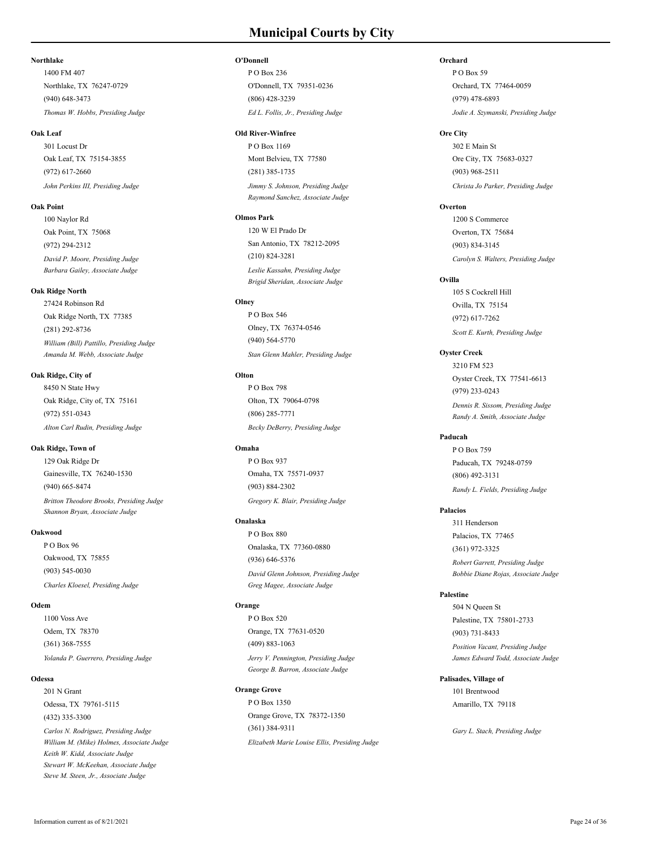## **Northlake**

Northlake, TX 76247-0729 1400 FM 407 (940) 648-3473 *Thomas W. Hobbs, Presiding Judge*

## **Oak Leaf**

Oak Leaf, TX 75154-3855 301 Locust Dr (972) 617-2660 *John Perkins III, Presiding Judge*

#### **Oak Point**

Oak Point, TX 75068 100 Naylor Rd (972) 294-2312 *David P. Moore, Presiding Judge Barbara Gailey, Associate Judge*

#### **Oak Ridge North**

Oak Ridge North, TX 77385 27424 Robinson Rd (281) 292-8736 *William (Bill) Pattillo, Presiding Judge Amanda M. Webb, Associate Judge*

## **Oak Ridge, City of**

Oak Ridge, City of, TX 75161 8450 N State Hwy (972) 551-0343 *Alton Carl Rudin, Presiding Judge*

# **Oak Ridge, Town of**

Gainesville, TX 76240-1530 129 Oak Ridge Dr (940) 665-8474 *Britton Theodore Brooks, Presiding Judge Shannon Bryan, Associate Judge*

## **Oakwood**

Oakwood, TX 75855 P O Box 96 (903) 545-0030 *Charles Kloesel, Presiding Judge*

## **Odem**

Odem, TX 78370 1100 Voss Ave (361) 368-7555 *Yolanda P. Guerrero, Presiding Judge*

#### **Odessa**

Odessa, TX 79761-5115 201 N Grant (432) 335-3300

*Carlos N. Rodriguez, Presiding Judge William M. (Mike) Holmes, Associate Judge Keith W. Kidd, Associate Judge Stewart W. McKeehan, Associate Judge Steve M. Steen, Jr., Associate Judge*

#### **O'Donnell**

O'Donnell, TX 79351-0236 P O Box 236 (806) 428-3239 *Ed L. Follis, Jr., Presiding Judge*

#### **Old River-Winfree**

Mont Belvieu, TX 77580  $P \cap R_{\text{ov}} 1160$ (281) 385-1735 *Jimmy S. Johnson, Presiding Judge Raymond Sanchez, Associate Judge*

## **Olmos Park**

San Antonio, TX 78212-2095 120 W El Prado Dr (210) 824-3281 *Leslie Kassahn, Presiding Judge Brigid Sheridan, Associate Judge*

#### **Olney**

Olney, TX 76374-0546 P O Box 546 (940) 564-5770 *Stan Glenn Mahler, Presiding Judge*

## **Olton**

Olton, TX 79064-0798 P O Box 798 (806) 285-7771 *Becky DeBerry, Presiding Judge*

#### **Omaha**

Omaha, TX 75571-0937 P O Box 937 (903) 884-2302 *Gregory K. Blair, Presiding Judge*

#### **Onalaska**

Onalaska, TX 77360-0880 P O Box 880 (936) 646-5376 *David Glenn Johnson, Presiding Judge Greg Magee, Associate Judge*

# **Orange**

Orange, TX 77631-0520 P O Box 520 (409) 883-1063 *Jerry V. Pennington, Presiding Judge George B. Barron, Associate Judge*

# **Orange Grove**

Orange Grove, TX 78372-1350 P O Box 1350 (361) 384-9311 *Elizabeth Marie Louise Ellis, Presiding Judge*

## **Orchard**

Orchard, TX 77464-0059 P O Box 59 (979) 478-6893 *Jodie A. Szymanski, Presiding Judge*

## **Ore City**

Ore City, TX 75683-0327 302 E Main St (903) 968-2511 *Christa Jo Parker, Presiding Judge*

# **Overton**

Overton, TX 75684 1200 S Commerce (903) 834-3145 *Carolyn S. Walters, Presiding Judge*

# **Ovilla**

Ovilla, TX 75154 105 S Cockrell Hill (972) 617-7262 *Scott E. Kurth, Presiding Judge*

**Oyster Creek** Oyster Creek, TX 77541-6613 3210 FM 523 (979) 233-0243 *Dennis R. Sissom, Presiding Judge Randy A. Smith, Associate Judge*

# **Paducah**

Paducah, TX 79248-0759 P O Box 759 (806) 492-3131 *Randy L. Fields, Presiding Judge*

## **Palacios**

Palacios, TX 77465 311 Henderson (361) 972-3325 *Robert Garrett, Presiding Judge Bobbie Diane Rojas, Associate Judge*

# **Palestine**

Palestine, TX 75801-2733 504 N Queen St (903) 731-8433

*Position Vacant, Presiding Judge James Edward Todd, Associate Judge*

**Palisades, Village of** Amarillo, TX 79118 101 Brentwood

*Gary L. Stach, Presiding Judge*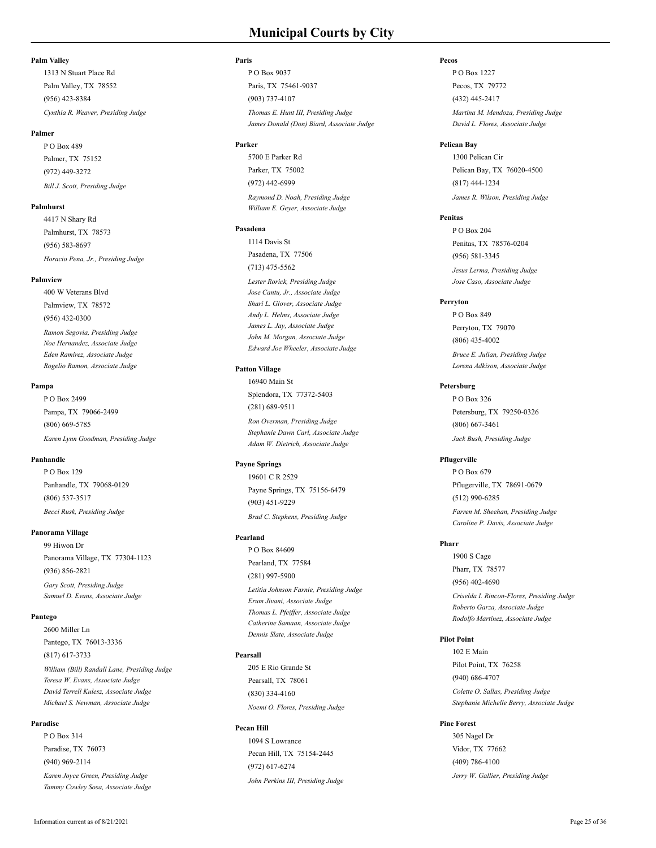## **Palm Valley**

Palm Valley, TX 78552 1313 N Stuart Place Rd (956) 423-8384 *Cynthia R. Weaver, Presiding Judge*

#### **Palmer**

Palmer, TX 75152 P O Box 489 (972) 449-3272 *Bill J. Scott, Presiding Judge*

### **Palmhurst**

Palmhurst, TX 78573 4417 N Shary Rd (956) 583-8697 *Horacio Pena, Jr., Presiding Judge*

#### **Palmview**

Palmview, TX 78572 400 W Veterans Blvd (956) 432-0300

*Ramon Segovia, Presiding Judge Noe Hernandez, Associate Judge Eden Ramirez, Associate Judge Rogelio Ramon, Associate Judge*

#### **Pampa**

Pampa, TX 79066-2499 P O Box 2499 (806) 669-5785 *Karen Lynn Goodman, Presiding Judge*

# **Panhandle**

Panhandle, TX 79068-0129 P O Box 129 (806) 537-3517 *Becci Rusk, Presiding Judge*

## **Panorama Village**

Panorama Village, TX 77304-1123 99 Hiwon Dr (936) 856-2821

*Gary Scott, Presiding Judge Samuel D. Evans, Associate Judge*

# **Pantego**

Pantego, TX 76013-3336 2600 Miller Ln (817) 617-3733 *William (Bill) Randall Lane, Presiding Judge Teresa W. Evans, Associate Judge*

*David Terrell Kulesz, Associate Judge Michael S. Newman, Associate Judge*

#### **Paradise**

Paradise, TX 76073 P O Box 314 (940) 969-2114 *Karen Joyce Green, Presiding Judge Tammy Cowley Sosa, Associate Judge*

### **Paris**

Paris, TX 75461-9037 P O Box 9037 (903) 737-4107

*Thomas E. Hunt III, Presiding Judge James Donald (Don) Biard, Associate Judge*

## **Parker**

Parker, TX 75002 5700 E Parker Rd (972) 442-6999

*Raymond D. Noah, Presiding Judge William E. Geyer, Associate Judge*

# **Pasadena**

Pasadena, TX 77506 1114 Davis St (713) 475-5562 *Lester Rorick, Presiding Judge Jose Cantu, Jr., Associate Judge Shari L. Glover, Associate Judge Andy L. Helms, Associate Judge James L. Jay, Associate Judge John M. Morgan, Associate Judge Edward Joe Wheeler, Associate Judge*

## **Patton Village**

Splendora, TX 77372-5403 16940 Main St (281) 689-9511

*Ron Overman, Presiding Judge Stephanie Dawn Carl, Associate Judge Adam W. Dietrich, Associate Judge*

## **Payne Springs**

Payne Springs, TX 75156-6479 19601 C R 2529 (903) 451-9229 *Brad C. Stephens, Presiding Judge*

#### **Pearland**

Pearland, TX 77584 P O Box 84609 (281) 997-5900 *Letitia Johnson Farnie, Presiding Judge Erum Jivani, Associate Judge Thomas L. Pfeiffer, Associate Judge Catherine Samaan, Associate Judge*

*Dennis Slate, Associate Judge*

# **Pearsall**

Pearsall, TX 78061 205 E Rio Grande St (830) 334-4160 *Noemi O. Flores, Presiding Judge*

# **Pecan Hill**

Pecan Hill, TX 75154-2445 1094 S Lowrance (972) 617-6274 *John Perkins III, Presiding Judge*

## **Pecos**

Pecos, TX 79772 P O Box 1227 (432) 445-2417 *Martina M. Mendoza, Presiding Judge David L. Flores, Associate Judge*

#### **Pelican Bay**

Pelican Bay, TX 76020-4500 1300 Pelican Cir (817) 444-1234 *James R. Wilson, Presiding Judge*

# **Penitas**

Penitas, TX 78576-0204 P O Box 204 (956) 581-3345

*Jesus Lerma, Presiding Judge Jose Caso, Associate Judge*

## **Perryton**

Perryton, TX 79070 P O Box 849 (806) 435-4002

*Bruce E. Julian, Presiding Judge Lorena Adkison, Associate Judge*

### **Petersburg**

Petersburg, TX 79250-0326 P O Box 326 (806) 667-3461 *Jack Bush, Presiding Judge*

# **Pflugerville**

Pflugerville, TX 78691-0679 P O Box 679 (512) 990-6285 *Farren M. Sheehan, Presiding Judge Caroline P. Davis, Associate Judge*

### **Pharr**

Pharr, TX 78577 1900 S Cage (956) 402-4690

*Criselda I. Rincon-Flores, Presiding Judge Roberto Garza, Associate Judge Rodolfo Martinez, Associate Judge*

## **Pilot Point**

Pilot Point, TX 76258 102 E Main (940) 686-4707 *Colette O. Sallas, Presiding Judge Stephanie Michelle Berry, Associate Judge*

## **Pine Forest**

Vidor, TX 77662 305 Nagel Dr (409) 786-4100 *Jerry W. Gallier, Presiding Judge*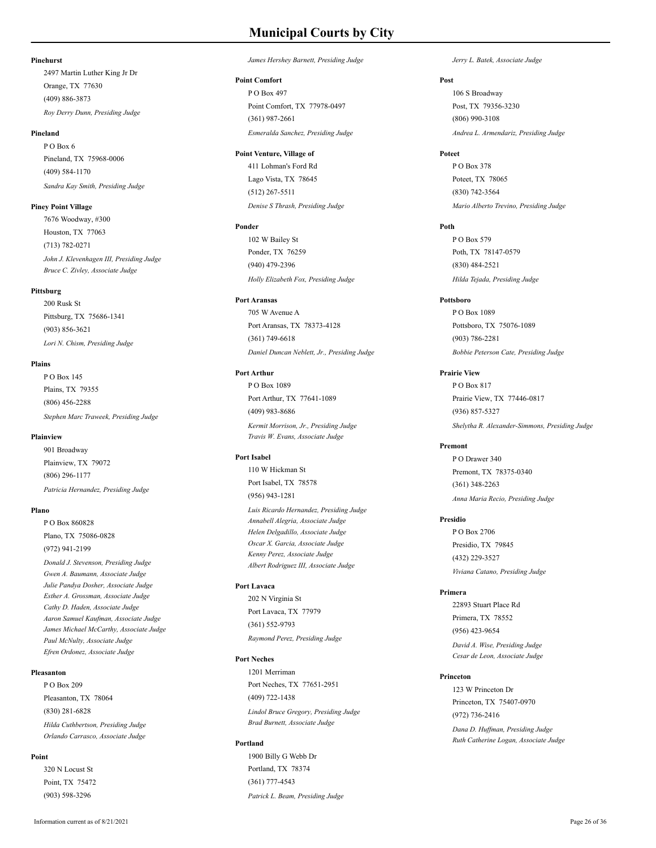## **Pinehurst**

Orange, TX 77630 2497 Martin Luther King Jr Dr (409) 886-3873 *Roy Derry Dunn, Presiding Judge*

#### **Pineland**

Pineland, TX 75968-0006  $P \cap R_{\alpha}$ (409) 584-1170 *Sandra Kay Smith, Presiding Judge*

## **Piney Point Village**

Houston, TX 77063 7676 Woodway, #300 (713) 782-0271 *John J. Klevenhagen III, Presiding Judge Bruce C. Zivley, Associate Judge*

#### **Pittsburg**

Pittsburg, TX 75686-1341 200 Rusk St (903) 856-3621 *Lori N. Chism, Presiding Judge*

### **Plains**

Plains, TX 79355 P O Box 145 (806) 456-2288 *Stephen Marc Traweek, Presiding Judge*

#### **Plainview**

Plainview, TX 79072 901 Broadway (806) 296-1177 *Patricia Hernandez, Presiding Judge*

## **Plano**

Plano, TX 75086-0828 P O Box 860828 (972) 941-2199 *Donald J. Stevenson, Presiding Judge Gwen A. Baumann, Associate Judge Julie Pandya Dosher, Associate Judge Esther A. Grossman, Associate Judge Cathy D. Haden, Associate Judge Aaron Samuel Kaufman, Associate Judge James Michael McCarthy, Associate Judge Paul McNulty, Associate Judge Efren Ordonez, Associate Judge*

#### **Pleasanton**

Pleasanton, TX 78064 P O Box 209 (830) 281-6828 *Hilda Cuthbertson, Presiding Judge Orlando Carrasco, Associate Judge*

#### **Point**

Point, TX 75472 320 N Locust St (903) 598-3296

#### *James Hershey Barnett, Presiding Judge*

**Point Comfort** Point Comfort, TX 77978-0497 P O Box 497 (361) 987-2661 *Esmeralda Sanchez, Presiding Judge*

**Point Venture, Village of**

Lago Vista, TX 78645 411 Lohman's Ford Rd (512) 267-5511 *Denise S Thrash, Presiding Judge*

#### **Ponder**

Ponder, TX 76259 102 W Bailey St (940) 479-2396 *Holly Elizabeth Fox, Presiding Judge*

# **Port Aransas**

Port Aransas, TX 78373-4128 705 W Avenue A (361) 749-6618 *Daniel Duncan Neblett, Jr., Presiding Judge*

# **Port Arthur**

Port Arthur, TX 77641-1089 P O Box 1089 (409) 983-8686 *Kermit Morrison, Jr., Presiding Judge Travis W. Evans, Associate Judge*

## **Port Isabel**

Port Isabel, TX 78578 110 W Hickman St (956) 943-1281 *Luis Ricardo Hernandez, Presiding Judge Annabell Alegria, Associate Judge Helen Delgadillo, Associate Judge Oscar X. Garcia, Associate Judge Kenny Perez, Associate Judge Albert Rodriguez III, Associate Judge*

## **Port Lavaca**

Port Lavaca, TX 77979 202 N Virginia St (361) 552-9793 *Raymond Perez, Presiding Judge*

#### **Port Neches**

Port Neches, TX 77651-2951 1201 Merriman (409) 722-1438 *Lindol Bruce Gregory, Presiding Judge Brad Burnett, Associate Judge*

# **Portland**

Portland, TX 78374 1900 Billy G Webb Dr (361) 777-4543 *Patrick L. Beam, Presiding Judge* *Jerry L. Batek, Associate Judge*

#### **Post**

Post, TX 79356-3230 106 S Broadway (806) 990-3108 *Andrea L. Armendariz, Presiding Judge*

## **Poteet**

Poteet, TX 78065 P O Box 378 (830) 742-3564 *Mario Alberto Trevino, Presiding Judge*

## **Poth**

Poth, TX 78147-0579 P O Box 579 (830) 484-2521 *Hilda Tejada, Presiding Judge*

## **Pottsboro**

Pottsboro, TX 75076-1089 P O Box 1089 (903) 786-2281 *Bobbie Peterson Cate, Presiding Judge*

# **Prairie View**

Prairie View, TX 77446-0817 P O Box 817 (936) 857-5327 *Shelytha R. Alexander-Simmons, Presiding Judge*

## **Premont**

Premont, TX 78375-0340 P O Drawer 340 (361) 348-2263 *Anna Maria Recio, Presiding Judge*

#### **Presidio**

Presidio, TX 79845 P O Box 2706 (432) 229-3527 *Viviana Catano, Presiding Judge*

## **Primera**

Primera, TX 78552 22893 Stuart Place Rd (956) 423-9654 *David A. Wise, Presiding Judge Cesar de Leon, Associate Judge*

#### **Princeton**

Princeton, TX 75407-0970 123 W Princeton Dr (972) 736-2416 *Dana D. Huffman, Presiding Judge Ruth Catherine Logan, Associate Judge*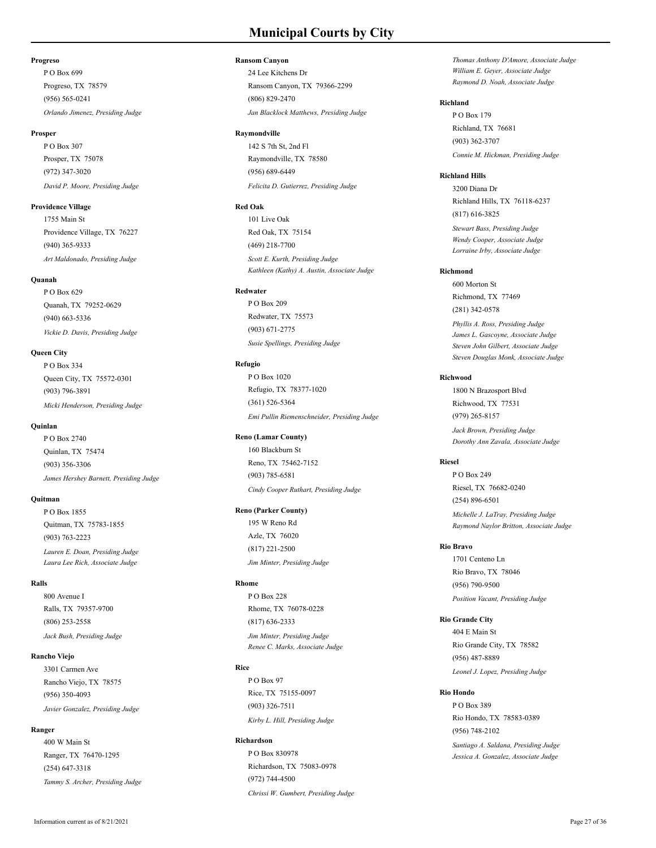## **Progreso**

Progreso, TX 78579 P O Box 699 (956) 565-0241 *Orlando Jimenez, Presiding Judge*

#### **Prosper**

Prosper, TX 75078 P O Box 307 (972) 347-3020 *David P. Moore, Presiding Judge*

## **Providence Village**

Providence Village, TX 76227 1755 Main St (940) 365-9333 *Art Maldonado, Presiding Judge*

#### **Quanah**

Quanah, TX 79252-0629 P O Box 629 (940) 663-5336 *Vickie D. Davis, Presiding Judge*

# **Queen City**

Queen City, TX 75572-0301 P O Box 334 (903) 796-3891 *Micki Henderson, Presiding Judge*

## **Quinlan**

Quinlan, TX 75474 P O Box 2740 (903) 356-3306 *James Hershey Barnett, Presiding Judge*

#### **Quitman**

Quitman, TX 75783-1855 P O Box 1855 (903) 763-2223 *Lauren E. Doan, Presiding Judge Laura Lee Rich, Associate Judge*

# **Ralls**

Ralls, TX 79357-9700 800 Avenue I (806) 253-2558 *Jack Bush, Presiding Judge*

#### **Rancho Viejo**

Rancho Viejo, TX 78575 3301 Carmen Ave (956) 350-4093 *Javier Gonzalez, Presiding Judge*

## **Ranger**

Ranger, TX 76470-1295 400 W Main St (254) 647-3318 *Tammy S. Archer, Presiding Judge*

Ransom Canyon, TX 79366-2299 24 Lee Kitchens Dr (806) 829-2470 *Jan Blacklock Matthews, Presiding Judge*

**Municipal Courts by City**

#### **Raymondville**

**Ransom Canyon**

Raymondville, TX 78580 142 S 7th St, 2nd Fl (956) 689-6449 *Felicita D. Gutierrez, Presiding Judge*

## **Red Oak**

Red Oak, TX 75154 101 Live Oak (469) 218-7700 *Scott E. Kurth, Presiding Judge Kathleen (Kathy) A. Austin, Associate Judge*

#### **Redwater**

Redwater, TX 75573 P O Box 209 (903) 671-2775 *Susie Spellings, Presiding Judge*

## **Refugio**

Refugio, TX 78377-1020 P O Box 1020 (361) 526-5364 *Emi Pullin Riemenschneider, Presiding Judge*

#### **Reno (Lamar County)**

Reno, TX 75462-7152 160 Blackburn St (903) 785-6581 *Cindy Cooper Ruthart, Presiding Judge*

## **Reno (Parker County)**

Azle, TX 76020 195 W Reno Rd (817) 221-2500 *Jim Minter, Presiding Judge*

# **Rhome**

Rhome, TX 76078-0228 P O Box 228 (817) 636-2333 *Jim Minter, Presiding Judge Renee C. Marks, Associate Judge*

## **Rice**

Rice, TX 75155-0097 P O Box 97 (903) 326-7511 *Kirby L. Hill, Presiding Judge*

# **Richardson**

Richardson, TX 75083-0978 P O Box 830978 (972) 744-4500 *Chrissi W. Gumbert, Presiding Judge*

*Thomas Anthony D'Amore, Associate Judge William E. Geyer, Associate Judge Raymond D. Noah, Associate Judge*

## **Richland**

Richland, TX 76681 P O Box 179 (903) 362-3707 *Connie M. Hickman, Presiding Judge*

# **Richland Hills**

Richland Hills, TX 76118-6237 3200 Diana Dr (817) 616-3825 *Stewart Bass, Presiding Judge Wendy Cooper, Associate Judge Lorraine Irby, Associate Judge*

## **Richmond**

Richmond, TX 77469 600 Morton St (281) 342-0578 *Phyllis A. Ross, Presiding Judge James L. Gascoyne, Associate Judge Steven John Gilbert, Associate Judge Steven Douglas Monk, Associate Judge*

## **Richwood**

Richwood, TX 77531 1800 N Brazosport Blvd (979) 265-8157 *Jack Brown, Presiding Judge Dorothy Ann Zavala, Associate Judge*

## **Riesel**

Riesel, TX 76682-0240 P O Box 249 (254) 896-6501 *Michelle J. LaTray, Presiding Judge Raymond Naylor Britton, Associate Judge*

## **Rio Bravo**

Rio Bravo, TX 78046 1701 Centeno Ln (956) 790-9500 *Position Vacant, Presiding Judge*

**Rio Grande City** Rio Grande City, TX 78582 404 E Main St (956) 487-8889

*Leonel J. Lopez, Presiding Judge*

## **Rio Hondo**

Rio Hondo, TX 78583-0389 P O Box 389 (956) 748-2102 *Santiago A. Saldana, Presiding Judge Jessica A. Gonzalez, Associate Judge*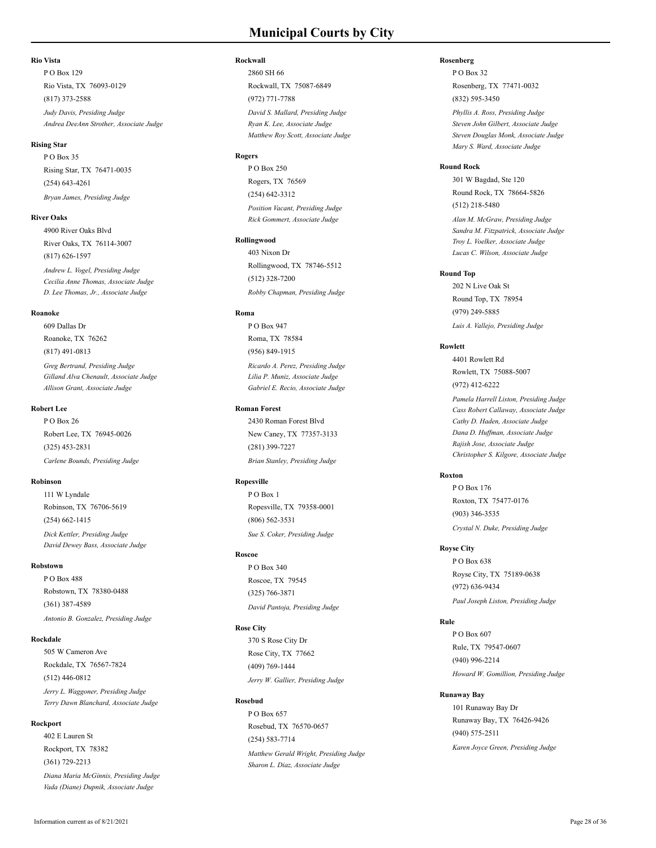## **Rio Vista**

Rio Vista, TX 76093-0129 P O Box 129 (817) 373-2588

*Judy Davis, Presiding Judge Andrea DeeAnn Strother, Associate Judge*

## **Rising Star**

Rising Star, TX 76471-0035 P O Box 35 (254) 643-4261 *Bryan James, Presiding Judge*

## **River Oaks**

River Oaks, TX 76114-3007 4900 River Oaks Blvd (817) 626-1597

*Andrew L. Vogel, Presiding Judge Cecilia Anne Thomas, Associate Judge D. Lee Thomas, Jr., Associate Judge*

#### **Roanoke**

Roanoke, TX 76262 609 Dallas Dr (817) 491-0813 *Greg Bertrand, Presiding Judge Gilland Alva Chenault, Associate Judge Allison Grant, Associate Judge*

## **Robert Lee**

Robert Lee, TX 76945-0026 P O Box 26 (325) 453-2831 *Carlene Bounds, Presiding Judge*

#### **Robinson**

Robinson, TX 76706-5619 111 W Lyndale (254) 662-1415 *Dick Kettler, Presiding Judge David Dewey Bass, Associate Judge*

## **Robstown**

Robstown, TX 78380-0488 P O Box 488 (361) 387-4589 *Antonio B. Gonzalez, Presiding Judge*

#### **Rockdale**

Rockdale, TX 76567-7824 505 W Cameron Ave (512) 446-0812 *Jerry L. Waggoner, Presiding Judge Terry Dawn Blanchard, Associate Judge*

#### **Rockport**

Rockport, TX 78382 402 E Lauren St (361) 729-2213 *Diana Maria McGinnis, Presiding Judge Vada (Diane) Dupnik, Associate Judge*

### **Rockwall**

Rockwall, TX 75087-6849 2860 SH 66 (972) 771-7788 *David S. Mallard, Presiding Judge Ryan K. Lee, Associate Judge Matthew Roy Scott, Associate Judge*

## **Rogers**

Rogers, TX 76569 P O Box 250 (254) 642-3312 *Position Vacant, Presiding Judge Rick Gommert, Associate Judge*

## **Rollingwood**

Rollingwood, TX 78746-5512 403 Nixon Dr (512) 328-7200 *Robby Chapman, Presiding Judge*

### **Roma**

Roma, TX 78584 P O Box 947 (956) 849-1915 *Ricardo A. Perez, Presiding Judge Lilia P. Muniz, Associate Judge Gabriel E. Recio, Associate Judge*

## **Roman Forest**

New Caney, TX 77357-3133 2430 Roman Forest Blvd (281) 399-7227 *Brian Stanley, Presiding Judge*

## **Ropesville**

Ropesville, TX 79358-0001 P O Box 1 (806) 562-3531 *Sue S. Coker, Presiding Judge*

# **Roscoe**

Roscoe, TX 79545 P O Box 340 (325) 766-3871 *David Pantoja, Presiding Judge*

#### **Rose City**

Rose City, TX 77662 370 S Rose City Dr (409) 769-1444 *Jerry W. Gallier, Presiding Judge*

## **Rosebud**

Rosebud, TX 76570-0657 P O Box 657 (254) 583-7714 *Matthew Gerald Wright, Presiding Judge Sharon L. Diaz, Associate Judge*

## **Rosenberg**

Rosenberg, TX 77471-0032  $P$  O Box 32 (832) 595-3450

*Phyllis A. Ross, Presiding Judge Steven John Gilbert, Associate Judge Steven Douglas Monk, Associate Judge Mary S. Ward, Associate Judge*

## **Round Rock**

Round Rock, TX 78664-5826 301 W Bagdad, Ste 120 (512) 218-5480 *Alan M. McGraw, Presiding Judge Sandra M. Fitzpatrick, Associate Judge Troy L. Voelker, Associate Judge*

*Lucas C. Wilson, Associate Judge*

#### **Round Top**

Round Top, TX 78954 202 N Live Oak St (979) 249-5885 *Luis A. Vallejo, Presiding Judge*

# **Rowlett**

Rowlett, TX 75088-5007 4401 Rowlett Rd (972) 412-6222 *Pamela Harrell Liston, Presiding Judge Cass Robert Callaway, Associate Judge Cathy D. Haden, Associate Judge Dana D. Huffman, Associate Judge Rajish Jose, Associate Judge Christopher S. Kilgore, Associate Judge*

# **Roxton**

Roxton, TX 75477-0176 P O Box 176 (903) 346-3535 *Crystal N. Duke, Presiding Judge*

## **Royse City**

Royse City, TX 75189-0638 P O Box 638 (972) 636-9434 *Paul Joseph Liston, Presiding Judge*

#### **Rule**

Rule, TX 79547-0607 P O Box 607 (940) 996-2214

# *Howard W. Gomillion, Presiding Judge*

## **Runaway Bay**

Runaway Bay, TX 76426-9426 101 Runaway Bay Dr (940) 575-2511 *Karen Joyce Green, Presiding Judge*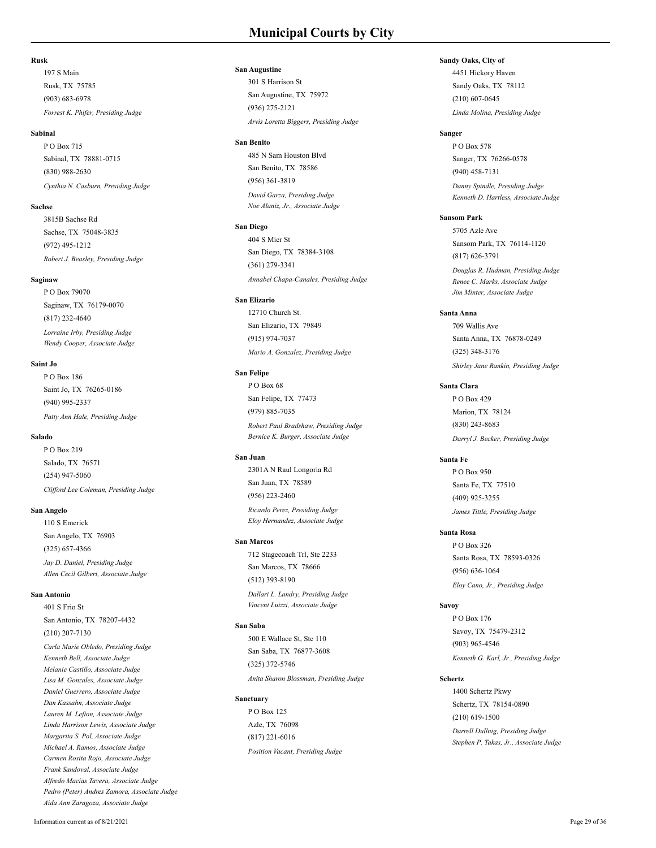#### **Rusk**

Rusk, TX 75785 197 S Main (903) 683-6978 *Forrest K. Phifer, Presiding Judge*

#### **Sabinal**

Sabinal, TX 78881-0715  $P \cap R_{\alpha}$  715 (830) 988-2630 *Cynthia N. Casburn, Presiding Judge*

#### **Sachse**

Sachse, TX 75048-3835 3815B Sachse Rd (972) 495-1212 *Robert J. Beasley, Presiding Judge*

#### **Saginaw**

Saginaw, TX 76179-0070 P O Box 79070 (817) 232-4640 *Lorraine Irby, Presiding Judge Wendy Cooper, Associate Judge*

#### **Saint Jo**

Saint Jo, TX 76265-0186 P O Box 186 (940) 995-2337 *Patty Ann Hale, Presiding Judge*

#### **Salado**

Salado, TX 76571 P O Box 219 (254) 947-5060 *Clifford Lee Coleman, Presiding Judge*

## **San Angelo**

San Angelo, TX 76903 110 S Emerick (325) 657-4366 *Jay D. Daniel, Presiding Judge Allen Cecil Gilbert, Associate Judge*

# **San Antonio**

San Antonio, TX 78207-4432 401 S Frio St (210) 207-7130

*Carla Marie Obledo, Presiding Judge Kenneth Bell, Associate Judge Melanie Castillo, Associate Judge Lisa M. Gonzales, Associate Judge Daniel Guerrero, Associate Judge Dan Kassahn, Associate Judge Lauren M. Lefton, Associate Judge Linda Harrison Lewis, Associate Judge Margarita S. Pol, Associate Judge Michael A. Ramos, Associate Judge Carmen Rosita Rojo, Associate Judge Frank Sandoval, Associate Judge Alfredo Macias Tavera, Associate Judge Pedro (Peter) Andres Zamora, Associate Judge Aida Ann Zaragoza, Associate Judge*

### **San Augustine**

San Augustine, TX 75972 301 S Harrison St (936) 275-2121 *Arvis Loretta Biggers, Presiding Judge*

## **San Benito**

San Benito, TX 78586 485 N Sam Houston Blvd (956) 361-3819 *David Garza, Presiding Judge Noe Alaniz, Jr., Associate Judge*

#### **San Diego**

San Diego, TX 78384-3108 404 S Mier St (361) 279-3341 *Annabel Chapa-Canales, Presiding Judge*

# **San Elizario**

San Elizario, TX 79849 12710 Church St. (915) 974-7037 *Mario A. Gonzalez, Presiding Judge*

# **San Felipe**

San Felipe, TX 77473 P O Box 68 (979) 885-7035 *Robert Paul Bradshaw, Presiding Judge Bernice K. Burger, Associate Judge*

## **San Juan**

San Juan, TX 78589 2301A N Raul Longoria Rd (956) 223-2460 *Ricardo Perez, Presiding Judge Eloy Hernandez, Associate Judge*

#### **San Marcos**

San Marcos, TX 78666 712 Stagecoach Trl, Ste 2233 (512) 393-8190

*Dallari L. Landry, Presiding Judge Vincent Luizzi, Associate Judge*

## **San Saba**

San Saba, TX 76877-3608 500 E Wallace St, Ste 110 (325) 372-5746 *Anita Sharon Blossman, Presiding Judge*

## **Sanctuary**

Azle, TX 76098 P O Box 125 (817) 221-6016 *Position Vacant, Presiding Judge*

## **Sandy Oaks, City of**

Sandy Oaks, TX 78112 4451 Hickory Haven (210) 607-0645 *Linda Molina, Presiding Judge*

#### **Sanger**

Sanger, TX 76266-0578 P O Box 578 (940) 458-7131 *Danny Spindle, Presiding Judge Kenneth D. Hartless, Associate Judge*

# **Sansom Park**

Sansom Park, TX 76114-1120 5705 Azle Ave (817) 626-3791

*Douglas R. Hudman, Presiding Judge Renee C. Marks, Associate Judge Jim Minter, Associate Judge*

### **Santa Anna**

Santa Anna, TX 76878-0249 709 Wallis Ave (325) 348-3176 *Shirley Jane Rankin, Presiding Judge*

# **Santa Clara**

Marion, TX 78124 P O Box 429 (830) 243-8683 *Darryl J. Becker, Presiding Judge*

# **Santa Fe**

Santa Fe, TX 77510 P O Box 950 (409) 925-3255 *James Tittle, Presiding Judge*

## **Santa Rosa**

Santa Rosa, TX 78593-0326 P O Box 326 (956) 636-1064 *Eloy Cano, Jr., Presiding Judge*

#### **Savoy**

Savoy, TX 75479-2312 P O Box 176 (903) 965-4546 *Kenneth G. Karl, Jr., Presiding Judge*

## **Schertz**

Schertz, TX 78154-0890 1400 Schertz Pkwy (210) 619-1500 *Darrell Dullnig, Presiding Judge Stephen P. Takas, Jr., Associate Judge*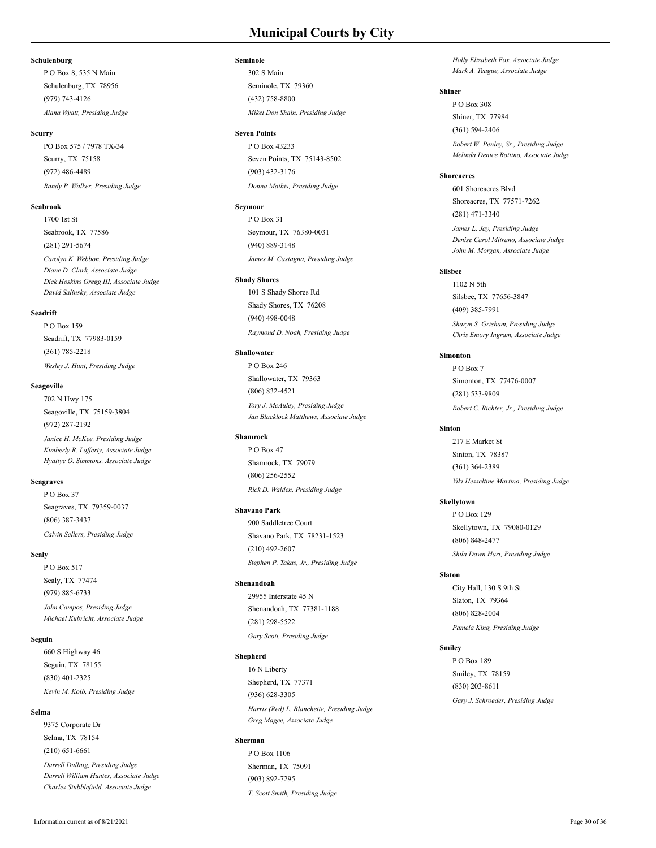## **Schulenburg**

Schulenburg, TX 78956 P O Box 8, 535 N Main (979) 743-4126 *Alana Wyatt, Presiding Judge*

#### **Scurry**

Scurry, TX 75158 PO Box 575 / 7978 TX-34 (972) 486-4489 *Randy P. Walker, Presiding Judge*

## **Seabrook**

Seabrook, TX 77586 1700 1st St (281) 291-5674 *Carolyn K. Webbon, Presiding Judge Diane D. Clark, Associate Judge Dick Hoskins Gregg III, Associate Judge David Salinsky, Associate Judge*

#### **Seadrift**

Seadrift, TX 77983-0159 P O Box 159 (361) 785-2218 *Wesley J. Hunt, Presiding Judge*

#### **Seagoville**

Seagoville, TX 75159-3804 702 N Hwy 175 (972) 287-2192 *Janice H. McKee, Presiding Judge Kimberly R. Lafferty, Associate Judge Hyattye O. Simmons, Associate Judge*

#### **Seagraves**

Seagraves, TX 79359-0037 P O Box 37 (806) 387-3437 *Calvin Sellers, Presiding Judge*

## **Sealy**

Sealy, TX 77474 P O Box 517 (979) 885-6733 *John Campos, Presiding Judge Michael Kubricht, Associate Judge*

#### **Seguin**

Seguin, TX 78155 660 S Highway 46 (830) 401-2325 *Kevin M. Kolb, Presiding Judge*

#### **Selma**

Selma, TX 78154 9375 Corporate Dr (210) 651-6661 *Darrell Dullnig, Presiding Judge Darrell William Hunter, Associate Judge Charles Stubblefield, Associate Judge*

#### **Seminole**

Seminole, TX 79360 302 S Main (432) 758-8800 *Mikel Don Shain, Presiding Judge*

#### **Seven Points**

Seven Points, TX 75143-8502  $P \cap R_{\alpha x}$  43233 (903) 432-3176 *Donna Mathis, Presiding Judge*

#### **Seymour**

Seymour, TX 76380-0031 P O Box 31 (940) 889-3148 *James M. Castagna, Presiding Judge*

#### **Shady Shores**

Shady Shores, TX 76208 101 S Shady Shores Rd (940) 498-0048 *Raymond D. Noah, Presiding Judge*

#### **Shallowater**

Shallowater, TX 79363 P O Box 246 (806) 832-4521 *Tory J. McAuley, Presiding Judge Jan Blacklock Matthews, Associate Judge*

#### **Shamrock**

Shamrock, TX 79079 P O Box 47 (806) 256-2552 *Rick D. Walden, Presiding Judge*

#### **Shavano Park**

Shavano Park, TX 78231-1523 900 Saddletree Court (210) 492-2607 *Stephen P. Takas, Jr., Presiding Judge*

# **Shenandoah**

Shenandoah, TX 77381-1188 29955 Interstate 45 N (281) 298-5522 *Gary Scott, Presiding Judge*

#### **Shepherd**

Shepherd, TX 77371 16 N Liberty (936) 628-3305 *Harris (Red) L. Blanchette, Presiding Judge Greg Magee, Associate Judge*

# **Sherman**

Sherman, TX 75091 P O Box 1106 (903) 892-7295 *T. Scott Smith, Presiding Judge* *Holly Elizabeth Fox, Associate Judge Mark A. Teague, Associate Judge*

## **Shiner**

Shiner, TX 77984 P O Box 308 (361) 594-2406

*Robert W. Penley, Sr., Presiding Judge Melinda Denice Bottino, Associate Judge*

# **Shoreacres**

Shoreacres, TX 77571-7262 601 Shoreacres Blvd (281) 471-3340 *James L. Jay, Presiding Judge Denise Carol Mitrano, Associate Judge John M. Morgan, Associate Judge*

## **Silsbee**

Silsbee, TX 77656-3847 1102 N 5th (409) 385-7991 *Sharyn S. Grisham, Presiding Judge Chris Emory Ingram, Associate Judge*

# **Simonton**

Simonton, TX 77476-0007 P O Box 7 (281) 533-9809 *Robert C. Richter, Jr., Presiding Judge*

**Sinton**

Sinton, TX 78387 217 E Market St (361) 364-2389 *Viki Hesseltine Martino, Presiding Judge*

## **Skellytown**

Skellytown, TX 79080-0129 P O Box 129 (806) 848-2477 *Shila Dawn Hart, Presiding Judge*

## **Slaton**

Slaton, TX 79364 City Hall, 130 S 9th St (806) 828-2004 *Pamela King, Presiding Judge*

## **Smiley**

Smiley, TX 78159 P O Box 189 (830) 203-8611 *Gary J. Schroeder, Presiding Judge*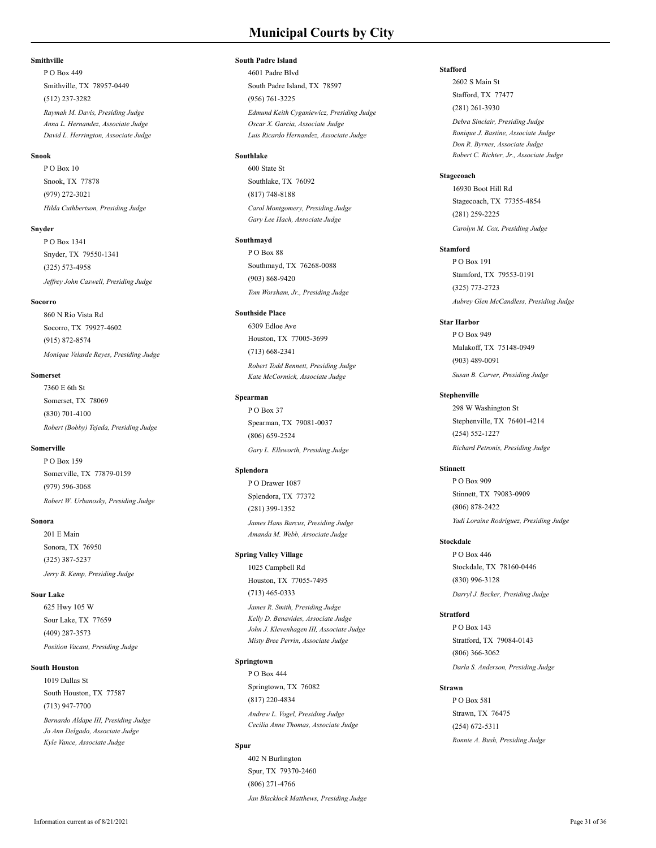## **Smithville**

Smithville, TX 78957-0449 P O Box 449 (512) 237-3282

*Raymah M. Davis, Presiding Judge Anna L. Hernandez, Associate Judge David L. Herrington, Associate Judge*

#### **Snook**

Snook, TX 77878 P O Box 10 (979) 272-3021 *Hilda Cuthbertson, Presiding Judge*

#### **Snyder**

Snyder, TX 79550-1341 P O Box 1341 (325) 573-4958 *Jeffrey John Caswell, Presiding Judge*

#### **Socorro**

Socorro, TX 79927-4602 860 N Rio Vista Rd (915) 872-8574 *Monique Velarde Reyes, Presiding Judge*

#### **Somerset**

Somerset, TX 78069 7360 E 6th St (830) 701-4100 *Robert (Bobby) Tejeda, Presiding Judge*

#### **Somerville**

Somerville, TX 77879-0159 P O Box 159 (979) 596-3068 *Robert W. Urbanosky, Presiding Judge*

#### **Sonora**

Sonora, TX 76950 201 E Main (325) 387-5237 *Jerry B. Kemp, Presiding Judge*

#### **Sour Lake**

Sour Lake, TX 77659 625 Hwy 105 W (409) 287-3573 *Position Vacant, Presiding Judge*

#### **South Houston**

South Houston, TX 77587 1019 Dallas St (713) 947-7700 *Bernardo Aldape III, Presiding Judge Jo Ann Delgado, Associate Judge Kyle Vance, Associate Judge*

# **Municipal Courts by City**

### **South Padre Island**

South Padre Island, TX 78597 4601 Padre Blvd (956) 761-3225

*Edmund Keith Cyganiewicz, Presiding Judge Oscar X. Garcia, Associate Judge Luis Ricardo Hernandez, Associate Judge*

## **Southlake**

Southlake, TX 76092 600 State St (817) 748-8188 *Carol Montgomery, Presiding Judge Gary Lee Hach, Associate Judge*

## **Southmayd**

Southmayd, TX 76268-0088 P O Box 88 (903) 868-9420 *Tom Worsham, Jr., Presiding Judge*

#### **Southside Place**

Houston, TX 77005-3699 6309 Edloe Ave (713) 668-2341 *Robert Todd Bennett, Presiding Judge Kate McCormick, Associate Judge*

#### **Spearman**

Spearman, TX 79081-0037 P O Box 37 (806) 659-2524 *Gary L. Ellsworth, Presiding Judge*

## **Splendora**

Splendora, TX 77372 P O Drawer 1087 (281) 399-1352 *James Hans Barcus, Presiding Judge Amanda M. Webb, Associate Judge*

## **Spring Valley Village**

Houston, TX 77055-7495 1025 Campbell Rd (713) 465-0333 *James R. Smith, Presiding Judge Kelly D. Benavides, Associate Judge John J. Klevenhagen III, Associate Judge Misty Bree Perrin, Associate Judge*

### **Springtown**

Springtown, TX 76082 P O Box 444 (817) 220-4834 *Andrew L. Vogel, Presiding Judge Cecilia Anne Thomas, Associate Judge*

## **Spur**

Spur, TX 79370-2460 402 N Burlington (806) 271-4766 *Jan Blacklock Matthews, Presiding Judge*

### **Stafford**

Stafford, TX 77477 2602 S Main St (281) 261-3930 *Debra Sinclair, Presiding Judge Ronique J. Bastine, Associate Judge Don R. Byrnes, Associate Judge Robert C. Richter, Jr., Associate Judge*

# **Stagecoach**

Stagecoach, TX 77355-4854 16930 Boot Hill Rd (281) 259-2225 *Carolyn M. Cox, Presiding Judge*

**Stamford** Stamford, TX 79553-0191 P O Box 191 (325) 773-2723 *Aubrey Glen McCandless, Presiding Judge*

**Star Harbor** Malakoff, TX 75148-0949 P O Box 949 (903) 489-0091 *Susan B. Carver, Presiding Judge*

# **Stephenville**

Stephenville, TX 76401-4214 298 W Washington St (254) 552-1227 *Richard Petronis, Presiding Judge*

#### **Stinnett**

Stinnett, TX 79083-0909 P O Box 909 (806) 878-2422 *Yadi Loraine Rodriguez, Presiding Judge*

## **Stockdale**

Stockdale, TX 78160-0446 P O Box 446 (830) 996-3128 *Darryl J. Becker, Presiding Judge*

## **Stratford**

Stratford, TX 79084-0143 P O Box 143 (806) 366-3062 *Darla S. Anderson, Presiding Judge*

# **Strawn**

Strawn, TX 76475 P O Box 581 (254) 672-5311 *Ronnie A. Bush, Presiding Judge*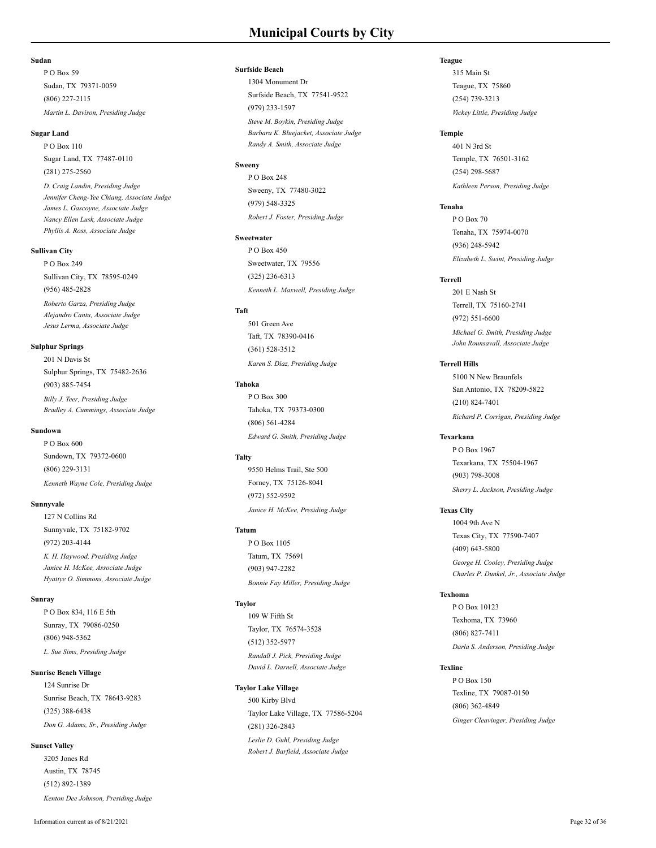## **Sudan**

Sudan, TX 79371-0059 P O Box 59 (806) 227- 2115 *Martin L. Davison, Presiding Judge*

#### **Sugar Land**

Sugar Land, TX 77487- 0110 P O Box 110 (281) 275-2560

*D. Craig Landin, Presiding Judge Jennifer Cheng-Yee Chiang, Associate Judge James L. Gascoyne, Associate Judge Nancy Ellen Lusk, Associate Judge Phyllis A. Ross, Associate Judge*

#### **Sullivan City**

Sullivan City, TX 78595-0249 P O Box 249 (956) 485-2828 *Roberto Garza, Presiding Judge Alejandro Cantu, Associate Judge*

*Jesus Lerma, Associate Judge*

#### **Sulphur Springs**

Sulphur Springs, TX 75482-2636 201 N Davis St (903) 885-7454 *Billy J. Teer, Presiding Judge Bradley A. Cummings, Associate Judge*

#### **Sundown**

Sundown, TX 79372-0600 P O Box 600 (806) 229-3131 *Kenneth Wayne Cole, Presiding Judge*

#### **Sunnyvale**

Sunnyvale, TX 75182-9702 127 N Collins Rd (972) 203-4144 *K. H. Haywood, Presiding Judge Janice H. McKee, Associate Judge Hyattye O. Simmons, Associate Judge*

## **Sunray**

Sunray, TX 79086-0250 P O Box 834, 116 E 5th (806) 948-5362 *L. Sue Sims, Presiding Judge*

## **Sunrise Beach Village**

Sunrise Beach, TX 78643-9283 124 Sunrise Dr (325) 388-6438 *Don G. Adams, Sr., Presiding Judge*

#### **Sunset Valley**

Austin, TX 78745 3205 Jones Rd (512) 892-1389 *Kenton Dee Johnson, Presiding Judge*

#### **Surfside Beach**

Surfside Beach, TX 77541-9522 1304 Monument Dr (979) 233-1597

*Steve M. Boykin, Presiding Judge Barbara K. Bluejacket, Associate Judge Randy A. Smith, Associate Judge*

## **Sweeny**

Sweeny, TX 77480-3022 P O Box 248 (979) 548-3325 *Robert J. Foster, Presiding Judge*

#### **Sweetwater**

Sweetwater, TX 79556 P O Box 450 (325) 236-6313 *Kenneth L. Maxwell, Presiding Judge*

## **Taft**

Taft, TX 78390-0416 501 Green Ave (361) 528-3512 *Karen S. Diaz, Presiding Judge*

#### **Tahoka**

Tahoka, TX 79373-0300 P O Box 300 (806) 561-4284 *Edward G. Smith, Presiding Judge*

## **Talty**

Forney, TX 75126-8041 9550 Helms Trail, Ste 500 (972) 552-9592 *Janice H. McKee, Presiding Judge*

#### **Tatum**

Tatum, TX 75691 P O Box 1105 (903) 947-2282 *Bonnie Fay Miller, Presiding Judge*

# **Taylor**

Taylor, TX 76574-3528 109 W Fifth St (512) 352-5977 *Randall J. Pick, Presiding Judge David L. Darnell, Associate Judge*

# **Taylor Lake Village**

Taylor Lake Village, TX 77586-5204 500 Kirby Blvd (281) 326-2843 *Leslie D. Guhl, Presiding Judge Robert J. Barfield, Associate Judge*

## **Teague**

Teague, TX 75860 315 Main St (254) 739-3213 *Vickey Little, Presiding Judge*

## **Temple**

Temple, TX 76501-3162 401 N 3rd St (254) 298-5687 *Kathleen Person, Presiding Judge*

# **Tenaha**

Tenaha, TX 75974-0070 P O Box 70 (936) 248-5942 *Elizabeth L. Swint, Presiding Judge*

# **Terrell**

Terrell, TX 75160-2741 201 E Nash St (972) 551-6600

*Michael G. Smith, Presiding Judge John Rounsavall, Associate Judge*

# **Terrell Hills**

San Antonio, TX 78209-5822 5100 N New Braunfels (210) 824-7401 *Richard P. Corrigan, Presiding Judge*

#### **Texarkana**

Texarkana, TX 75504-1967 P O Box 1967 (903) 798-3008 *Sherry L. Jackson, Presiding Judge*

## **Texas City**

Texas City, TX 77590-7407 1004 9th Ave N (409) 643-5800 *George H. Cooley, Presiding Judge Charles P. Dunkel, Jr., Associate Judge*

## **Texhoma**

Texhoma, TX 73960 P O Box 10123 (806) 827-7411 *Darla S. Anderson, Presiding Judge*

## **Texline**

Texline, TX 79087-0150 P O Box 150 (806) 362-4849 *Ginger Cleavinger, Presiding Judge*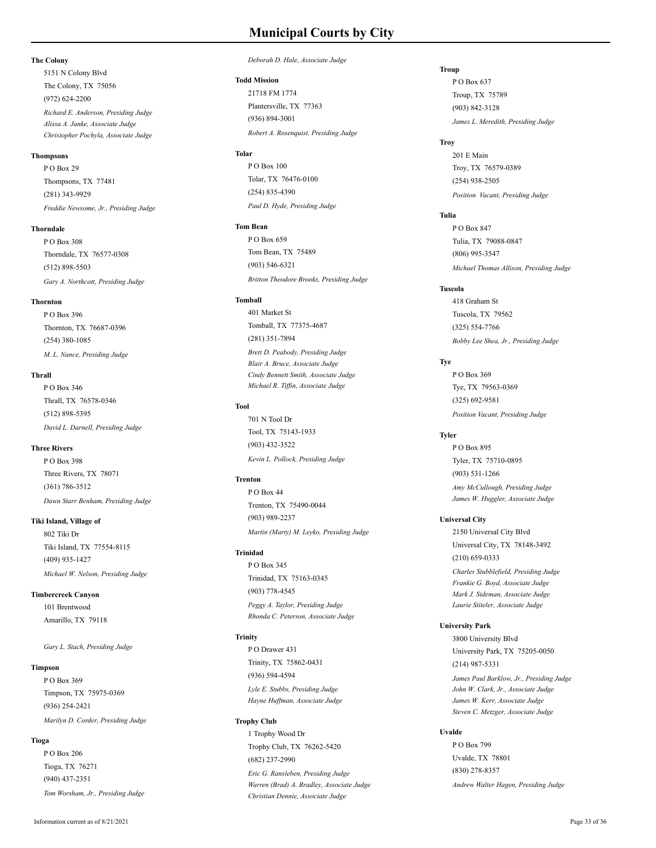## **The Colony**

The Colony, TX 75056 5151 N Colony Blvd (972) 624-2200 *Richard E. Anderson, Presiding Judge Alissa A. Janke, Associate Judge Christopher Pochyla, Associate Judge*

#### **Thompsons**

Thompsons, TX 77481 P O Box 29 (281) 343-9929 *Freddie Newsome, Jr., Presiding Judge*

## **Thorndale**

Thorndale, TX 76577-0308 P O Box 308 (512) 898-5503 *Gary A. Northcott, Presiding Judge*

#### **Thornton**

Thornton, TX 76687-0396 P O Box 396 (254) 380-1085 *M. L. Nance, Presiding Judge*

#### **Thrall**

Thrall, TX 76578-0346 P O Box 346 (512) 898-5395 *David L. Darnell, Presiding Judge*

#### **Three Rivers**

Three Rivers, TX 78071 P O Box 398 (361) 786-3512 *Dawn Starr Benham, Presiding Judge*

#### **Tiki Island, Village of**

Tiki Island, TX 77554-8115 802 Tiki Dr (409) 935-1427 *Michael W. Nelson, Presiding Judge*

#### **Timbercreek Canyon**

Amarillo, TX 79118 101 Brentwood

*Gary L. Stach, Presiding Judge*

#### **Timpson**

Timpson, TX 75975-0369 P O Box 369 (936) 254-2421 *Marilyn D. Corder, Presiding Judge*

#### **Tioga**

Tioga, TX 76271 P O Box 206 (940) 437-2351 *Tom Worsham, Jr., Presiding Judge*

#### *Deborah D. Hale, Associate Judge*

**Todd Mission** Plantersville, TX 77363 21718 FM 1774 (936) 894-3001 *Robert A. Rosenquist, Presiding Judge*

## **Tolar**

Tolar, TX 76476-0100 P O Box 100 (254) 835-4390 *Paul D. Hyde, Presiding Judge*

# **Tom Bean**

Tom Bean, TX 75489 P O Box 659 (903) 546-6321 *Britton Theodore Brooks, Presiding Judge*

# **Tomball**

Tomball, TX 77375-4687 401 Market St (281) 351-7894 *Brett D. Peabody, Presiding Judge Blair A. Bruce, Associate Judge Cindy Bennett Smith, Associate Judge Michael R. Tiffin, Associate Judge*

## **Tool**

Tool, TX 75143-1933 701 N Tool Dr (903) 432-3522 *Kevin L. Pollock, Presiding Judge*

#### **Trenton**

Trenton, TX 75490-0044 P O Box 44 (903) 989-2237 *Martin (Marty) M. Leyko, Presiding Judge*

#### **Trinidad**

Trinidad, TX 75163-0345 P O Box 345 (903) 778-4545 *Peggy A. Taylor, Presiding Judge*

*Rhonda C. Peterson, Associate Judge*

# **Trinity**

Trinity, TX 75862-0431 P O Drawer 431 (936) 594-4594

*Lyle E. Stubbs, Presiding Judge Hayne Huffman, Associate Judge*

# **Trophy Club**

Trophy Club, TX 76262-5420 1 Trophy Wood Dr (682) 237-2990

*Eric G. Ransleben, Presiding Judge Warren (Brad) A. Bradley, Associate Judge Christian Dennie, Associate Judge*

#### **Troup**

Troup, TX 75789 P O Box 637 (903) 842-3128 *James L. Meredith, Presiding Judge*

## **Troy**

Troy, TX 76579-0389 201 E Main (254) 938-2505 *Position Vacant, Presiding Judge*

# **Tulia**

Tulia, TX 79088-0847 P O Box 847 (806) 995-3547 *Michael Thomas Allison, Presiding Judge*

## **Tuscola**

Tuscola, TX 79562 418 Graham St (325) 554-7766 *Bobby Lee Shea, Jr., Presiding Judge*

## **Tye**

Tye, TX 79563-0369 P O Box 369 (325) 692-9581 *Position Vacant, Presiding Judge*

## **Tyler**

Tyler, TX 75710-0895 P O Box 895 (903) 531-1266 *Amy McCullough, Presiding Judge James W. Huggler, Associate Judge*

## **Universal City**

Universal City, TX 78148-3492 2150 Universal City Blvd (210) 659-0333 *Charles Stubblefield, Presiding Judge Frankie G. Boyd, Associate Judge Mark J. Sideman, Associate Judge*

*Laurie Stiteler, Associate Judge*

# **University Park**

University Park, TX 75205-0050 3800 University Blvd (214) 987-5331

*James Paul Barklow, Jr., Presiding Judge John W. Clark, Jr., Associate Judge James W. Kerr, Associate Judge Steven C. Metzger, Associate Judge*

## **Uvalde**

Uvalde, TX 78801 P O Box 799 (830) 278-8357 *Andrew Walter Hagen, Presiding Judge*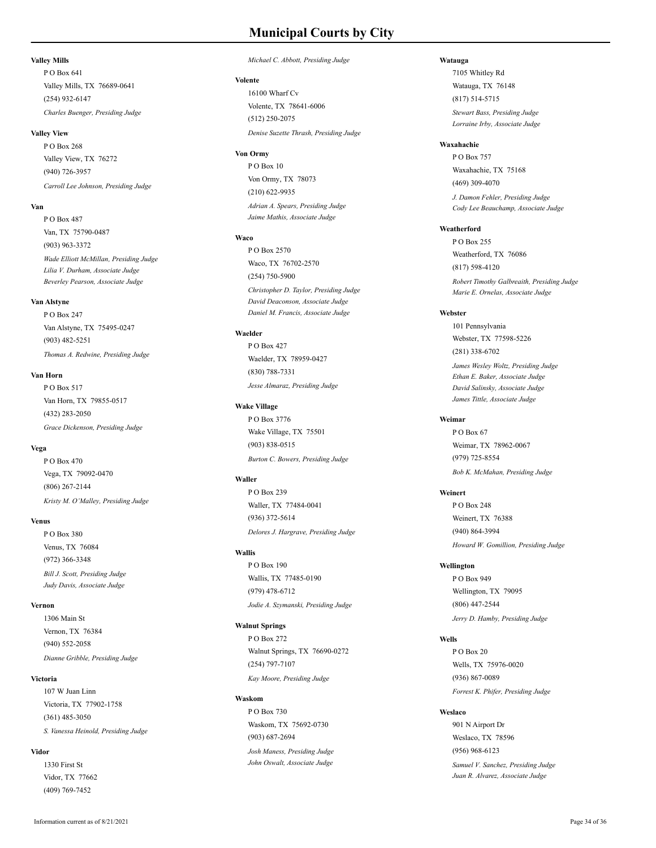## **Valley Mills**

Valley Mills, TX 76689-0641 P O Box 641 (254) 932-6147 *Charles Buenger, Presiding Judge*

#### **Valley View**

Valley View, TX 76272 P O Box 268 (940) 726-3957 *Carroll Lee Johnson, Presiding Judge*

#### **Van**

Van, TX 75790-0487 P O Box 487 (903) 963-3372 *Wade Elliott McMillan, Presiding Judge Lilia V. Durham, Associate Judge Beverley Pearson, Associate Judge*

#### **Van Alstyne**

Van Alstyne, TX 75495-0247 P O Box 247 (903) 482-5251 *Thomas A. Redwine, Presiding Judge*

#### **Van Horn**

Van Horn, TX 79855-0517 P O Box 517 (432) 283-2050 *Grace Dickenson, Presiding Judge*

## **Vega**

Vega, TX 79092-0470 P O Box 470 (806) 267-2144 *Kristy M. O'Malley, Presiding Judge*

#### **Venus**

Venus, TX 76084 P O Box 380 (972) 366-3348 *Bill J. Scott, Presiding Judge Judy Davis, Associate Judge*

## **Vernon**

Vernon, TX 76384 1306 Main St (940) 552-2058 *Dianne Gribble, Presiding Judge*

#### **Victoria**

Victoria, TX 77902-1758 107 W Juan Linn (361) 485-3050 *S. Vanessa Heinold, Presiding Judge*

#### **Vidor**

Vidor, TX 77662 1330 First St (409) 769-7452

#### *Michael C. Abbott, Presiding Judge*

#### **Volente**

Volente, TX 78641-6006 16100 Wharf Cv (512) 250-2075 *Denise Suzette Thrash, Presiding Judge*

#### **Von Ormy**

Von Ormy, TX 78073 P O Box 10 (210) 622-9935 *Adrian A. Spears, Presiding Judge Jaime Mathis, Associate Judge*

## **Waco**

Waco, TX 76702-2570 P O Box 2570 (254) 750-5900 *Christopher D. Taylor, Presiding Judge David Deaconson, Associate Judge Daniel M. Francis, Associate Judge*

#### **Waelder**

Waelder, TX 78959-0427 P O Box 427 (830) 788-7331 *Jesse Almaraz, Presiding Judge*

## **Wake Village**

Wake Village, TX 75501 P O Box 3776 (903) 838-0515 *Burton C. Bowers, Presiding Judge*

#### **Waller**

Waller, TX 77484-0041 P O Box 239 (936) 372-5614 *Delores J. Hargrave, Presiding Judge*

#### **Wallis**

Wallis, TX 77485-0190 P O Box 190 (979) 478-6712 *Jodie A. Szymanski, Presiding Judge*

#### **Walnut Springs**

Walnut Springs, TX 76690-0272 P O Box 272 (254) 797-7107 *Kay Moore, Presiding Judge*

#### **Waskom**

Waskom, TX 75692-0730 P O Box 730 (903) 687-2694

*Josh Maness, Presiding Judge John Oswalt, Associate Judge*

## **Watauga**

Watauga, TX 76148 7105 Whitley Rd (817) 514-5715 *Stewart Bass, Presiding Judge Lorraine Irby, Associate Judge*

#### **Waxahachie**

Waxahachie, TX 75168 P O Box 757 (469) 309-4070 *J. Damon Fehler, Presiding Judge Cody Lee Beauchamp, Associate Judge*

## **Weatherford**

Weatherford, TX 76086 P O Box 255 (817) 598-4120 *Robert Timothy Galbreaith, Presiding Judge Marie E. Ornelas, Associate Judge*

## **Webster**

Webster, TX 77598-5226 101 Pennsylvania (281) 338-6702 *James Wesley Woltz, Presiding Judge Ethan E. Baker, Associate Judge David Salinsky, Associate Judge James Tittle, Associate Judge*

## **Weimar**

Weimar, TX 78962-0067 PO Box 67 (979) 725-8554 *Bob K. McMahan, Presiding Judge*

## **Weinert**

Weinert, TX 76388 P O Box 248 (940) 864-3994 *Howard W. Gomillion, Presiding Judge*

## **Wellington**

Wellington, TX 79095 P O Box 949 (806) 447-2544 *Jerry D. Hamby, Presiding Judge*

## **Wells**

Wells, TX 75976-0020 P O Box 20 (936) 867-0089 *Forrest K. Phifer, Presiding Judge*

## **Weslaco**

Weslaco, TX 78596 901 N Airport Dr (956) 968-6123 *Samuel V. Sanchez, Presiding Judge Juan R. Alvarez, Associate Judge*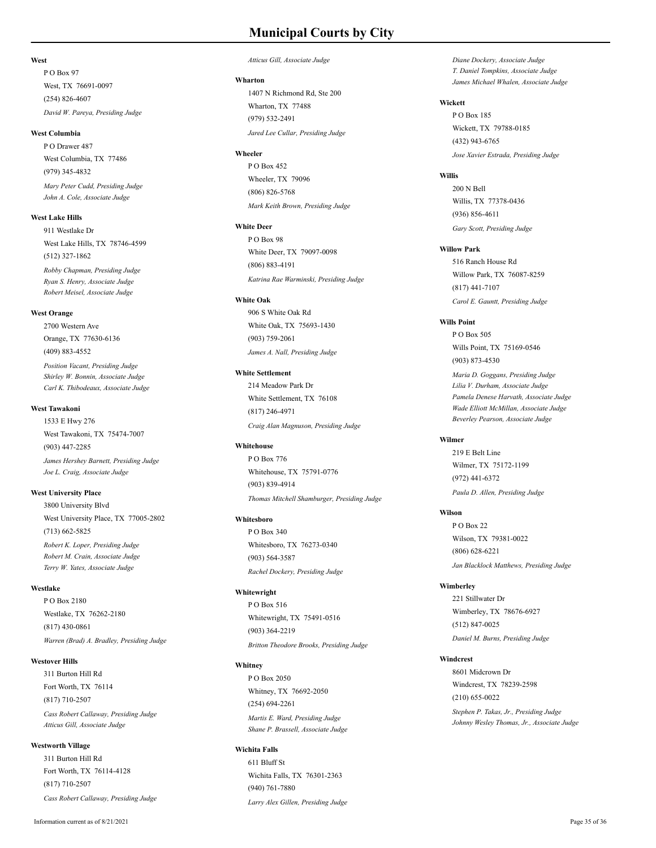#### **West**

West, TX 76691-0097 P O Box 97 (254) 826-4607 *David W. Pareya, Presiding Judge*

#### **West Columbia**

West Columbia, TX 77486 P O Drawer 487 (979) 345-4832 *Mary Peter Cudd, Presiding Judge*

*John A. Cole, Associate Judge*

# **West Lake Hills**

West Lake Hills, TX 78746-4599 911 Westlake Dr (512) 327-1862

*Robby Chapman, Presiding Judge Ryan S. Henry, Associate Judge Robert Meisel, Associate Judge*

### **West Orange**

Orange, TX 77630-6136 2700 Western Ave (409) 883-4552 *Position Vacant, Presiding Judge Shirley W. Bonnin, Associate Judge Carl K. Thibodeaux, Associate Judge*

## **West Tawakoni**

West Tawakoni, TX 75474-7007 1533 E Hwy 276 (903) 447-2285 *James Hershey Barnett, Presiding Judge Joe L. Craig, Associate Judge*

# **West University Place**

West University Place, TX 77005-2802 3800 University Blvd (713) 662-5825 *Robert K. Loper, Presiding Judge Robert M. Crain, Associate Judge Terry W. Yates, Associate Judge*

## **Westlake**

Westlake, TX 76262-2180 P O Box 2180 (817) 430-0861 *Warren (Brad) A. Bradley, Presiding Judge*

#### **Westover Hills**

Fort Worth, TX 76114 311 Burton Hill Rd (817) 710-2507 *Cass Robert Callaway, Presiding Judge Atticus Gill, Associate Judge*

## **Westworth Village**

Fort Worth, TX 76114-4128 311 Burton Hill Rd (817) 710-2507 *Cass Robert Callaway, Presiding Judge*

### *Atticus Gill, Associate Judge*

**Wharton** Wharton, TX 77488 1407 N Richmond Rd, Ste 200 (979) 532-2491 *Jared Lee Cullar, Presiding Judge*

## **Wheeler**

Wheeler, TX 79096 P O Box 452 (806) 826-5768 *Mark Keith Brown, Presiding Judge*

### **White Deer**

White Deer, TX 79097-0098 P O Box 98 (806) 883-4191 *Katrina Rae Warminski, Presiding Judge*

## **White Oak**

White Oak, TX 75693-1430 906 S White Oak Rd (903) 759-2061 *James A. Nall, Presiding Judge*

## **White Settlement**

White Settlement, TX 76108 214 Meadow Park Dr (817) 246-4971 *Craig Alan Magnuson, Presiding Judge*

## **Whitehouse**

Whitehouse, TX 75791-0776 P O Box 776 (903) 839-4914 *Thomas Mitchell Shamburger, Presiding Judge*

#### **Whitesboro**

Whitesboro, TX 76273-0340 P O Box 340 (903) 564-3587 *Rachel Dockery, Presiding Judge*

#### **Whitewright**

Whitewright, TX 75491-0516 P O Box 516 (903) 364-2219 *Britton Theodore Brooks, Presiding Judge*

## **Whitney**

Whitney, TX 76692-2050 P O Box 2050 (254) 694-2261 *Martis E. Ward, Presiding Judge Shane P. Brassell, Associate Judge*

#### **Wichita Falls**

Wichita Falls, TX 76301-2363 611 Bluff St (940) 761-7880 *Larry Alex Gillen, Presiding Judge*

*Diane Dockery, Associate Judge T. Daniel Tompkins, Associate Judge James Michael Whalen, Associate Judge*

## **Wickett**

Wickett, TX 79788-0185 P O Box 185 (432) 943-6765 *Jose Xavier Estrada, Presiding Judge*

# **Willis**

Willis, TX 77378-0436 200 N Bell (936) 856-4611 *Gary Scott, Presiding Judge*

**Willow Park** Willow Park, TX 76087-8259 516 Ranch House Rd (817) 441-7107 *Carol E. Gauntt, Presiding Judge*

## **Wills Point**

Wills Point, TX 75169-0546 P O Box 505 (903) 873-4530

*Maria D. Goggans, Presiding Judge Lilia V. Durham, Associate Judge Pamela Denese Harvath, Associate Judge Wade Elliott McMillan, Associate Judge Beverley Pearson, Associate Judge*

# **Wilmer**

Wilmer, TX 75172-1199 219 E Belt Line (972) 441-6372 *Paula D. Allen, Presiding Judge*

## **Wilson**

Wilson, TX 79381-0022 P O Box 22 (806) 628-6221 *Jan Blacklock Matthews, Presiding Judge*

## **Wimberley**

Wimberley, TX 78676-6927 221 Stillwater Dr (512) 847-0025 *Daniel M. Burns, Presiding Judge*

## **Windcrest**

Windcrest, TX 78239-2598 8601 Midcrown Dr (210) 655-0022 *Stephen P. Takas, Jr., Presiding Judge Johnny Wesley Thomas, Jr., Associate Judge*